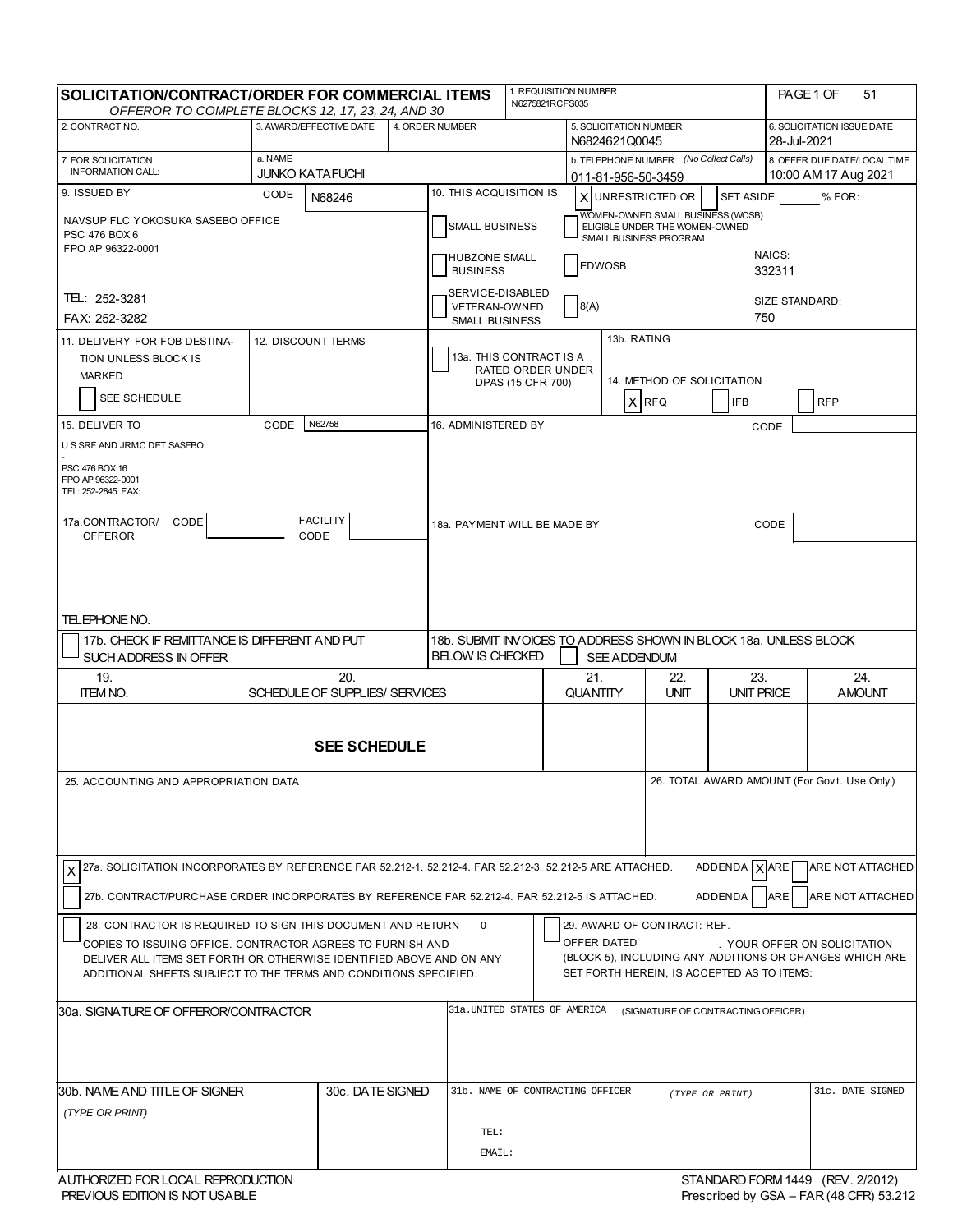| SOLICITATION/CONTRACT/ORDER FOR COMMERCIAL ITEMS                                                                                         |         |                         |                               |                                                                  |                   | 1. REQUISITION NUMBER<br>N6275821RCFS035 |                                    |                                                                                                       |                   |                  | PAGE 1 OF                                            | 51               |
|------------------------------------------------------------------------------------------------------------------------------------------|---------|-------------------------|-------------------------------|------------------------------------------------------------------|-------------------|------------------------------------------|------------------------------------|-------------------------------------------------------------------------------------------------------|-------------------|------------------|------------------------------------------------------|------------------|
| OFFEROR TO COMPLETE BLOCKS 12, 17, 23, 24, AND 30<br>2. CONTRACT NO.                                                                     |         | 3. AWARD/EFFECTIVE DATE |                               | 4. ORDER NUMBER                                                  |                   |                                          | 5. SOLICITATION NUMBER             |                                                                                                       |                   |                  | 6. SOLICITATION ISSUE DATE                           |                  |
|                                                                                                                                          |         |                         |                               |                                                                  |                   |                                          | N6824621Q0045                      |                                                                                                       |                   | 28-Jul-2021      |                                                      |                  |
| 7. FOR SOLICITATION<br><b>INFORMATION CALL:</b>                                                                                          | a. NAME | <b>JUNKO KATAFUCHI</b>  |                               |                                                                  |                   |                                          | 011-81-956-50-3459                 | b. TELEPHONE NUMBER (No Collect Calls)                                                                |                   |                  | 8. OFFER DUE DATE/LOCAL TIME<br>10:00 AM 17 Aug 2021 |                  |
| 9. ISSUED BY                                                                                                                             | CODE    | N68246                  |                               | 10. THIS ACQUISITION IS                                          |                   |                                          |                                    | X UNRESTRICTED OR                                                                                     | <b>SET ASIDE:</b> |                  | % FOR:                                               |                  |
| NAVSUP FLC YOKOSUKA SASEBO OFFICE<br>PSC 476 BOX 6<br>FPO AP 96322-0001                                                                  |         |                         |                               | SMALL BUSINESS                                                   |                   |                                          |                                    | WOMEN-OWNED SMALL BUSINESS (WOSB)<br>ELIGIBLE UNDER THE WOMEN-OWNED<br>SMALL BUSINESS PROGRAM         |                   |                  |                                                      |                  |
|                                                                                                                                          |         |                         |                               | <b>IHUBZONE SMALL</b><br><b>BUSINESS</b>                         |                   |                                          | <b>EDWOSB</b>                      |                                                                                                       |                   | NAICS:<br>332311 |                                                      |                  |
| TEL: 252-3281                                                                                                                            |         |                         |                               | SERVICE-DISABLED<br><b>VETERAN-OWNED</b>                         |                   | 8(A)                                     |                                    |                                                                                                       |                   |                  | SIZE STANDARD:                                       |                  |
| FAX: 252-3282                                                                                                                            |         |                         |                               | <b>SMALL BUSINESS</b>                                            |                   |                                          |                                    |                                                                                                       |                   | 750              |                                                      |                  |
| 11. DELIVERY FOR FOB DESTINA-<br>TION UNLESS BLOCK IS                                                                                    |         | 12. DISCOUNT TERMS      |                               | 13a. THIS CONTRACT IS A                                          |                   | RATED ORDER UNDER                        | 13b. RATING                        |                                                                                                       |                   |                  |                                                      |                  |
| <b>MARKED</b>                                                                                                                            |         |                         |                               |                                                                  | DPAS (15 CFR 700) |                                          |                                    | 14. METHOD OF SOLICITATION                                                                            |                   |                  |                                                      |                  |
| <b>SEE SCHEDULE</b>                                                                                                                      |         |                         |                               |                                                                  |                   |                                          |                                    | $X$ RFQ                                                                                               | <b>IFB</b>        |                  | <b>RFP</b>                                           |                  |
| 15. DELIVER TO                                                                                                                           | CODE    | N62758                  |                               | 16. ADMINISTERED BY                                              |                   |                                          |                                    |                                                                                                       |                   | CODE             |                                                      |                  |
| U S SRF AND JRMC DET SASEBO                                                                                                              |         |                         |                               |                                                                  |                   |                                          |                                    |                                                                                                       |                   |                  |                                                      |                  |
| PSC 476 BOX 16<br>FPO AP 96322-0001<br>TEL: 252-2845 FAX:                                                                                |         |                         |                               |                                                                  |                   |                                          |                                    |                                                                                                       |                   |                  |                                                      |                  |
| 17a.CONTRACTOR/<br>CODE                                                                                                                  |         | <b>FACILITY</b>         |                               | 18a. PAYMENT WILL BE MADE BY                                     |                   |                                          |                                    |                                                                                                       |                   | CODE             |                                                      |                  |
| <b>OFFEROR</b>                                                                                                                           |         | CODE                    |                               |                                                                  |                   |                                          |                                    |                                                                                                       |                   |                  |                                                      |                  |
|                                                                                                                                          |         |                         |                               |                                                                  |                   |                                          |                                    |                                                                                                       |                   |                  |                                                      |                  |
|                                                                                                                                          |         |                         |                               |                                                                  |                   |                                          |                                    |                                                                                                       |                   |                  |                                                      |                  |
| TELEPHONE NO.                                                                                                                            |         |                         |                               |                                                                  |                   |                                          |                                    |                                                                                                       |                   |                  |                                                      |                  |
| 17b. CHECK IF REMITTANCE IS DIFFERENT AND PUT                                                                                            |         |                         |                               | 18b. SUBMIT INVOICES TO ADDRESS SHOWN IN BLOCK 18a. UNLESS BLOCK |                   |                                          |                                    |                                                                                                       |                   |                  |                                                      |                  |
| SUCH ADDRESS IN OFFER                                                                                                                    |         |                         |                               | <b>BELOW IS CHECKED</b>                                          |                   |                                          | <b>SEE ADDENDUM</b>                |                                                                                                       |                   |                  |                                                      |                  |
| 20.<br>19.<br>SCHEDULE OF SUPPLIES/SERVICES                                                                                              |         |                         |                               | 21.                                                              |                   | 22.                                      | 23.                                |                                                                                                       |                   | 24.              |                                                      |                  |
| <b>ITEM NO.</b>                                                                                                                          |         |                         |                               |                                                                  |                   | <b>QUANTITY</b>                          |                                    | <b>UNIT</b>                                                                                           | <b>UNIT PRICE</b> |                  |                                                      | <b>AMOUNT</b>    |
|                                                                                                                                          |         |                         |                               |                                                                  |                   |                                          |                                    |                                                                                                       |                   |                  |                                                      |                  |
|                                                                                                                                          |         | <b>SEE SCHEDULE</b>     |                               |                                                                  |                   |                                          |                                    |                                                                                                       |                   |                  |                                                      |                  |
|                                                                                                                                          |         |                         |                               |                                                                  |                   |                                          |                                    |                                                                                                       |                   |                  |                                                      |                  |
| 25. ACCOUNTING AND APPROPRIATION DATA                                                                                                    |         |                         |                               |                                                                  |                   |                                          |                                    | 26. TOTAL AWARD AMOUNT (For Govt. Use Only)                                                           |                   |                  |                                                      |                  |
|                                                                                                                                          |         |                         |                               |                                                                  |                   |                                          |                                    |                                                                                                       |                   |                  |                                                      |                  |
|                                                                                                                                          |         |                         |                               |                                                                  |                   |                                          |                                    |                                                                                                       |                   |                  |                                                      |                  |
| 27a. SOLICITATION INCORPORATES BY REFERENCE FAR 52.212-1. 52.212-4. FAR 52.212-3. 52.212-5 ARE ATTACHED.<br>X                            |         |                         |                               |                                                                  |                   |                                          |                                    |                                                                                                       | ADDENDA   X ARE   |                  |                                                      | ARE NOT ATTACHED |
| 27b. CONTRACT/PURCHASE ORDER INCORPORATES BY REFERENCE FAR 52.212-4. FAR 52.212-5 IS ATTACHED.                                           |         |                         |                               |                                                                  |                   |                                          |                                    |                                                                                                       | ADDENDA           | <b>ARE</b>       |                                                      | ARE NOT ATTACHED |
| 28. CONTRACTOR IS REQUIRED TO SIGN THIS DOCUMENT AND RETURN                                                                              |         |                         |                               | $\overline{0}$                                                   |                   |                                          |                                    | 29. AWARD OF CONTRACT: REF.                                                                           |                   |                  |                                                      |                  |
| COPIES TO ISSUING OFFICE. CONTRACTOR AGREES TO FURNISH AND                                                                               |         |                         |                               |                                                                  |                   | OFFER DATED                              |                                    |                                                                                                       |                   |                  | . YOUR OFFER ON SOLICITATION                         |                  |
| DELIVER ALL ITEMS SET FORTH OR OTHERWISE IDENTIFIED ABOVE AND ON ANY<br>ADDITIONAL SHEETS SUBJECT TO THE TERMS AND CONDITIONS SPECIFIED. |         |                         |                               |                                                                  |                   |                                          |                                    | (BLOCK 5), INCLUDING ANY ADDITIONS OR CHANGES WHICH ARE<br>SET FORTH HEREIN, IS ACCEPTED AS TO ITEMS: |                   |                  |                                                      |                  |
|                                                                                                                                          |         |                         |                               |                                                                  |                   |                                          |                                    |                                                                                                       |                   |                  |                                                      |                  |
| 30a. SIGNATURE OF OFFEROR/CONTRACTOR                                                                                                     |         |                         | 31a. UNITED STATES OF AMERICA |                                                                  |                   |                                          | (SIGNATURE OF CONTRACTING OFFICER) |                                                                                                       |                   |                  |                                                      |                  |
|                                                                                                                                          |         |                         |                               |                                                                  |                   |                                          |                                    |                                                                                                       |                   |                  |                                                      |                  |
|                                                                                                                                          |         |                         |                               |                                                                  |                   |                                          |                                    |                                                                                                       |                   |                  |                                                      |                  |
|                                                                                                                                          |         |                         |                               |                                                                  |                   |                                          |                                    |                                                                                                       |                   |                  |                                                      |                  |
| 30b. NAME AND TITLE OF SIGNER                                                                                                            |         | 30c. DATE SIGNED        |                               | 31b. NAME OF CONTRACTING OFFICER                                 |                   |                                          |                                    |                                                                                                       | (TYPE OR PRINT)   |                  |                                                      | 31c. DATE SIGNED |
| (TYPE OR PRINT)                                                                                                                          |         |                         |                               |                                                                  |                   |                                          |                                    |                                                                                                       |                   |                  |                                                      |                  |
|                                                                                                                                          |         |                         |                               | TEL:                                                             |                   |                                          |                                    |                                                                                                       |                   |                  |                                                      |                  |
|                                                                                                                                          |         |                         |                               | EMAIL:                                                           |                   |                                          |                                    |                                                                                                       |                   |                  |                                                      |                  |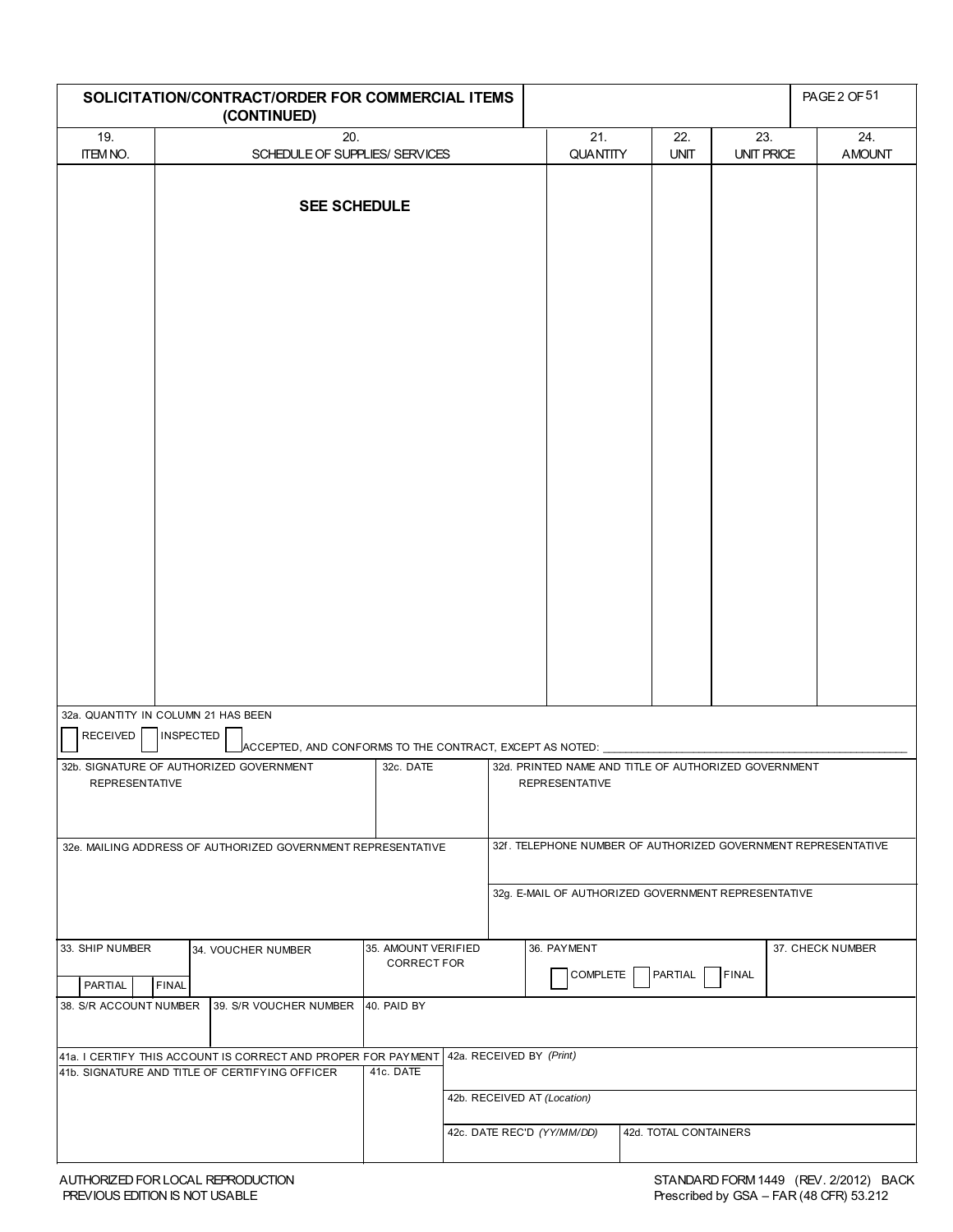| SOLICITATION/CONTRACT/ORDER FOR COMMERCIAL ITEMS<br>(CONTINUED)                                                                                                                      |              |                  |                                                                                                                 |                                           |  |                             |                                                                               |                       | PAGE 2 OF 51             |                      |
|--------------------------------------------------------------------------------------------------------------------------------------------------------------------------------------|--------------|------------------|-----------------------------------------------------------------------------------------------------------------|-------------------------------------------|--|-----------------------------|-------------------------------------------------------------------------------|-----------------------|--------------------------|----------------------|
| 19.<br>ITEM NO.                                                                                                                                                                      |              |                  | 20.<br>SCHEDULE OF SUPPLIES/ SERVICES                                                                           |                                           |  |                             | 21.<br><b>QUANTITY</b>                                                        | 22.<br><b>UNIT</b>    | 23.<br><b>UNIT PRICE</b> | 24.<br><b>AMOUNT</b> |
|                                                                                                                                                                                      |              |                  | <b>SEE SCHEDULE</b>                                                                                             |                                           |  |                             |                                                                               |                       |                          |                      |
| 32a. QUANTITY IN COLUMN 21 HAS BEEN                                                                                                                                                  |              |                  |                                                                                                                 |                                           |  |                             |                                                                               |                       |                          |                      |
| RECEIVED                                                                                                                                                                             |              | <b>INSPECTED</b> | $\,$ <code>ACCEPTED, AND CONFORMS TO THE CONTRACT, EXCEPT AS NOTED:</code> $\,$                                 |                                           |  |                             |                                                                               |                       |                          |                      |
| 32b. SIGNATURE OF AUTHORIZED GOVERNMENT<br><b>REPRESENTATIVE</b>                                                                                                                     |              |                  |                                                                                                                 | 32c. DATE                                 |  |                             | 32d. PRINTED NAME AND TITLE OF AUTHORIZED GOVERNMENT<br><b>REPRESENTATIVE</b> |                       |                          |                      |
| 32f. TELEPHONE NUMBER OF AUTHORIZED GOVERNMENT REPRESENTATIVE<br>32e. MAILING ADDRESS OF AUTHORIZED GOVERNMENT REPRESENTATIVE<br>32g. E-MAIL OF AUTHORIZED GOVERNMENT REPRESENTATIVE |              |                  |                                                                                                                 |                                           |  |                             |                                                                               |                       |                          |                      |
| 33. SHIP NUMBER<br>PARTIAL                                                                                                                                                           | <b>FINAL</b> |                  | 34. VOUCHER NUMBER                                                                                              | 35. AMOUNT VERIFIED<br><b>CORRECT FOR</b> |  |                             | 36. PAYMENT<br>COMPLETE                                                       | PARTIAL               | FINAL                    | 37. CHECK NUMBER     |
| 38. S/R ACCOUNT NUMBER                                                                                                                                                               |              |                  | 39. S/R VOUCHER NUMBER                                                                                          | 40. PAID BY                               |  |                             |                                                                               |                       |                          |                      |
|                                                                                                                                                                                      |              |                  | 41a. I CERTIFY THIS ACCOUNT IS CORRECT AND PROPER FOR PAYMENT<br>41b. SIGNATURE AND TITLE OF CERTIFYING OFFICER | 41c. DATE                                 |  | 42a. RECEIVED BY (Print)    |                                                                               |                       |                          |                      |
|                                                                                                                                                                                      |              |                  |                                                                                                                 |                                           |  | 42b. RECEIVED AT (Location) |                                                                               |                       |                          |                      |
|                                                                                                                                                                                      |              |                  |                                                                                                                 |                                           |  | 42c. DATE REC'D (YY/MM/DD)  |                                                                               | 42d. TOTAL CONTAINERS |                          |                      |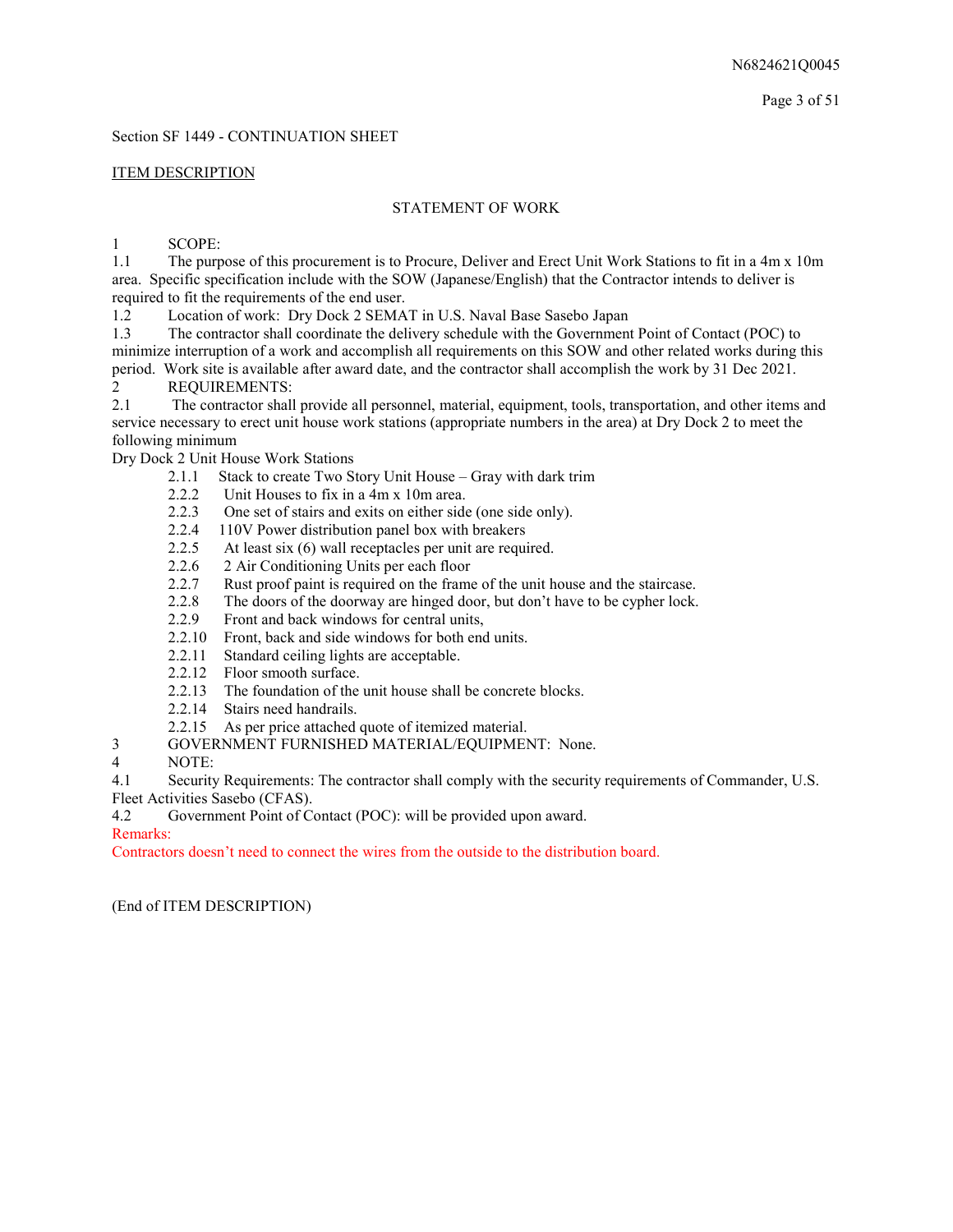Page 3 of 51

#### Section SF 1449 - CONTINUATION SHEET

#### ITEM DESCRIPTION

#### STATEMENT OF WORK

1 SCOPE:

1.1 The purpose of this procurement is to Procure, Deliver and Erect Unit Work Stations to fit in a 4m x 10m area. Specific specification include with the SOW (Japanese/English) that the Contractor intends to deliver is required to fit the requirements of the end user.

1.2 Location of work: Dry Dock 2 SEMAT in U.S. Naval Base Sasebo Japan

1.3 The contractor shall coordinate the delivery schedule with the Government Point of Contact (POC) to minimize interruption of a work and accomplish all requirements on this SOW and other related works during this period. Work site is available after award date, and the contractor shall accomplish the work by 31 Dec 2021.

2 REQUIREMENTS:

2.1 The contractor shall provide all personnel, material, equipment, tools, transportation, and other items and service necessary to erect unit house work stations (appropriate numbers in the area) at Dry Dock 2 to meet the following minimum

Dry Dock 2 Unit House Work Stations

- 2.1.1 Stack to create Two Story Unit House Gray with dark trim
- 2.2.2 Unit Houses to fix in a 4m x 10m area.
- 2.2.3 One set of stairs and exits on either side (one side only).
- 2.2.4 110V Power distribution panel box with breakers
- 2.2.5 At least six (6) wall receptacles per unit are required.
- 2.2.6 2 Air Conditioning Units per each floor
- 2.2.7 Rust proof paint is required on the frame of the unit house and the staircase.
- 2.2.8 The doors of the doorway are hinged door, but don't have to be cypher lock.
- 2.2.9 Front and back windows for central units,
- 2.2.10 Front, back and side windows for both end units.
- 2.2.11 Standard ceiling lights are acceptable.
- 2.2.12 Floor smooth surface.
- 2.2.13 The foundation of the unit house shall be concrete blocks.
- 2.2.14 Stairs need handrails.
- 2.2.15 As per price attached quote of itemized material.
- 3 GOVERNMENT FURNISHED MATERIAL/EQUIPMENT: None.
- 4 NOTE:

4.1 Security Requirements: The contractor shall comply with the security requirements of Commander, U.S. Fleet Activities Sasebo (CFAS).

4.2 Government Point of Contact (POC): will be provided upon award.

#### Remarks:

Contractors doesn't need to connect the wires from the outside to the distribution board.

(End of ITEM DESCRIPTION)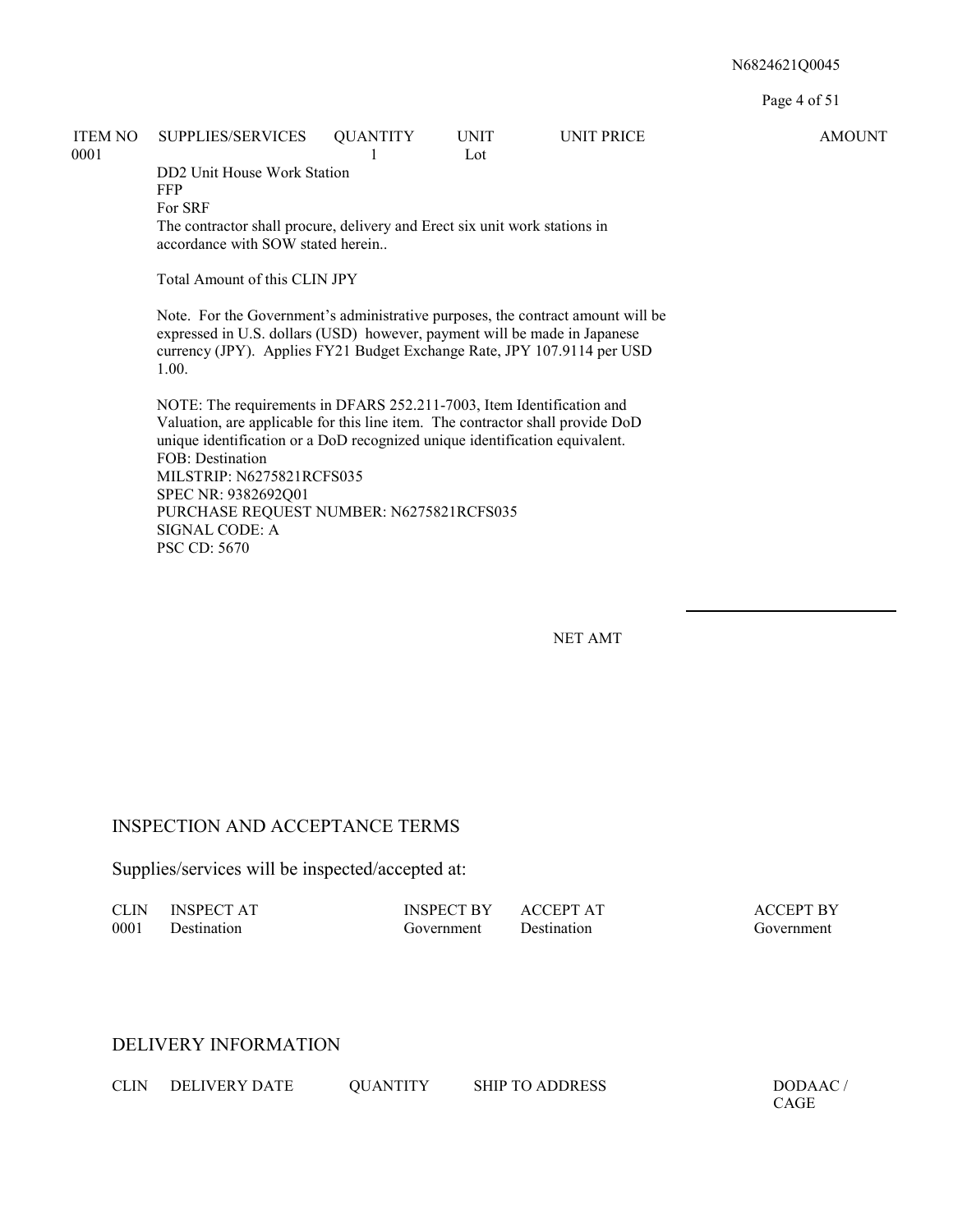# Page 4 of 51

# ITEM NO SUPPLIES/SERVICES QUANTITY UNIT UNIT PRICE AMOUNT

0001 1 Lot

DD2 Unit House Work Station

FFP For SRF

The contractor shall procure, delivery and Erect six unit work stations in accordance with SOW stated herein..

Total Amount of this CLIN JPY

Note. For the Government's administrative purposes, the contract amount will be expressed in U.S. dollars (USD) however, payment will be made in Japanese currency (JPY). Applies FY21 Budget Exchange Rate, JPY 107.9114 per USD 1.00.

NOTE: The requirements in DFARS 252.211-7003, Item Identification and Valuation, are applicable for this line item. The contractor shall provide DoD unique identification or a DoD recognized unique identification equivalent. FOB: Destination MILSTRIP: N6275821RCFS035 SPEC NR: 9382692Q01 PURCHASE REQUEST NUMBER: N6275821RCFS035 SIGNAL CODE: A PSC CD: 5670

NET AMT

# INSPECTION AND ACCEPTANCE TERMS

Supplies/services will be inspected/accepted at:

| <b>CLIN</b> | INSPECT AT  | <b>INSPECT RY</b> | ACCEPT AT          | <b>ACCEPT BY</b> |
|-------------|-------------|-------------------|--------------------|------------------|
| 0001        | Destination | iovernment        | <b>Destination</b> | Government)      |

DELIVERY INFORMATION

| CLIN | DELIVERY DATE | <b>QUANTITY</b> | <b>SHIP TO ADDRESS</b> | DODAAC/ |
|------|---------------|-----------------|------------------------|---------|
|      |               |                 |                        |         |

CAGE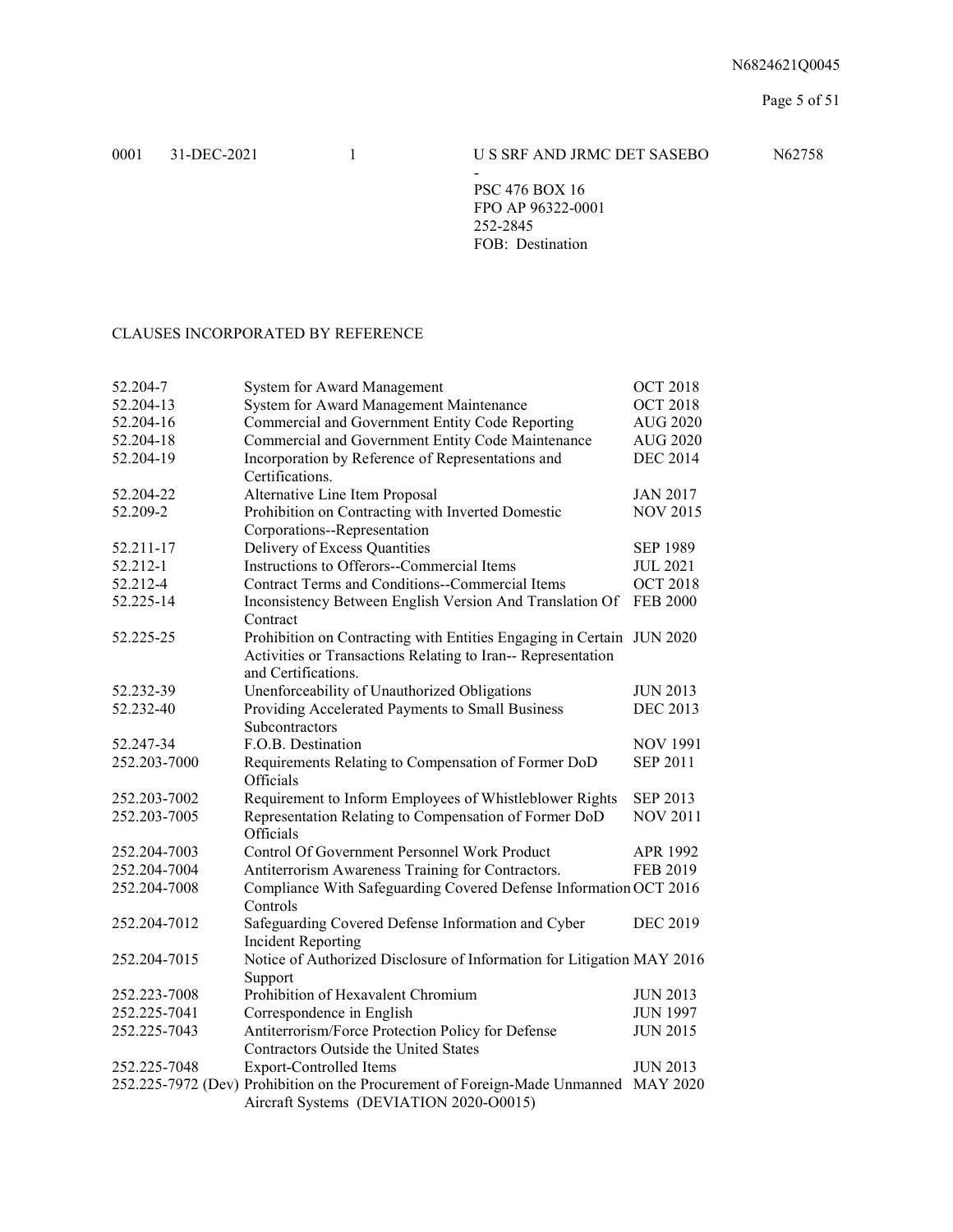0001 31-DEC-2021 1 U S SRF AND JRMC DET SASEBO

N62758

# PSC 476 BOX 16 FPO AP 96322-0001 252-2845 FOB: Destination

-

# CLAUSES INCORPORATED BY REFERENCE

| 52.204-7     | System for Award Management                                                         | <b>OCT 2018</b> |
|--------------|-------------------------------------------------------------------------------------|-----------------|
| 52.204-13    | System for Award Management Maintenance                                             | <b>OCT 2018</b> |
| 52.204-16    | Commercial and Government Entity Code Reporting                                     | <b>AUG 2020</b> |
| 52.204-18    | Commercial and Government Entity Code Maintenance                                   | <b>AUG 2020</b> |
| 52.204-19    | Incorporation by Reference of Representations and                                   | <b>DEC 2014</b> |
|              | Certifications.                                                                     |                 |
| 52.204-22    | Alternative Line Item Proposal                                                      | <b>JAN 2017</b> |
| 52.209-2     | Prohibition on Contracting with Inverted Domestic                                   | <b>NOV 2015</b> |
|              | Corporations--Representation                                                        |                 |
| 52.211-17    | Delivery of Excess Quantities                                                       | <b>SEP 1989</b> |
| 52.212-1     | Instructions to Offerors--Commercial Items                                          | <b>JUL 2021</b> |
| 52.212-4     | Contract Terms and Conditions--Commercial Items                                     | <b>OCT 2018</b> |
| 52.225-14    | Inconsistency Between English Version And Translation Of                            | <b>FEB 2000</b> |
|              | Contract                                                                            |                 |
| 52.225-25    | Prohibition on Contracting with Entities Engaging in Certain JUN 2020               |                 |
|              | Activities or Transactions Relating to Iran-- Representation                        |                 |
|              | and Certifications.                                                                 |                 |
| 52.232-39    | Unenforceability of Unauthorized Obligations                                        | <b>JUN 2013</b> |
| 52.232-40    | Providing Accelerated Payments to Small Business                                    | <b>DEC 2013</b> |
|              | Subcontractors                                                                      |                 |
| 52.247-34    | F.O.B. Destination                                                                  | <b>NOV 1991</b> |
| 252.203-7000 | Requirements Relating to Compensation of Former DoD                                 | <b>SEP 2011</b> |
|              | Officials                                                                           |                 |
| 252.203-7002 | Requirement to Inform Employees of Whistleblower Rights                             | <b>SEP 2013</b> |
| 252.203-7005 | Representation Relating to Compensation of Former DoD                               | <b>NOV 2011</b> |
|              | Officials                                                                           |                 |
| 252.204-7003 | Control Of Government Personnel Work Product                                        | APR 1992        |
| 252.204-7004 | Antiterrorism Awareness Training for Contractors.                                   | FEB 2019        |
| 252.204-7008 | Compliance With Safeguarding Covered Defense Information OCT 2016                   |                 |
|              | Controls                                                                            |                 |
| 252.204-7012 | Safeguarding Covered Defense Information and Cyber                                  | <b>DEC 2019</b> |
|              | <b>Incident Reporting</b>                                                           |                 |
| 252.204-7015 | Notice of Authorized Disclosure of Information for Litigation MAY 2016              |                 |
|              | Support                                                                             |                 |
| 252.223-7008 | Prohibition of Hexavalent Chromium                                                  | <b>JUN 2013</b> |
| 252.225-7041 | Correspondence in English                                                           | <b>JUN 1997</b> |
| 252.225-7043 | Antiterrorism/Force Protection Policy for Defense                                   | <b>JUN 2015</b> |
|              | Contractors Outside the United States                                               |                 |
| 252.225-7048 | <b>Export-Controlled Items</b>                                                      | <b>JUN 2013</b> |
|              | 252.225-7972 (Dev) Prohibition on the Procurement of Foreign-Made Unmanned MAY 2020 |                 |
|              | Aircraft Systems (DEVIATION 2020-O0015)                                             |                 |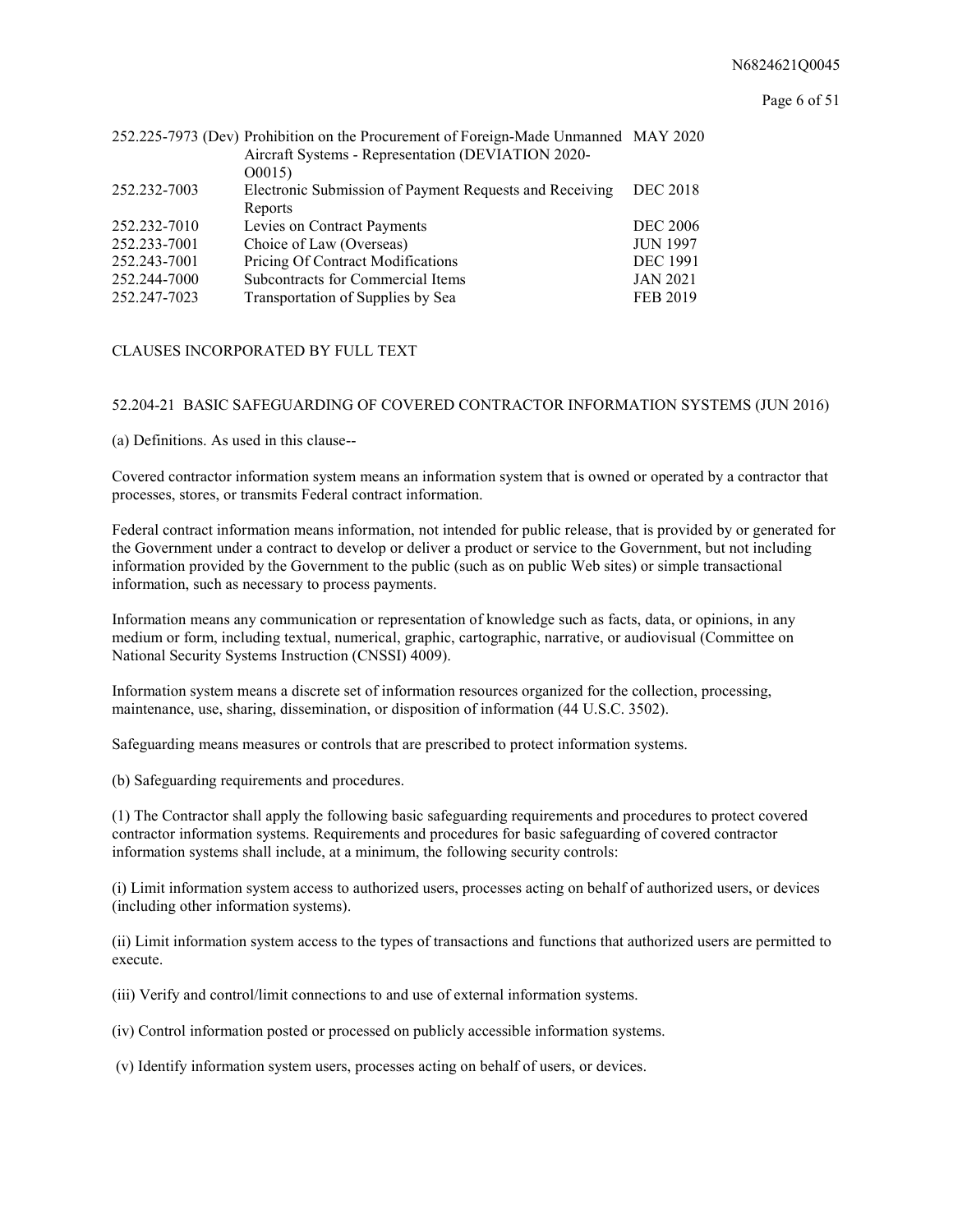Page 6 of 51

|              | 252.225-7973 (Dev) Prohibition on the Procurement of Foreign-Made Unmanned MAY 2020 |                 |
|--------------|-------------------------------------------------------------------------------------|-----------------|
|              | Aircraft Systems - Representation (DEVIATION 2020-                                  |                 |
|              | 00015                                                                               |                 |
| 252.232-7003 | Electronic Submission of Payment Requests and Receiving                             | <b>DEC 2018</b> |
|              | Reports                                                                             |                 |
| 252.232-7010 | Levies on Contract Payments                                                         | <b>DEC 2006</b> |
| 252.233-7001 | Choice of Law (Overseas)                                                            | <b>JUN 1997</b> |
| 252.243-7001 | Pricing Of Contract Modifications                                                   | <b>DEC 1991</b> |
| 252.244-7000 | Subcontracts for Commercial Items                                                   | <b>JAN 2021</b> |
| 252.247-7023 | Transportation of Supplies by Sea                                                   | <b>FEB 2019</b> |

# CLAUSES INCORPORATED BY FULL TEXT

### 52.204-21 BASIC SAFEGUARDING OF COVERED CONTRACTOR INFORMATION SYSTEMS (JUN 2016)

(a) Definitions. As used in this clause--

Covered contractor information system means an information system that is owned or operated by a contractor that processes, stores, or transmits Federal contract information.

Federal contract information means information, not intended for public release, that is provided by or generated for the Government under a contract to develop or deliver a product or service to the Government, but not including information provided by the Government to the public (such as on public Web sites) or simple transactional information, such as necessary to process payments.

Information means any communication or representation of knowledge such as facts, data, or opinions, in any medium or form, including textual, numerical, graphic, cartographic, narrative, or audiovisual (Committee on National Security Systems Instruction (CNSSI) 4009).

Information system means a discrete set of information resources organized for the collection, processing, maintenance, use, sharing, dissemination, or disposition of information (44 U.S.C. 3502).

Safeguarding means measures or controls that are prescribed to protect information systems.

(b) Safeguarding requirements and procedures.

(1) The Contractor shall apply the following basic safeguarding requirements and procedures to protect covered contractor information systems. Requirements and procedures for basic safeguarding of covered contractor information systems shall include, at a minimum, the following security controls:

(i) Limit information system access to authorized users, processes acting on behalf of authorized users, or devices (including other information systems).

(ii) Limit information system access to the types of transactions and functions that authorized users are permitted to execute.

(iii) Verify and control/limit connections to and use of external information systems.

(iv) Control information posted or processed on publicly accessible information systems.

(v) Identify information system users, processes acting on behalf of users, or devices.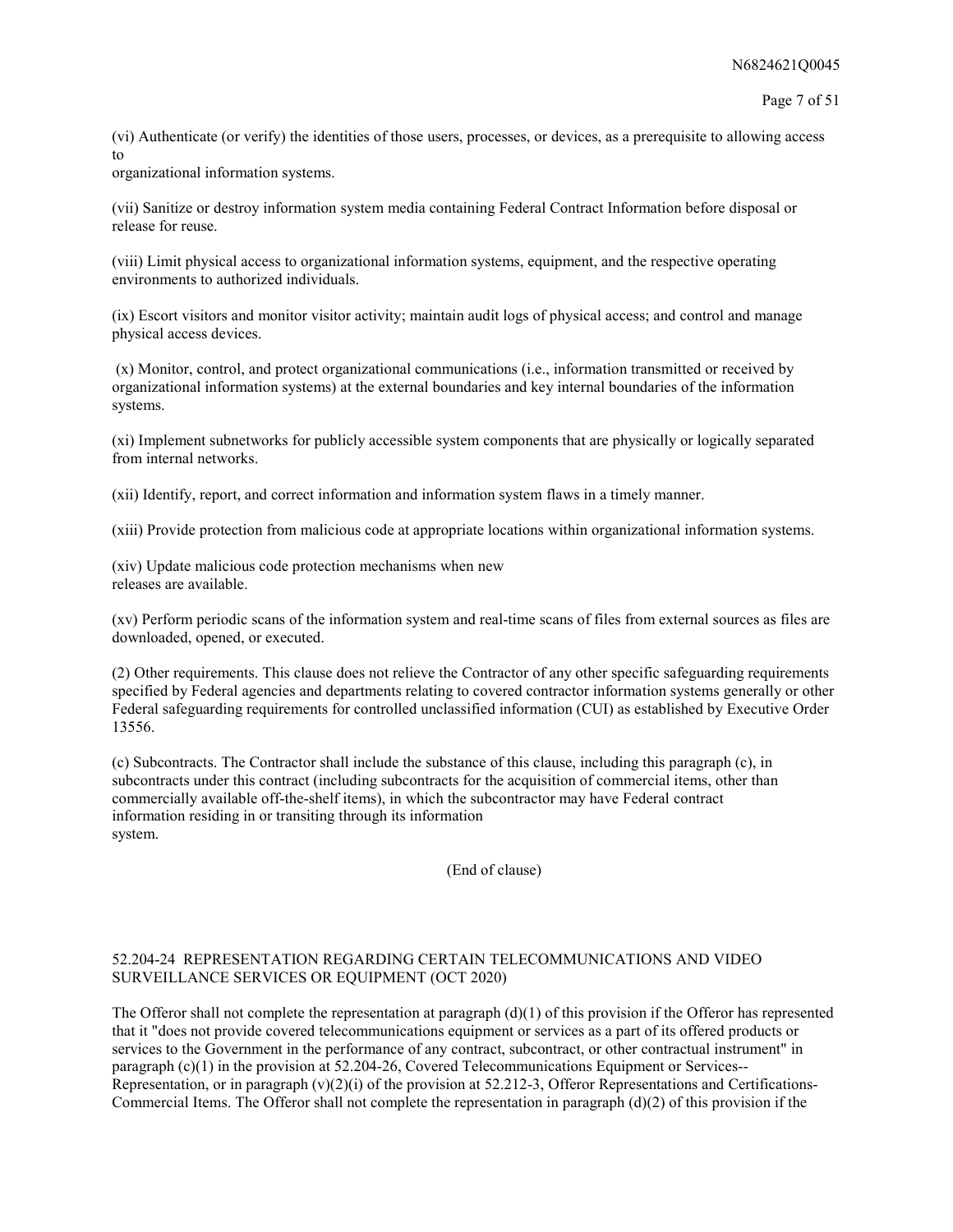(vi) Authenticate (or verify) the identities of those users, processes, or devices, as a prerequisite to allowing access to

organizational information systems.

(vii) Sanitize or destroy information system media containing Federal Contract Information before disposal or release for reuse.

(viii) Limit physical access to organizational information systems, equipment, and the respective operating environments to authorized individuals.

(ix) Escort visitors and monitor visitor activity; maintain audit logs of physical access; and control and manage physical access devices.

 (x) Monitor, control, and protect organizational communications (i.e., information transmitted or received by organizational information systems) at the external boundaries and key internal boundaries of the information systems.

(xi) Implement subnetworks for publicly accessible system components that are physically or logically separated from internal networks.

(xii) Identify, report, and correct information and information system flaws in a timely manner.

(xiii) Provide protection from malicious code at appropriate locations within organizational information systems.

(xiv) Update malicious code protection mechanisms when new releases are available.

(xv) Perform periodic scans of the information system and real-time scans of files from external sources as files are downloaded, opened, or executed.

(2) Other requirements. This clause does not relieve the Contractor of any other specific safeguarding requirements specified by Federal agencies and departments relating to covered contractor information systems generally or other Federal safeguarding requirements for controlled unclassified information (CUI) as established by Executive Order 13556.

(c) Subcontracts. The Contractor shall include the substance of this clause, including this paragraph (c), in subcontracts under this contract (including subcontracts for the acquisition of commercial items, other than commercially available off-the-shelf items), in which the subcontractor may have Federal contract information residing in or transiting through its information system.

(End of clause)

### 52.204-24 REPRESENTATION REGARDING CERTAIN TELECOMMUNICATIONS AND VIDEO SURVEILLANCE SERVICES OR EQUIPMENT (OCT 2020)

The Offeror shall not complete the representation at paragraph  $(d)(1)$  of this provision if the Offeror has represented that it "does not provide covered telecommunications equipment or services as a part of its offered products or services to the Government in the performance of any contract, subcontract, or other contractual instrument" in paragraph (c)(1) in the provision at 52.204-26, Covered Telecommunications Equipment or Services-- Representation, or in paragraph  $(v)(2)(i)$  of the provision at 52.212-3, Offeror Representations and Certifications-Commercial Items. The Offeror shall not complete the representation in paragraph (d)(2) of this provision if the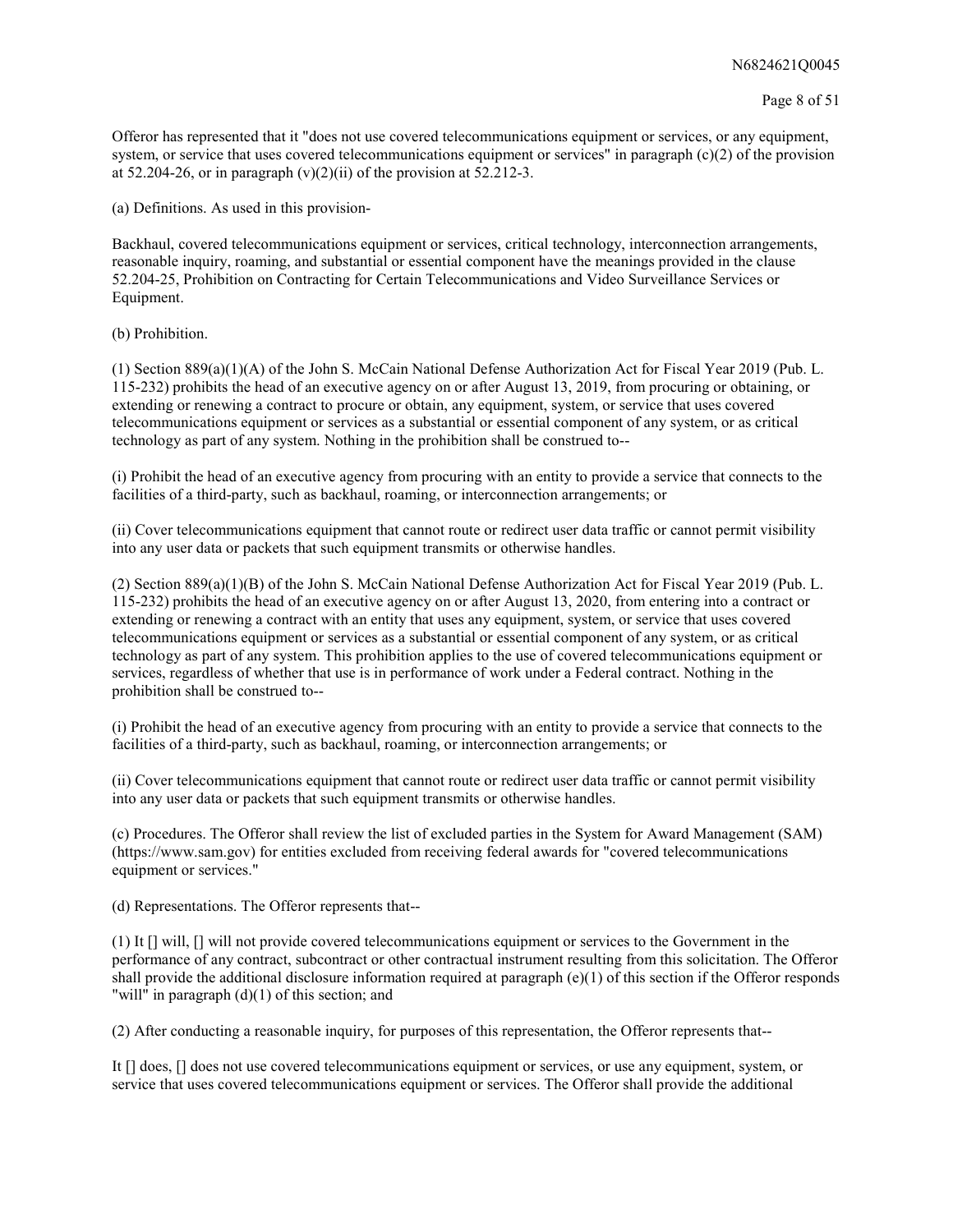Offeror has represented that it "does not use covered telecommunications equipment or services, or any equipment, system, or service that uses covered telecommunications equipment or services" in paragraph (c)(2) of the provision at  $52.204 - 26$ , or in paragraph  $(v)(2)(ii)$  of the provision at  $52.212 - 3$ .

(a) Definitions. As used in this provision-

Backhaul, covered telecommunications equipment or services, critical technology, interconnection arrangements, reasonable inquiry, roaming, and substantial or essential component have the meanings provided in the clause 52.204-25, Prohibition on Contracting for Certain Telecommunications and Video Surveillance Services or Equipment.

(b) Prohibition.

(1) Section 889(a)(1)(A) of the John S. McCain National Defense Authorization Act for Fiscal Year 2019 (Pub. L. 115-232) prohibits the head of an executive agency on or after August 13, 2019, from procuring or obtaining, or extending or renewing a contract to procure or obtain, any equipment, system, or service that uses covered telecommunications equipment or services as a substantial or essential component of any system, or as critical technology as part of any system. Nothing in the prohibition shall be construed to--

(i) Prohibit the head of an executive agency from procuring with an entity to provide a service that connects to the facilities of a third-party, such as backhaul, roaming, or interconnection arrangements; or

(ii) Cover telecommunications equipment that cannot route or redirect user data traffic or cannot permit visibility into any user data or packets that such equipment transmits or otherwise handles.

(2) Section 889(a)(1)(B) of the John S. McCain National Defense Authorization Act for Fiscal Year 2019 (Pub. L. 115-232) prohibits the head of an executive agency on or after August 13, 2020, from entering into a contract or extending or renewing a contract with an entity that uses any equipment, system, or service that uses covered telecommunications equipment or services as a substantial or essential component of any system, or as critical technology as part of any system. This prohibition applies to the use of covered telecommunications equipment or services, regardless of whether that use is in performance of work under a Federal contract. Nothing in the prohibition shall be construed to--

(i) Prohibit the head of an executive agency from procuring with an entity to provide a service that connects to the facilities of a third-party, such as backhaul, roaming, or interconnection arrangements; or

(ii) Cover telecommunications equipment that cannot route or redirect user data traffic or cannot permit visibility into any user data or packets that such equipment transmits or otherwise handles.

(c) Procedures. The Offeror shall review the list of excluded parties in the System for Award Management (SAM) (https://www.sam.gov) for entities excluded from receiving federal awards for "covered telecommunications equipment or services."

(d) Representations. The Offeror represents that--

(1) It [] will, [] will not provide covered telecommunications equipment or services to the Government in the performance of any contract, subcontract or other contractual instrument resulting from this solicitation. The Offeror shall provide the additional disclosure information required at paragraph  $(e)(1)$  of this section if the Offeror responds "will" in paragraph (d)(1) of this section; and

(2) After conducting a reasonable inquiry, for purposes of this representation, the Offeror represents that--

It [] does, [] does not use covered telecommunications equipment or services, or use any equipment, system, or service that uses covered telecommunications equipment or services. The Offeror shall provide the additional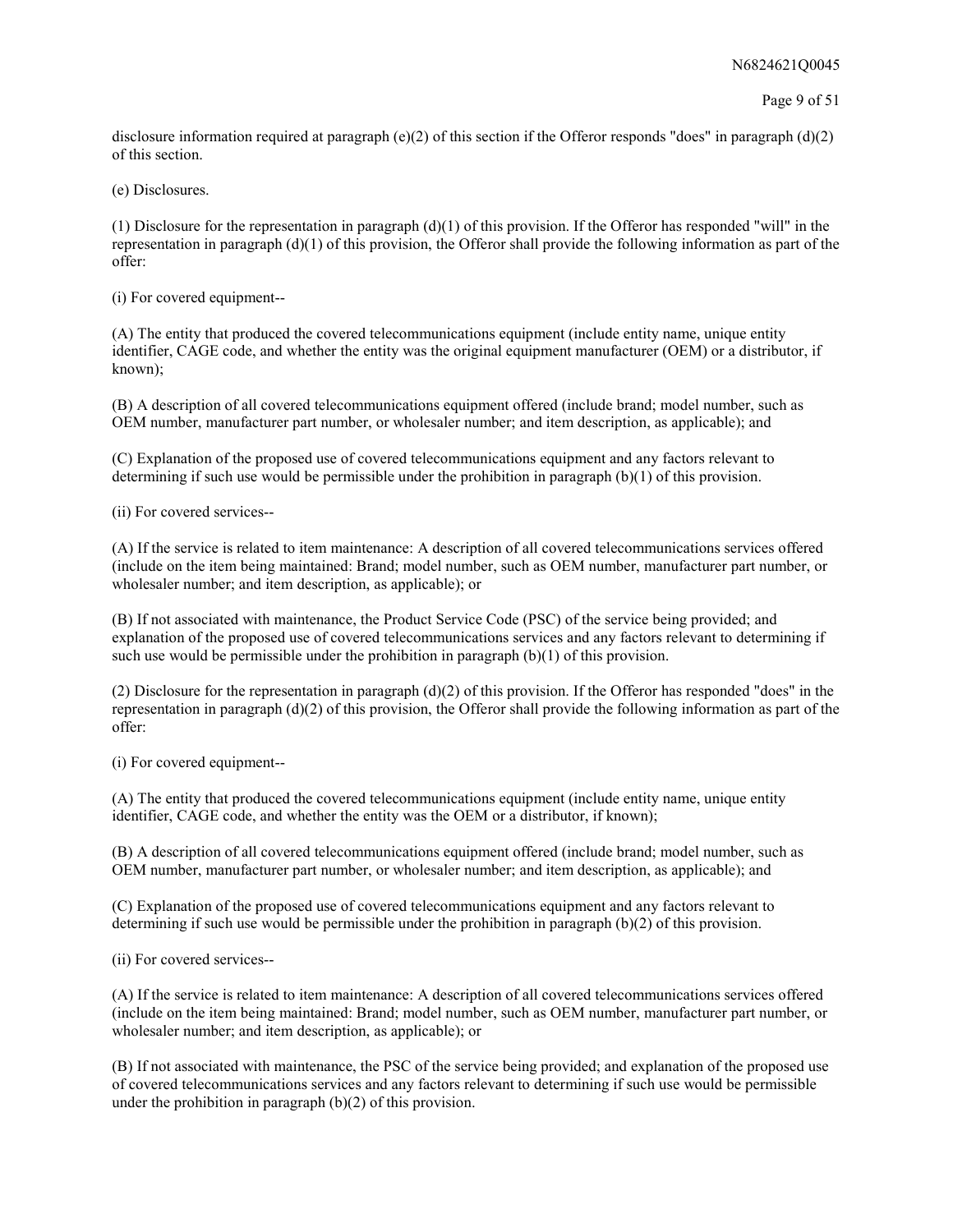Page 9 of 51

disclosure information required at paragraph (e)(2) of this section if the Offeror responds "does" in paragraph (d)(2) of this section.

(e) Disclosures.

(1) Disclosure for the representation in paragraph  $(d)(1)$  of this provision. If the Offeror has responded "will" in the representation in paragraph  $(d)(1)$  of this provision, the Offeror shall provide the following information as part of the offer:

(i) For covered equipment--

(A) The entity that produced the covered telecommunications equipment (include entity name, unique entity identifier, CAGE code, and whether the entity was the original equipment manufacturer (OEM) or a distributor, if known);

(B) A description of all covered telecommunications equipment offered (include brand; model number, such as OEM number, manufacturer part number, or wholesaler number; and item description, as applicable); and

(C) Explanation of the proposed use of covered telecommunications equipment and any factors relevant to determining if such use would be permissible under the prohibition in paragraph (b)(1) of this provision.

(ii) For covered services--

(A) If the service is related to item maintenance: A description of all covered telecommunications services offered (include on the item being maintained: Brand; model number, such as OEM number, manufacturer part number, or wholesaler number; and item description, as applicable); or

(B) If not associated with maintenance, the Product Service Code (PSC) of the service being provided; and explanation of the proposed use of covered telecommunications services and any factors relevant to determining if such use would be permissible under the prohibition in paragraph (b)(1) of this provision.

(2) Disclosure for the representation in paragraph (d)(2) of this provision. If the Offeror has responded "does" in the representation in paragraph (d)(2) of this provision, the Offeror shall provide the following information as part of the offer:

(i) For covered equipment--

(A) The entity that produced the covered telecommunications equipment (include entity name, unique entity identifier, CAGE code, and whether the entity was the OEM or a distributor, if known);

(B) A description of all covered telecommunications equipment offered (include brand; model number, such as OEM number, manufacturer part number, or wholesaler number; and item description, as applicable); and

(C) Explanation of the proposed use of covered telecommunications equipment and any factors relevant to determining if such use would be permissible under the prohibition in paragraph (b)(2) of this provision.

(ii) For covered services--

(A) If the service is related to item maintenance: A description of all covered telecommunications services offered (include on the item being maintained: Brand; model number, such as OEM number, manufacturer part number, or wholesaler number; and item description, as applicable); or

(B) If not associated with maintenance, the PSC of the service being provided; and explanation of the proposed use of covered telecommunications services and any factors relevant to determining if such use would be permissible under the prohibition in paragraph (b)(2) of this provision.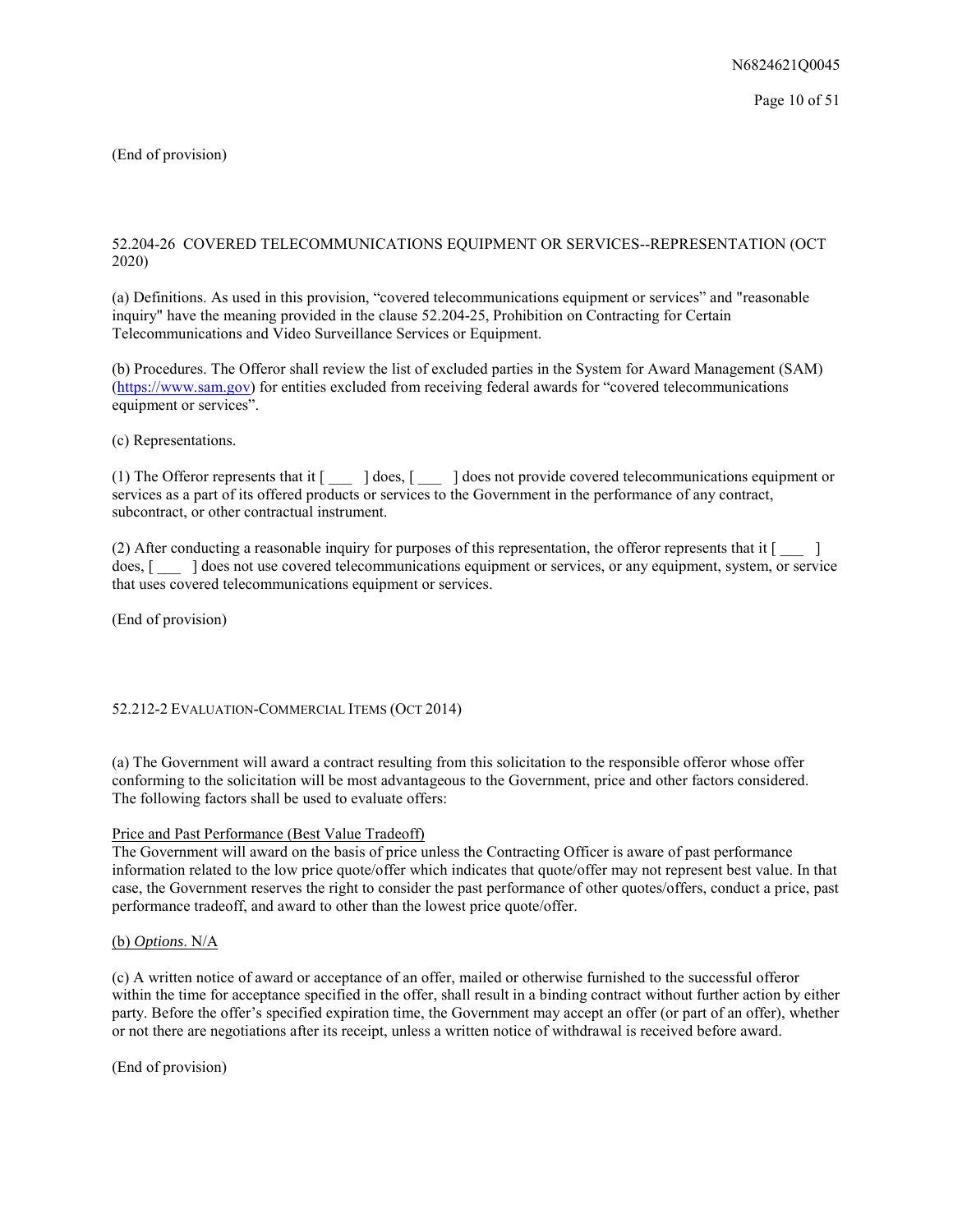Page 10 of 51

### (End of provision)

# 52.204-26 COVERED TELECOMMUNICATIONS EQUIPMENT OR SERVICES--REPRESENTATION (OCT 2020)

(a) Definitions. As used in this provision, "covered telecommunications equipment or services" and "reasonable inquiry" have the meaning provided in the clause 52.204-25, Prohibition on Contracting for Certain Telecommunications and Video Surveillance Services or Equipment.

(b) Procedures. The Offeror shall review the list of excluded parties in the System for Award Management (SAM) (https://www.sam.gov) for entities excluded from receiving federal awards for "covered telecommunications equipment or services".

### (c) Representations.

(1) The Offeror represents that it [ \_\_\_ ] does, [ \_\_\_ ] does not provide covered telecommunications equipment or services as a part of its offered products or services to the Government in the performance of any contract, subcontract, or other contractual instrument.

(2) After conducting a reasonable inquiry for purposes of this representation, the offeror represents that it [ \_\_\_ ] does, [ \_\_\_ ] does not use covered telecommunications equipment or services, or any equipment, system, or service that uses covered telecommunications equipment or services.

(End of provision)

# 52.212-2 EVALUATION-COMMERCIAL ITEMS (OCT 2014)

(a) The Government will award a contract resulting from this solicitation to the responsible offeror whose offer conforming to the solicitation will be most advantageous to the Government, price and other factors considered. The following factors shall be used to evaluate offers:

### Price and Past Performance (Best Value Tradeoff)

The Government will award on the basis of price unless the Contracting Officer is aware of past performance information related to the low price quote/offer which indicates that quote/offer may not represent best value. In that case, the Government reserves the right to consider the past performance of other quotes/offers, conduct a price, past performance tradeoff, and award to other than the lowest price quote/offer.

### (b) *Options*. N/A

(c) A written notice of award or acceptance of an offer, mailed or otherwise furnished to the successful offeror within the time for acceptance specified in the offer, shall result in a binding contract without further action by either party. Before the offer's specified expiration time, the Government may accept an offer (or part of an offer), whether or not there are negotiations after its receipt, unless a written notice of withdrawal is received before award.

(End of provision)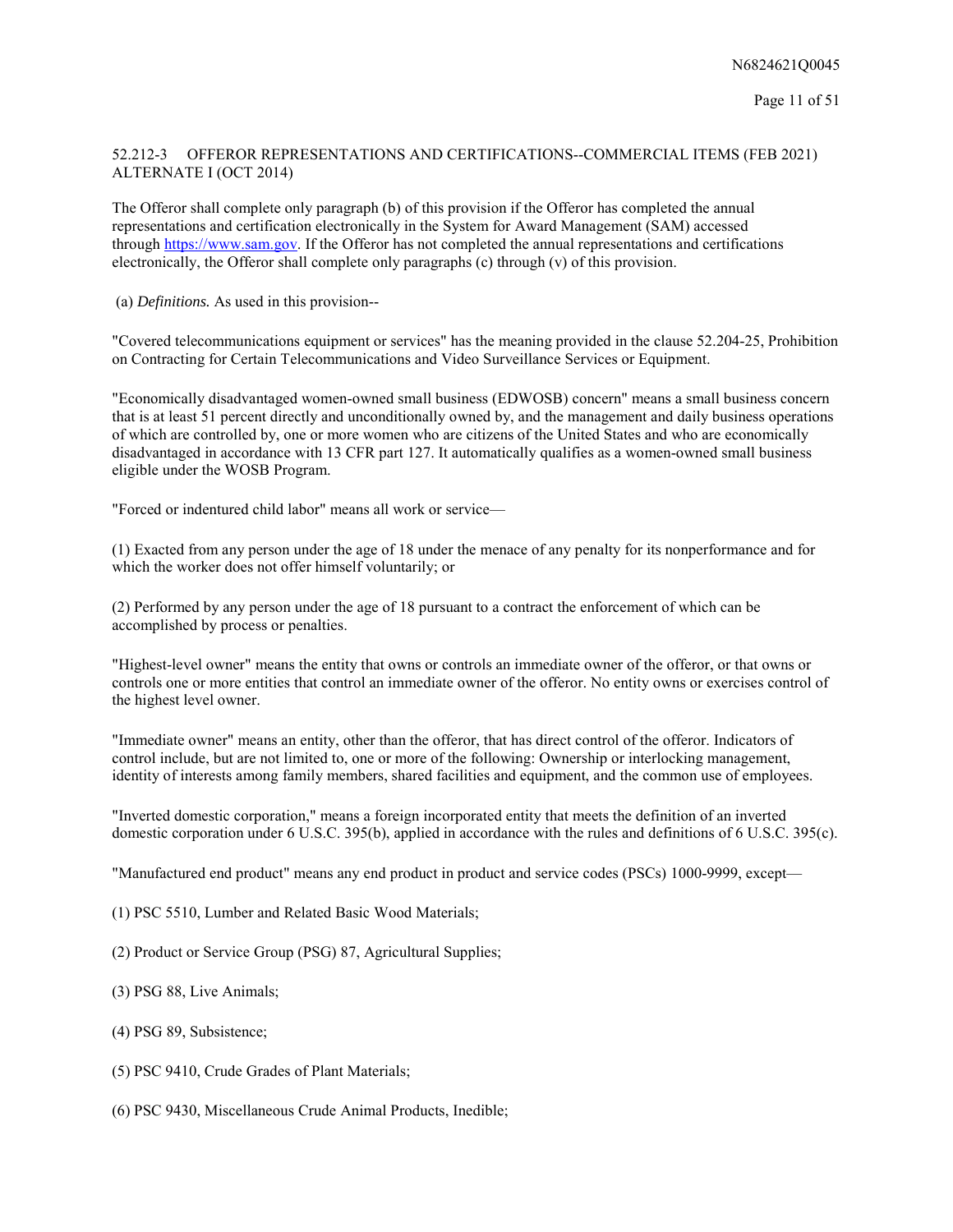# 52.212-3 OFFEROR REPRESENTATIONS AND CERTIFICATIONS--COMMERCIAL ITEMS (FEB 2021) ALTERNATE I (OCT 2014)

The Offeror shall complete only paragraph (b) of this provision if the Offeror has completed the annual representations and certification electronically in the System for Award Management (SAM) accessed through https://www.sam.gov. If the Offeror has not completed the annual representations and certifications electronically, the Offeror shall complete only paragraphs (c) through (v) of this provision.

(a) *Definitions.* As used in this provision--

"Covered telecommunications equipment or services" has the meaning provided in the clause 52.204-25, Prohibition on Contracting for Certain Telecommunications and Video Surveillance Services or Equipment.

"Economically disadvantaged women-owned small business (EDWOSB) concern" means a small business concern that is at least 51 percent directly and unconditionally owned by, and the management and daily business operations of which are controlled by, one or more women who are citizens of the United States and who are economically disadvantaged in accordance with 13 CFR part 127. It automatically qualifies as a women-owned small business eligible under the WOSB Program.

"Forced or indentured child labor" means all work or service—

(1) Exacted from any person under the age of 18 under the menace of any penalty for its nonperformance and for which the worker does not offer himself voluntarily; or

(2) Performed by any person under the age of 18 pursuant to a contract the enforcement of which can be accomplished by process or penalties.

"Highest-level owner" means the entity that owns or controls an immediate owner of the offeror, or that owns or controls one or more entities that control an immediate owner of the offeror. No entity owns or exercises control of the highest level owner.

"Immediate owner" means an entity, other than the offeror, that has direct control of the offeror. Indicators of control include, but are not limited to, one or more of the following: Ownership or interlocking management, identity of interests among family members, shared facilities and equipment, and the common use of employees.

"Inverted domestic corporation," means a foreign incorporated entity that meets the definition of an inverted domestic corporation under 6 U.S.C. 395(b), applied in accordance with the rules and definitions of 6 U.S.C. 395(c).

"Manufactured end product" means any end product in product and service codes (PSCs) 1000-9999, except—

(1) PSC 5510, Lumber and Related Basic Wood Materials;

(2) Product or Service Group (PSG) 87, Agricultural Supplies;

(3) PSG 88, Live Animals;

(4) PSG 89, Subsistence;

(5) PSC 9410, Crude Grades of Plant Materials;

(6) PSC 9430, Miscellaneous Crude Animal Products, Inedible;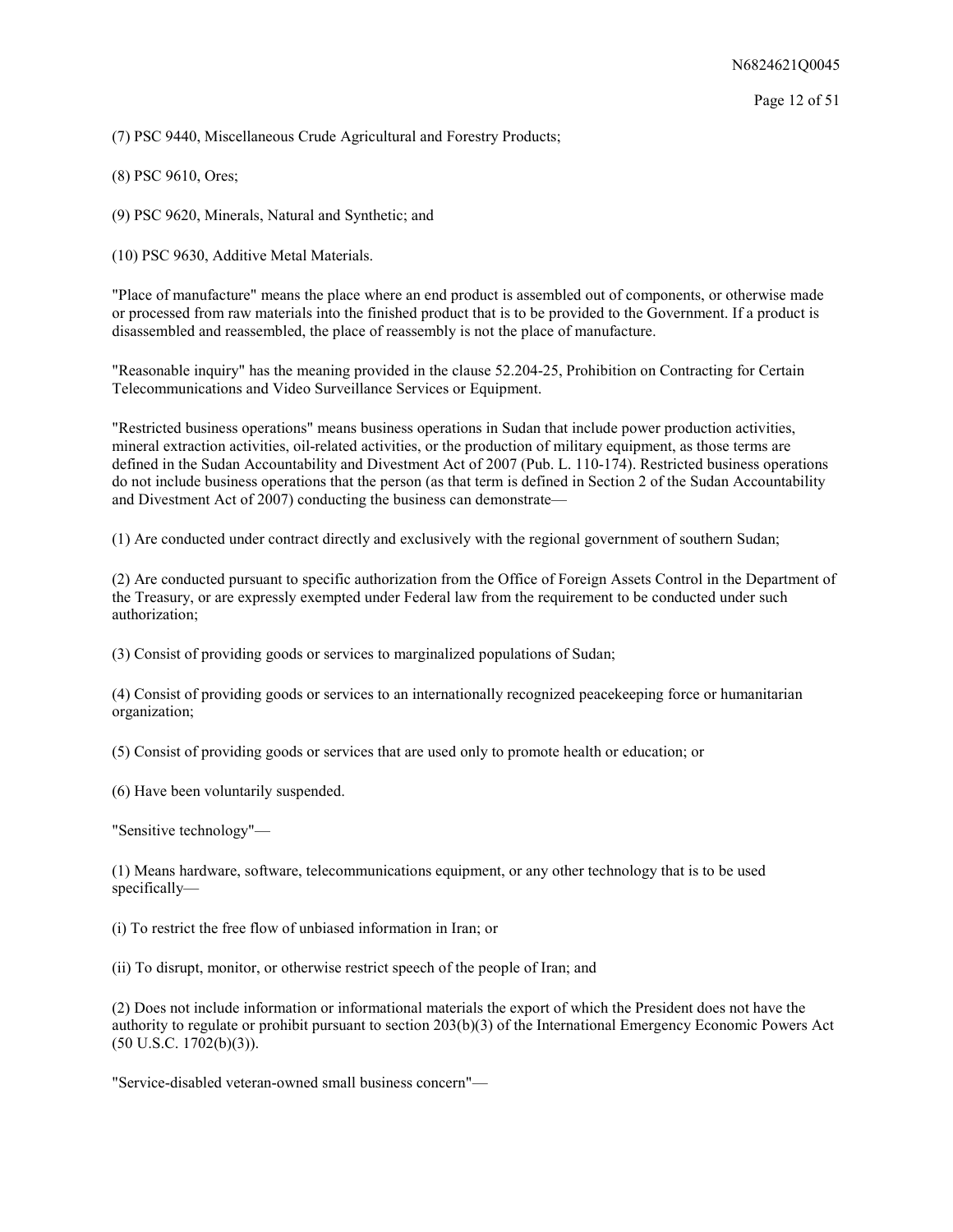Page 12 of 51

(7) PSC 9440, Miscellaneous Crude Agricultural and Forestry Products;

(8) PSC 9610, Ores;

(9) PSC 9620, Minerals, Natural and Synthetic; and

(10) PSC 9630, Additive Metal Materials.

"Place of manufacture" means the place where an end product is assembled out of components, or otherwise made or processed from raw materials into the finished product that is to be provided to the Government. If a product is disassembled and reassembled, the place of reassembly is not the place of manufacture.

"Reasonable inquiry" has the meaning provided in the clause 52.204-25, Prohibition on Contracting for Certain Telecommunications and Video Surveillance Services or Equipment.

"Restricted business operations" means business operations in Sudan that include power production activities, mineral extraction activities, oil-related activities, or the production of military equipment, as those terms are defined in the Sudan Accountability and Divestment Act of 2007 (Pub. L. 110-174). Restricted business operations do not include business operations that the person (as that term is defined in Section 2 of the Sudan Accountability and Divestment Act of 2007) conducting the business can demonstrate—

(1) Are conducted under contract directly and exclusively with the regional government of southern Sudan;

(2) Are conducted pursuant to specific authorization from the Office of Foreign Assets Control in the Department of the Treasury, or are expressly exempted under Federal law from the requirement to be conducted under such authorization;

(3) Consist of providing goods or services to marginalized populations of Sudan;

(4) Consist of providing goods or services to an internationally recognized peacekeeping force or humanitarian organization;

(5) Consist of providing goods or services that are used only to promote health or education; or

(6) Have been voluntarily suspended.

"Sensitive technology"—

(1) Means hardware, software, telecommunications equipment, or any other technology that is to be used specifically—

(i) To restrict the free flow of unbiased information in Iran; or

(ii) To disrupt, monitor, or otherwise restrict speech of the people of Iran; and

(2) Does not include information or informational materials the export of which the President does not have the authority to regulate or prohibit pursuant to section 203(b)(3) of the International Emergency Economic Powers Act (50 U.S.C. 1702(b)(3)).

"Service-disabled veteran-owned small business concern"—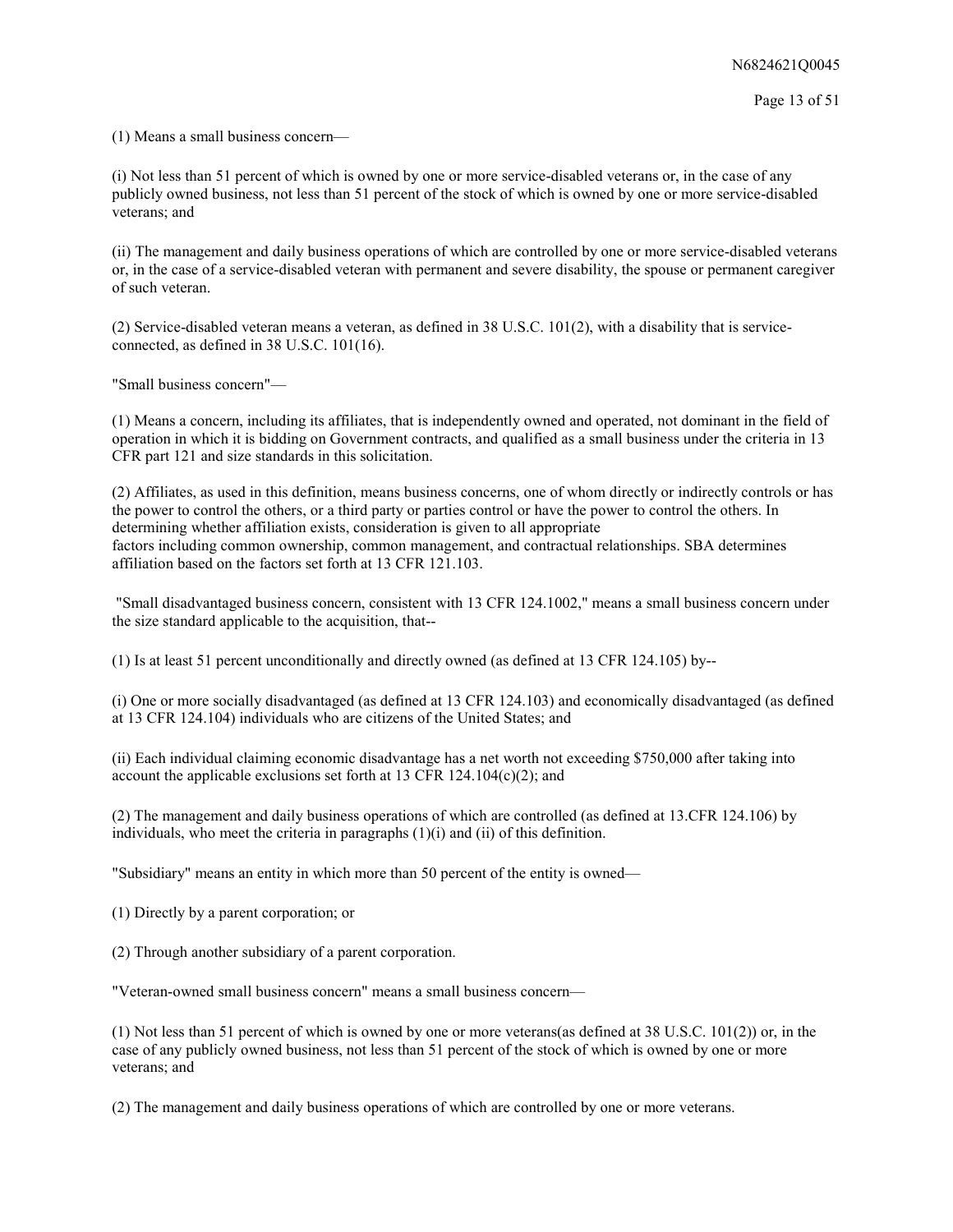(1) Means a small business concern—

(i) Not less than 51 percent of which is owned by one or more service-disabled veterans or, in the case of any publicly owned business, not less than 51 percent of the stock of which is owned by one or more service-disabled veterans; and

(ii) The management and daily business operations of which are controlled by one or more service-disabled veterans or, in the case of a service-disabled veteran with permanent and severe disability, the spouse or permanent caregiver of such veteran.

(2) Service-disabled veteran means a veteran, as defined in 38 U.S.C. 101(2), with a disability that is serviceconnected, as defined in 38 U.S.C. 101(16).

"Small business concern"—

(1) Means a concern, including its affiliates, that is independently owned and operated, not dominant in the field of operation in which it is bidding on Government contracts, and qualified as a small business under the criteria in 13 CFR part 121 and size standards in this solicitation.

(2) Affiliates, as used in this definition, means business concerns, one of whom directly or indirectly controls or has the power to control the others, or a third party or parties control or have the power to control the others. In determining whether affiliation exists, consideration is given to all appropriate factors including common ownership, common management, and contractual relationships. SBA determines affiliation based on the factors set forth at 13 CFR 121.103.

 "Small disadvantaged business concern, consistent with 13 CFR 124.1002," means a small business concern under the size standard applicable to the acquisition, that--

(1) Is at least 51 percent unconditionally and directly owned (as defined at 13 CFR 124.105) by--

(i) One or more socially disadvantaged (as defined at 13 CFR 124.103) and economically disadvantaged (as defined at 13 CFR 124.104) individuals who are citizens of the United States; and

(ii) Each individual claiming economic disadvantage has a net worth not exceeding \$750,000 after taking into account the applicable exclusions set forth at 13 CFR 124.104 $(c)(2)$ ; and

(2) The management and daily business operations of which are controlled (as defined at 13.CFR 124.106) by individuals, who meet the criteria in paragraphs (1)(i) and (ii) of this definition.

"Subsidiary" means an entity in which more than 50 percent of the entity is owned—

(1) Directly by a parent corporation; or

(2) Through another subsidiary of a parent corporation.

"Veteran-owned small business concern" means a small business concern—

(1) Not less than 51 percent of which is owned by one or more veterans(as defined at 38 U.S.C. 101(2)) or, in the case of any publicly owned business, not less than 51 percent of the stock of which is owned by one or more veterans; and

(2) The management and daily business operations of which are controlled by one or more veterans.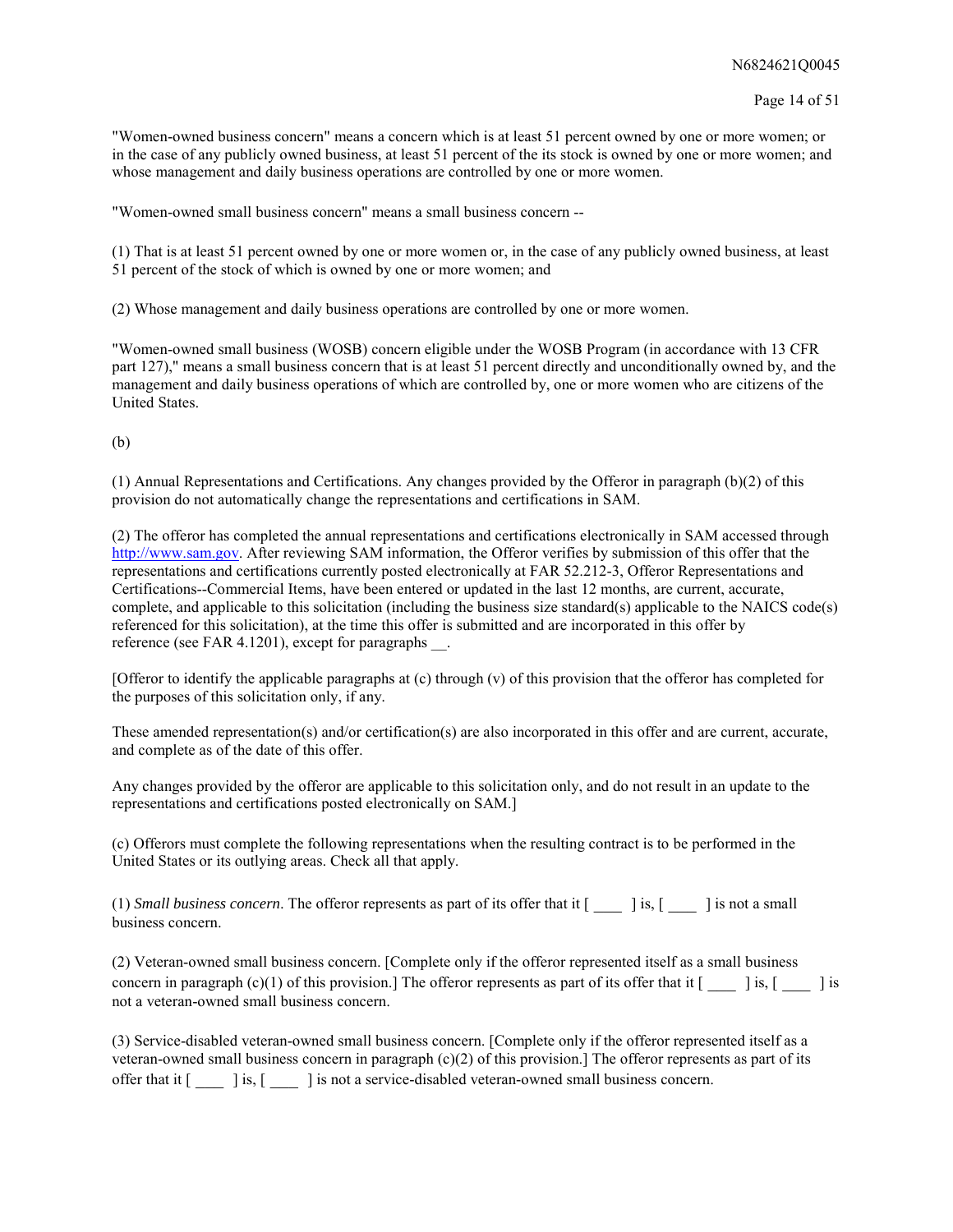"Women-owned business concern" means a concern which is at least 51 percent owned by one or more women; or in the case of any publicly owned business, at least 51 percent of the its stock is owned by one or more women; and whose management and daily business operations are controlled by one or more women.

"Women-owned small business concern" means a small business concern --

(1) That is at least 51 percent owned by one or more women or, in the case of any publicly owned business, at least 51 percent of the stock of which is owned by one or more women; and

(2) Whose management and daily business operations are controlled by one or more women.

"Women-owned small business (WOSB) concern eligible under the WOSB Program (in accordance with 13 CFR part 127)," means a small business concern that is at least 51 percent directly and unconditionally owned by, and the management and daily business operations of which are controlled by, one or more women who are citizens of the United States.

(b)

(1) Annual Representations and Certifications. Any changes provided by the Offeror in paragraph (b)(2) of this provision do not automatically change the representations and certifications in SAM.

(2) The offeror has completed the annual representations and certifications electronically in SAM accessed through http://www.sam.gov. After reviewing SAM information, the Offeror verifies by submission of this offer that the representations and certifications currently posted electronically at FAR 52.212-3, Offeror Representations and Certifications--Commercial Items, have been entered or updated in the last 12 months, are current, accurate, complete, and applicable to this solicitation (including the business size standard(s) applicable to the NAICS code(s) referenced for this solicitation), at the time this offer is submitted and are incorporated in this offer by reference (see FAR 4.1201), except for paragraphs .

[Offeror to identify the applicable paragraphs at (c) through (v) of this provision that the offeror has completed for the purposes of this solicitation only, if any.

These amended representation(s) and/or certification(s) are also incorporated in this offer and are current, accurate, and complete as of the date of this offer.

Any changes provided by the offeror are applicable to this solicitation only, and do not result in an update to the representations and certifications posted electronically on SAM.]

(c) Offerors must complete the following representations when the resulting contract is to be performed in the United States or its outlying areas. Check all that apply.

(1) *Small business concern*. The offeror represents as part of its offer that it [ \_\_\_ ] is, [ \_\_\_ ] is not a small business concern.

(2) Veteran-owned small business concern. [Complete only if the offeror represented itself as a small business concern in paragraph  $(c)(1)$  of this provision.] The offeror represents as part of its offer that it  $[\_\_\_\]$  is,  $[\_\_\_\]$  is not a veteran-owned small business concern.

(3) Service-disabled veteran-owned small business concern. [Complete only if the offeror represented itself as a veteran-owned small business concern in paragraph  $(c)(2)$  of this provision.] The offeror represents as part of its offer that it [ \_\_\_ ] is, [ \_\_\_ ] is not a service-disabled veteran-owned small business concern.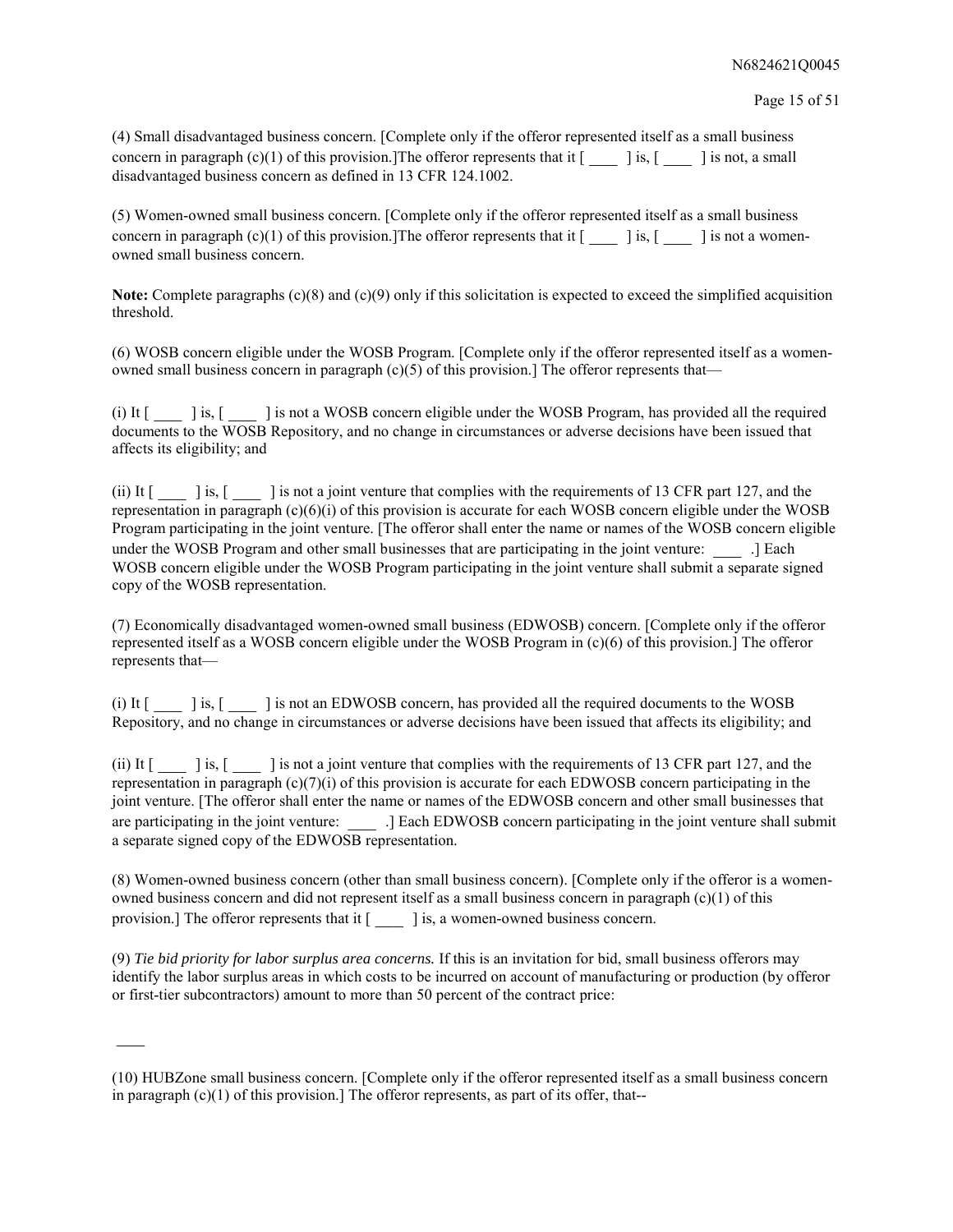### Page 15 of 51

(4) Small disadvantaged business concern. [Complete only if the offeror represented itself as a small business concern in paragraph (c)(1) of this provision.] The offeror represents that it  $\begin{bmatrix} \quad & \quad \end{bmatrix}$  is,  $\begin{bmatrix} \quad & \quad \end{bmatrix}$  is not, a small disadvantaged business concern as defined in 13 CFR 124.1002.

(5) Women-owned small business concern. [Complete only if the offeror represented itself as a small business concern in paragraph  $(c)(1)$  of this provision.] The offeror represents that it  $[\_\_\_\]$  is,  $[\_\_\_\]$  is not a womenowned small business concern.

**Note:** Complete paragraphs (c)(8) and (c)(9) only if this solicitation is expected to exceed the simplified acquisition threshold.

(6) WOSB concern eligible under the WOSB Program. [Complete only if the offeror represented itself as a womenowned small business concern in paragraph  $(c)(5)$  of this provision.] The offeror represents that—

(i) It [ \_\_\_ ] is, [ \_\_\_ ] is not a WOSB concern eligible under the WOSB Program, has provided all the required documents to the WOSB Repository, and no change in circumstances or adverse decisions have been issued that affects its eligibility; and

(ii) It [ \_\_\_ ] is, [ \_\_\_ ] is not a joint venture that complies with the requirements of 13 CFR part 127, and the representation in paragraph  $(c)(6)(i)$  of this provision is accurate for each WOSB concern eligible under the WOSB Program participating in the joint venture. [The offeror shall enter the name or names of the WOSB concern eligible under the WOSB Program and other small businesses that are participating in the joint venture: . [ ] Each WOSB concern eligible under the WOSB Program participating in the joint venture shall submit a separate signed copy of the WOSB representation.

(7) Economically disadvantaged women-owned small business (EDWOSB) concern. [Complete only if the offeror represented itself as a WOSB concern eligible under the WOSB Program in (c)(6) of this provision.] The offeror represents that—

(i) It [ \_\_\_ ] is, [ \_\_\_ ] is not an EDWOSB concern, has provided all the required documents to the WOSB Repository, and no change in circumstances or adverse decisions have been issued that affects its eligibility; and

(ii) It [ \_\_\_ ] is, [ \_\_\_ ] is not a joint venture that complies with the requirements of 13 CFR part 127, and the representation in paragraph  $(c)(7)(i)$  of this provision is accurate for each EDWOSB concern participating in the joint venture. [The offeror shall enter the name or names of the EDWOSB concern and other small businesses that are participating in the joint venture: . . .] Each EDWOSB concern participating in the joint venture shall submit a separate signed copy of the EDWOSB representation.

(8) Women-owned business concern (other than small business concern). [Complete only if the offeror is a womenowned business concern and did not represent itself as a small business concern in paragraph (c)(1) of this provision.] The offeror represents that it [ \_\_\_ ] is, a women-owned business concern.

(9) *Tie bid priority for labor surplus area concerns.* If this is an invitation for bid, small business offerors may identify the labor surplus areas in which costs to be incurred on account of manufacturing or production (by offeror or first-tier subcontractors) amount to more than 50 percent of the contract price:

 $\frac{1}{2}$ 

<sup>(10)</sup> HUBZone small business concern. [Complete only if the offeror represented itself as a small business concern in paragraph  $(c)(1)$  of this provision.] The offeror represents, as part of its offer, that--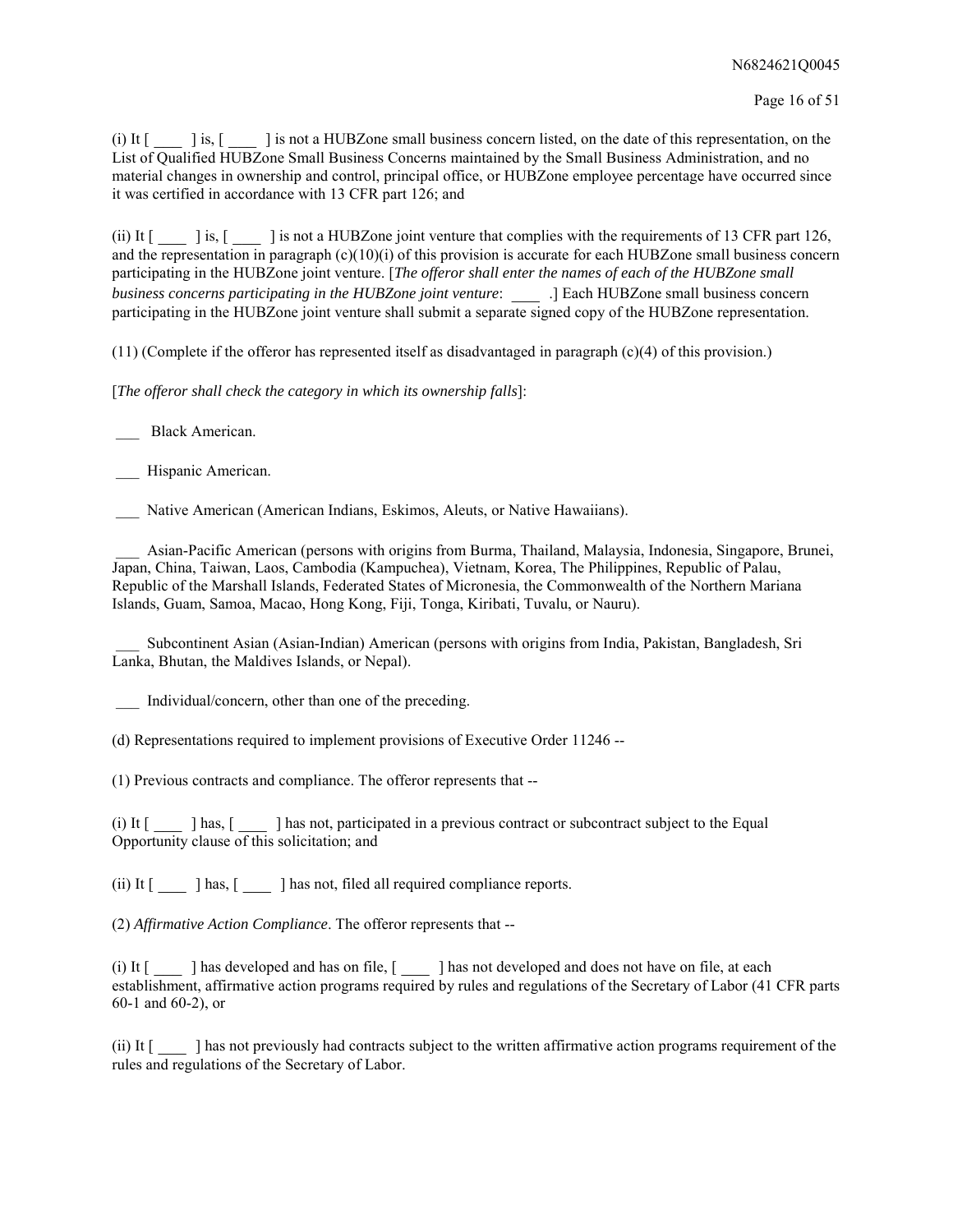(i) It  $\lceil \cdot \cdot \rceil$  is,  $\lceil \cdot \cdot \rceil$  is not a HUBZone small business concern listed, on the date of this representation, on the List of Qualified HUBZone Small Business Concerns maintained by the Small Business Administration, and no material changes in ownership and control, principal office, or HUBZone employee percentage have occurred since it was certified in accordance with 13 CFR part 126; and

(ii) It [ \_\_\_ ] is, [ \_\_\_ ] is not a HUBZone joint venture that complies with the requirements of 13 CFR part 126, and the representation in paragraph  $(c)(10)(i)$  of this provision is accurate for each HUBZone small business concern participating in the HUBZone joint venture. [*The offeror shall enter the names of each of the HUBZone small business concerns participating in the HUBZone joint venture*: \_\_\_ .] Each HUBZone small business concern participating in the HUBZone joint venture shall submit a separate signed copy of the HUBZone representation.

(11) (Complete if the offeror has represented itself as disadvantaged in paragraph (c)(4) of this provision.)

[*The offeror shall check the category in which its ownership falls*]:

Black American.

Hispanic American.

\_\_\_ Native American (American Indians, Eskimos, Aleuts, or Native Hawaiians).

 \_\_\_ Asian-Pacific American (persons with origins from Burma, Thailand, Malaysia, Indonesia, Singapore, Brunei, Japan, China, Taiwan, Laos, Cambodia (Kampuchea), Vietnam, Korea, The Philippines, Republic of Palau, Republic of the Marshall Islands, Federated States of Micronesia, the Commonwealth of the Northern Mariana Islands, Guam, Samoa, Macao, Hong Kong, Fiji, Tonga, Kiribati, Tuvalu, or Nauru).

 \_\_\_ Subcontinent Asian (Asian-Indian) American (persons with origins from India, Pakistan, Bangladesh, Sri Lanka, Bhutan, the Maldives Islands, or Nepal).

Individual/concern, other than one of the preceding.

(d) Representations required to implement provisions of Executive Order 11246 --

(1) Previous contracts and compliance. The offeror represents that --

(i) It [ \_\_\_ ] has, [ \_\_\_ ] has not, participated in a previous contract or subcontract subject to the Equal Opportunity clause of this solicitation; and

(ii) It [ \_\_\_ ] has, [ \_\_\_ ] has not, filed all required compliance reports.

(2) *Affirmative Action Compliance*. The offeror represents that --

(i) It [ \_\_\_ ] has developed and has on file, [ \_\_\_ ] has not developed and does not have on file, at each establishment, affirmative action programs required by rules and regulations of the Secretary of Labor (41 CFR parts 60-1 and 60-2), or

(ii) It [ \_\_\_ ] has not previously had contracts subject to the written affirmative action programs requirement of the rules and regulations of the Secretary of Labor.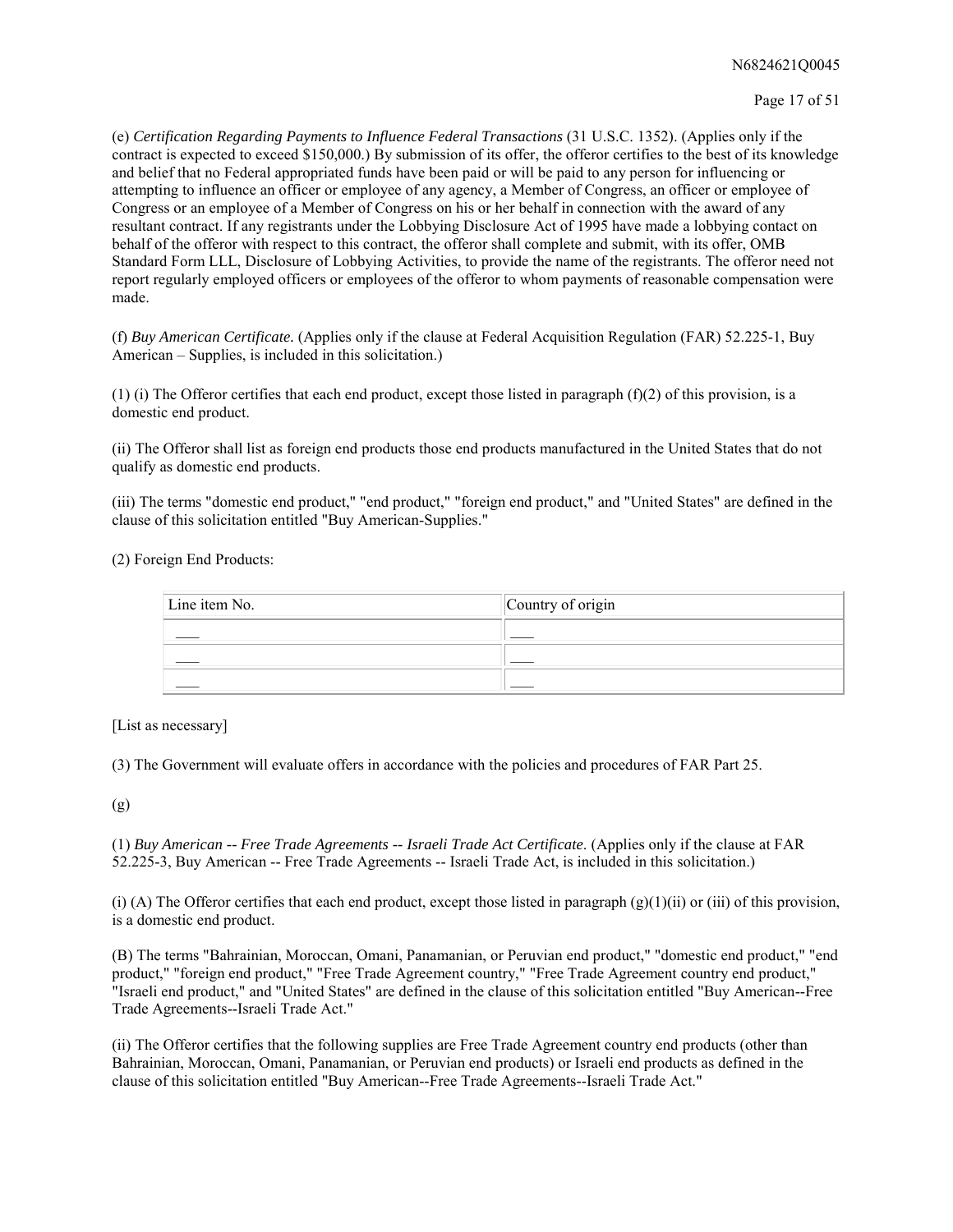(e) *Certification Regarding Payments to Influence Federal Transactions* (31 U.S.C. 1352). (Applies only if the contract is expected to exceed \$150,000.) By submission of its offer, the offeror certifies to the best of its knowledge and belief that no Federal appropriated funds have been paid or will be paid to any person for influencing or attempting to influence an officer or employee of any agency, a Member of Congress, an officer or employee of Congress or an employee of a Member of Congress on his or her behalf in connection with the award of any resultant contract. If any registrants under the Lobbying Disclosure Act of 1995 have made a lobbying contact on behalf of the offeror with respect to this contract, the offeror shall complete and submit, with its offer, OMB Standard Form LLL, Disclosure of Lobbying Activities, to provide the name of the registrants. The offeror need not report regularly employed officers or employees of the offeror to whom payments of reasonable compensation were made.

(f) *Buy American Certificate.* (Applies only if the clause at Federal Acquisition Regulation (FAR) 52.225-1, Buy American – Supplies, is included in this solicitation.)

 $(1)$  (i) The Offeror certifies that each end product, except those listed in paragraph (f)(2) of this provision, is a domestic end product.

(ii) The Offeror shall list as foreign end products those end products manufactured in the United States that do not qualify as domestic end products.

(iii) The terms "domestic end product," "end product," "foreign end product," and "United States" are defined in the clause of this solicitation entitled "Buy American-Supplies."

(2) Foreign End Products:

| Line item No. | Country of origin |
|---------------|-------------------|
|               |                   |
|               |                   |
|               |                   |

[List as necessary]

(3) The Government will evaluate offers in accordance with the policies and procedures of FAR Part 25.

(g)

(1) *Buy American -- Free Trade Agreements -- Israeli Trade Act Certificate*. (Applies only if the clause at FAR 52.225-3, Buy American -- Free Trade Agreements -- Israeli Trade Act, is included in this solicitation.)

(i) (A) The Offeror certifies that each end product, except those listed in paragraph  $(g)(1)(ii)$  or (iii) of this provision, is a domestic end product.

(B) The terms "Bahrainian, Moroccan, Omani, Panamanian, or Peruvian end product," "domestic end product," "end product," "foreign end product," "Free Trade Agreement country," "Free Trade Agreement country end product," "Israeli end product," and "United States" are defined in the clause of this solicitation entitled "Buy American--Free Trade Agreements--Israeli Trade Act."

(ii) The Offeror certifies that the following supplies are Free Trade Agreement country end products (other than Bahrainian, Moroccan, Omani, Panamanian, or Peruvian end products) or Israeli end products as defined in the clause of this solicitation entitled "Buy American--Free Trade Agreements--Israeli Trade Act."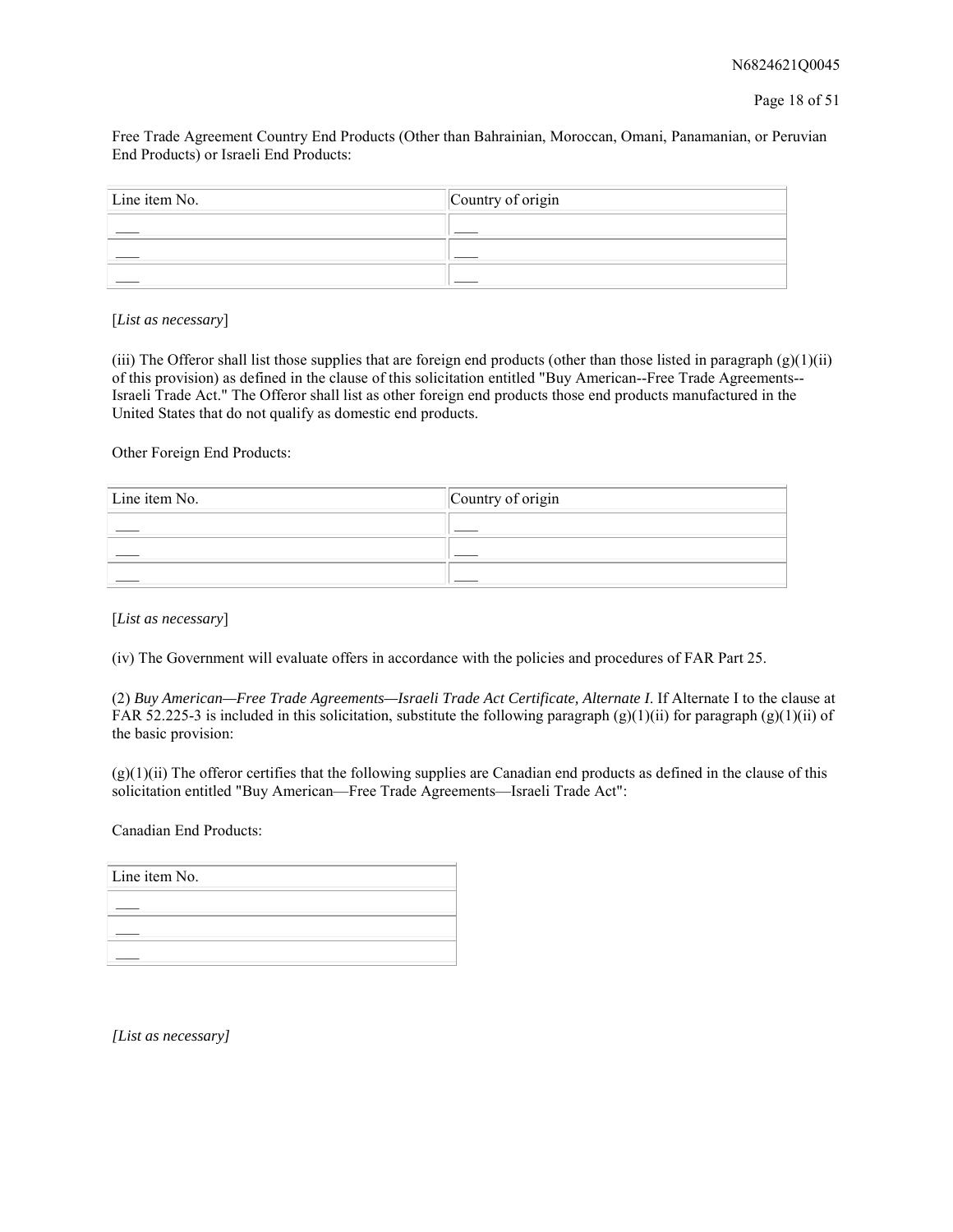Free Trade Agreement Country End Products (Other than Bahrainian, Moroccan, Omani, Panamanian, or Peruvian End Products) or Israeli End Products:

| Line item No. | Country of origin |
|---------------|-------------------|
|               |                   |
|               |                   |
|               |                   |

### [*List as necessary*]

(iii) The Offeror shall list those supplies that are foreign end products (other than those listed in paragraph  $(g)(1)(ii)$ ) of this provision) as defined in the clause of this solicitation entitled "Buy American--Free Trade Agreements-- Israeli Trade Act." The Offeror shall list as other foreign end products those end products manufactured in the United States that do not qualify as domestic end products.

Other Foreign End Products:

| Line item No. | Country of origin |
|---------------|-------------------|
|               |                   |
|               |                   |
|               |                   |

[*List as necessary*]

(iv) The Government will evaluate offers in accordance with the policies and procedures of FAR Part 25.

(2) *Buy American—Free Trade Agreements—Israeli Trade Act Certificate, Alternate I*. If Alternate I to the clause at FAR 52.225-3 is included in this solicitation, substitute the following paragraph  $(g)(1)(ii)$  for paragraph  $(g)(1)(ii)$  of the basic provision:

 $(g)(1)(ii)$  The offeror certifies that the following supplies are Canadian end products as defined in the clause of this solicitation entitled "Buy American—Free Trade Agreements—Israeli Trade Act":

Canadian End Products:

| Line item No. |  |
|---------------|--|
|               |  |
|               |  |
|               |  |

*[List as necessary]*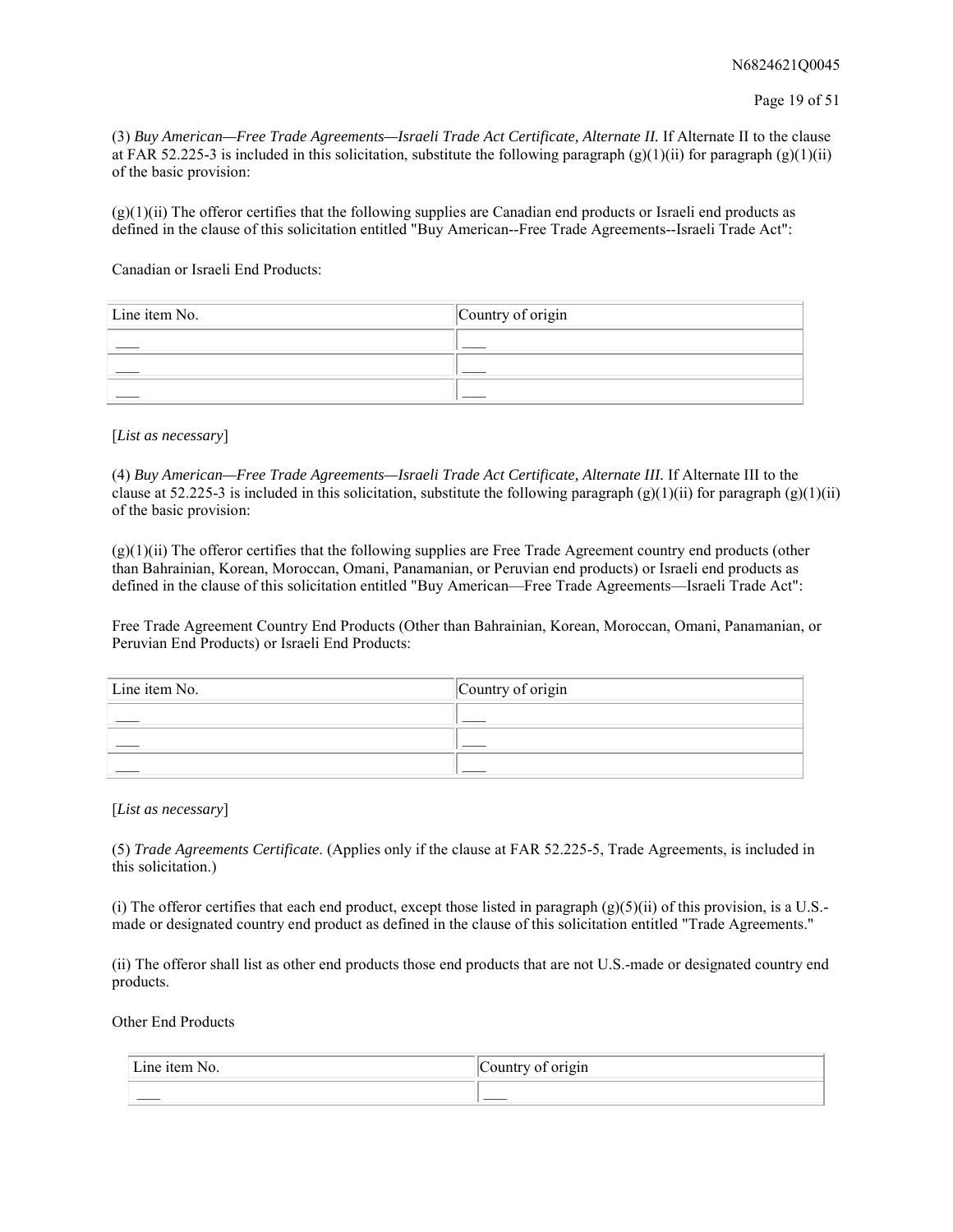(3) *Buy American—Free Trade Agreements—Israeli Trade Act Certificate, Alternate II.* If Alternate II to the clause at FAR 52.225-3 is included in this solicitation, substitute the following paragraph  $(g)(1)(ii)$  for paragraph  $(g)(1)(ii)$ of the basic provision:

 $(g)(1)(ii)$  The offeror certifies that the following supplies are Canadian end products or Israeli end products as defined in the clause of this solicitation entitled "Buy American--Free Trade Agreements--Israeli Trade Act":

Canadian or Israeli End Products:

| Line item No. | Country of origin |
|---------------|-------------------|
|               |                   |
|               |                   |
|               |                   |

[*List as necessary*]

(4) *Buy American—Free Trade Agreements—Israeli Trade Act Certificate, Alternate III.* If Alternate III to the clause at 52.225-3 is included in this solicitation, substitute the following paragraph (g)(1)(ii) for paragraph (g)(1)(ii) of the basic provision:

 $(g)(1)(ii)$  The offeror certifies that the following supplies are Free Trade Agreement country end products (other than Bahrainian, Korean, Moroccan, Omani, Panamanian, or Peruvian end products) or Israeli end products as defined in the clause of this solicitation entitled "Buy American—Free Trade Agreements—Israeli Trade Act":

Free Trade Agreement Country End Products (Other than Bahrainian, Korean, Moroccan, Omani, Panamanian, or Peruvian End Products) or Israeli End Products:

| Line item No. | Country of origin |
|---------------|-------------------|
|               |                   |
|               |                   |
|               |                   |

[*List as necessary*]

(5) *Trade Agreements Certificate*. (Applies only if the clause at FAR 52.225-5, Trade Agreements, is included in this solicitation.)

(i) The offeror certifies that each end product, except those listed in paragraph  $(g)(5)(ii)$  of this provision, is a U.S.made or designated country end product as defined in the clause of this solicitation entitled "Trade Agreements."

(ii) The offeror shall list as other end products those end products that are not U.S.-made or designated country end products.

Other End Products

| Line item | of origin |
|-----------|-----------|
| No.       | .Country  |
|           |           |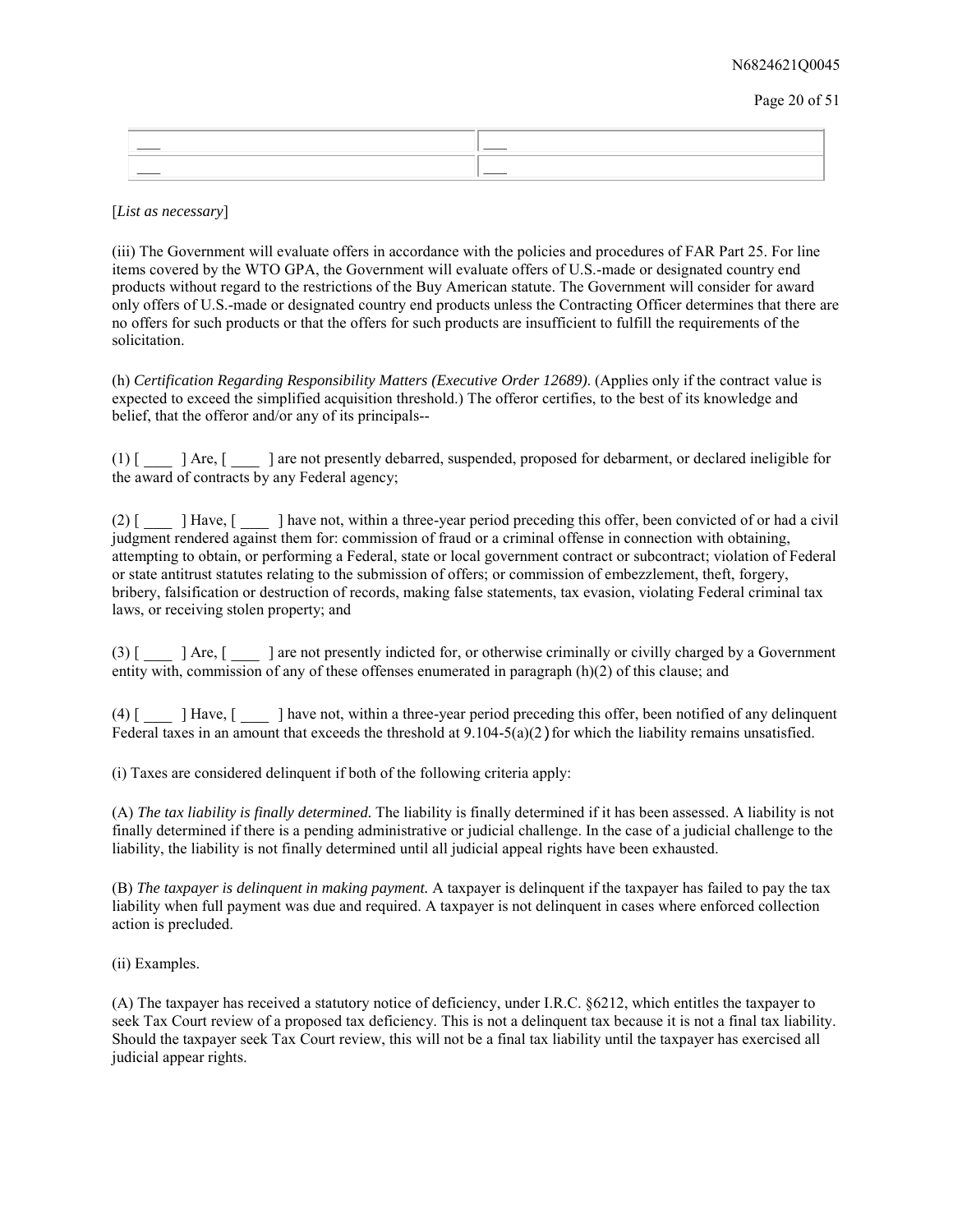### N6824621Q0045

Page 20 of 51

| the contract of the contract of the contract of the contract of the contract of the contract of the contract of |  |
|-----------------------------------------------------------------------------------------------------------------|--|
|                                                                                                                 |  |
|                                                                                                                 |  |
|                                                                                                                 |  |

[*List as necessary*]

(iii) The Government will evaluate offers in accordance with the policies and procedures of FAR Part 25. For line items covered by the WTO GPA, the Government will evaluate offers of U.S.-made or designated country end products without regard to the restrictions of the Buy American statute. The Government will consider for award only offers of U.S.-made or designated country end products unless the Contracting Officer determines that there are no offers for such products or that the offers for such products are insufficient to fulfill the requirements of the solicitation.

(h) *Certification Regarding Responsibility Matters (Executive Order 12689)*. (Applies only if the contract value is expected to exceed the simplified acquisition threshold.) The offeror certifies, to the best of its knowledge and belief, that the offeror and/or any of its principals--

(1) [ \_\_\_ ] Are, [ \_\_\_ ] are not presently debarred, suspended, proposed for debarment, or declared ineligible for the award of contracts by any Federal agency;

(2) [ \_\_\_ ] Have, [ \_\_\_ ] have not, within a three-year period preceding this offer, been convicted of or had a civil judgment rendered against them for: commission of fraud or a criminal offense in connection with obtaining, attempting to obtain, or performing a Federal, state or local government contract or subcontract; violation of Federal or state antitrust statutes relating to the submission of offers; or commission of embezzlement, theft, forgery, bribery, falsification or destruction of records, making false statements, tax evasion, violating Federal criminal tax laws, or receiving stolen property; and

(3) [ \_\_\_ ] Are, [ \_\_\_ ] are not presently indicted for, or otherwise criminally or civilly charged by a Government entity with, commission of any of these offenses enumerated in paragraph (h)(2) of this clause; and

(4) [ \_\_\_ ] Have, [ \_\_\_ ] have not, within a three-year period preceding this offer, been notified of any delinquent Federal taxes in an amount that exceeds the threshold at  $9.104-5(a)(2)$  for which the liability remains unsatisfied.

(i) Taxes are considered delinquent if both of the following criteria apply:

(A) *The tax liability is finally determined.* The liability is finally determined if it has been assessed. A liability is not finally determined if there is a pending administrative or judicial challenge. In the case of a judicial challenge to the liability, the liability is not finally determined until all judicial appeal rights have been exhausted.

(B) *The taxpayer is delinquent in making payment.* A taxpayer is delinquent if the taxpayer has failed to pay the tax liability when full payment was due and required. A taxpayer is not delinquent in cases where enforced collection action is precluded.

(ii) Examples.

(A) The taxpayer has received a statutory notice of deficiency, under I.R.C. §6212, which entitles the taxpayer to seek Tax Court review of a proposed tax deficiency. This is not a delinquent tax because it is not a final tax liability. Should the taxpayer seek Tax Court review, this will not be a final tax liability until the taxpayer has exercised all judicial appear rights.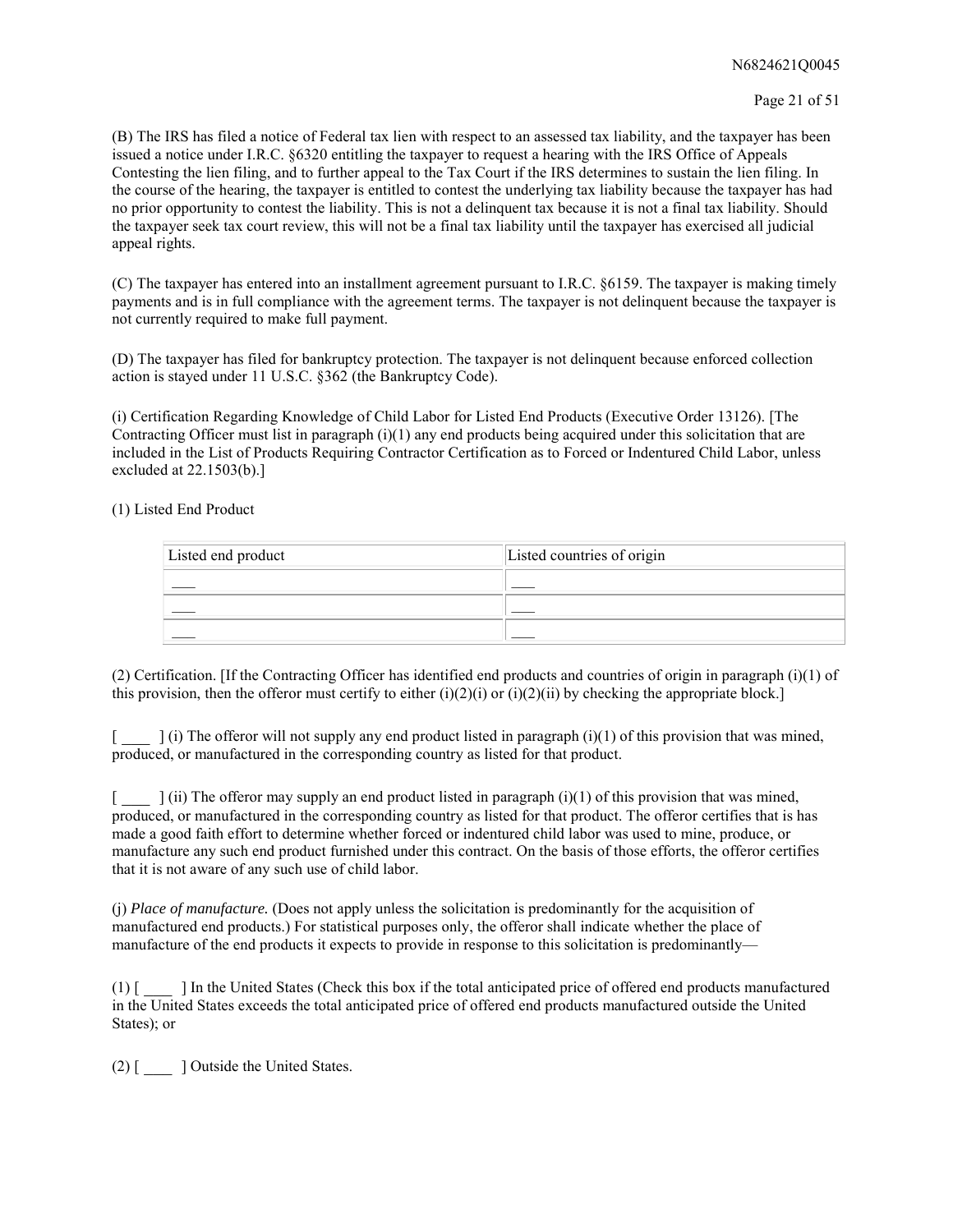(B) The IRS has filed a notice of Federal tax lien with respect to an assessed tax liability, and the taxpayer has been issued a notice under I.R.C. §6320 entitling the taxpayer to request a hearing with the IRS Office of Appeals Contesting the lien filing, and to further appeal to the Tax Court if the IRS determines to sustain the lien filing. In the course of the hearing, the taxpayer is entitled to contest the underlying tax liability because the taxpayer has had no prior opportunity to contest the liability. This is not a delinquent tax because it is not a final tax liability. Should the taxpayer seek tax court review, this will not be a final tax liability until the taxpayer has exercised all judicial appeal rights.

(C) The taxpayer has entered into an installment agreement pursuant to I.R.C. §6159. The taxpayer is making timely payments and is in full compliance with the agreement terms. The taxpayer is not delinquent because the taxpayer is not currently required to make full payment.

(D) The taxpayer has filed for bankruptcy protection. The taxpayer is not delinquent because enforced collection action is stayed under 11 U.S.C. §362 (the Bankruptcy Code).

(i) Certification Regarding Knowledge of Child Labor for Listed End Products (Executive Order 13126). [The Contracting Officer must list in paragraph (i)(1) any end products being acquired under this solicitation that are included in the List of Products Requiring Contractor Certification as to Forced or Indentured Child Labor, unless excluded at 22.1503(b).]

### (1) Listed End Product

| Listed end product | Listed countries of origin |
|--------------------|----------------------------|
|                    |                            |
|                    |                            |
|                    |                            |

(2) Certification. [If the Contracting Officer has identified end products and countries of origin in paragraph (i)(1) of this provision, then the offeror must certify to either (i)(2)(i) or (i)(2)(ii) by checking the appropriate block.]

 $\int$  (i) The offeror will not supply any end product listed in paragraph (i)(1) of this provision that was mined, produced, or manufactured in the corresponding country as listed for that product.

 $[\_\_]$   $[i]$  The offeror may supply an end product listed in paragraph (i)(1) of this provision that was mined, produced, or manufactured in the corresponding country as listed for that product. The offeror certifies that is has made a good faith effort to determine whether forced or indentured child labor was used to mine, produce, or manufacture any such end product furnished under this contract. On the basis of those efforts, the offeror certifies that it is not aware of any such use of child labor.

(j) *Place of manufacture.* (Does not apply unless the solicitation is predominantly for the acquisition of manufactured end products.) For statistical purposes only, the offeror shall indicate whether the place of manufacture of the end products it expects to provide in response to this solicitation is predominantly—

(1) [ \_\_\_ ] In the United States (Check this box if the total anticipated price of offered end products manufactured in the United States exceeds the total anticipated price of offered end products manufactured outside the United States); or

(2) [  $\Box$  ] Outside the United States.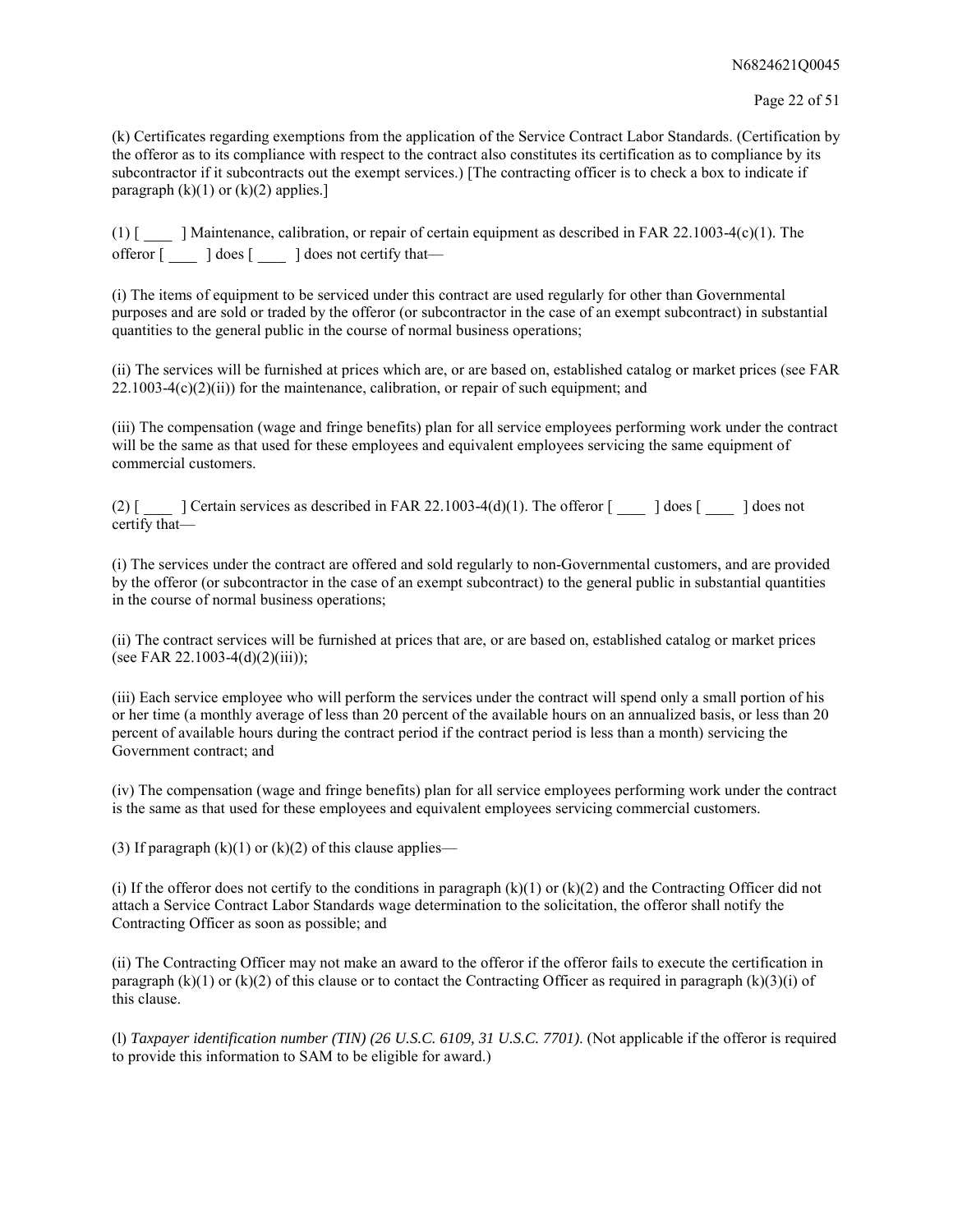(k) Certificates regarding exemptions from the application of the Service Contract Labor Standards. (Certification by the offeror as to its compliance with respect to the contract also constitutes its certification as to compliance by its subcontractor if it subcontracts out the exempt services.) [The contracting officer is to check a box to indicate if paragraph  $(k)(1)$  or  $(k)(2)$  applies.]

(1) [ \_\_\_ ] Maintenance, calibration, or repair of certain equipment as described in FAR 22.1003-4(c)(1). The offeror [ \_\_\_ ] does [ \_\_\_ ] does not certify that—

(i) The items of equipment to be serviced under this contract are used regularly for other than Governmental purposes and are sold or traded by the offeror (or subcontractor in the case of an exempt subcontract) in substantial quantities to the general public in the course of normal business operations;

(ii) The services will be furnished at prices which are, or are based on, established catalog or market prices (see FAR  $22.1003-4(c)(2)(ii)$  for the maintenance, calibration, or repair of such equipment; and

(iii) The compensation (wage and fringe benefits) plan for all service employees performing work under the contract will be the same as that used for these employees and equivalent employees servicing the same equipment of commercial customers.

(2)  $\left[\begin{array}{c} 2 \end{array}\right]$  Certain services as described in FAR 22.1003-4(d)(1). The offeror  $\left[\begin{array}{c} 2 \end{array}\right]$  does  $\left[\begin{array}{c} 2 \end{array}\right]$  does not certify that—

(i) The services under the contract are offered and sold regularly to non-Governmental customers, and are provided by the offeror (or subcontractor in the case of an exempt subcontract) to the general public in substantial quantities in the course of normal business operations;

(ii) The contract services will be furnished at prices that are, or are based on, established catalog or market prices (see FAR 22.1003-4(d)(2)(iii));

(iii) Each service employee who will perform the services under the contract will spend only a small portion of his or her time (a monthly average of less than 20 percent of the available hours on an annualized basis, or less than 20 percent of available hours during the contract period if the contract period is less than a month) servicing the Government contract; and

(iv) The compensation (wage and fringe benefits) plan for all service employees performing work under the contract is the same as that used for these employees and equivalent employees servicing commercial customers.

(3) If paragraph  $(k)(1)$  or  $(k)(2)$  of this clause applies—

(i) If the offeror does not certify to the conditions in paragraph  $(k)(1)$  or  $(k)(2)$  and the Contracting Officer did not attach a Service Contract Labor Standards wage determination to the solicitation, the offeror shall notify the Contracting Officer as soon as possible; and

(ii) The Contracting Officer may not make an award to the offeror if the offeror fails to execute the certification in paragraph (k)(1) or (k)(2) of this clause or to contact the Contracting Officer as required in paragraph (k)(3)(i) of this clause.

(l) *Taxpayer identification number (TIN) (26 U.S.C. 6109, 31 U.S.C. 7701)*. (Not applicable if the offeror is required to provide this information to SAM to be eligible for award.)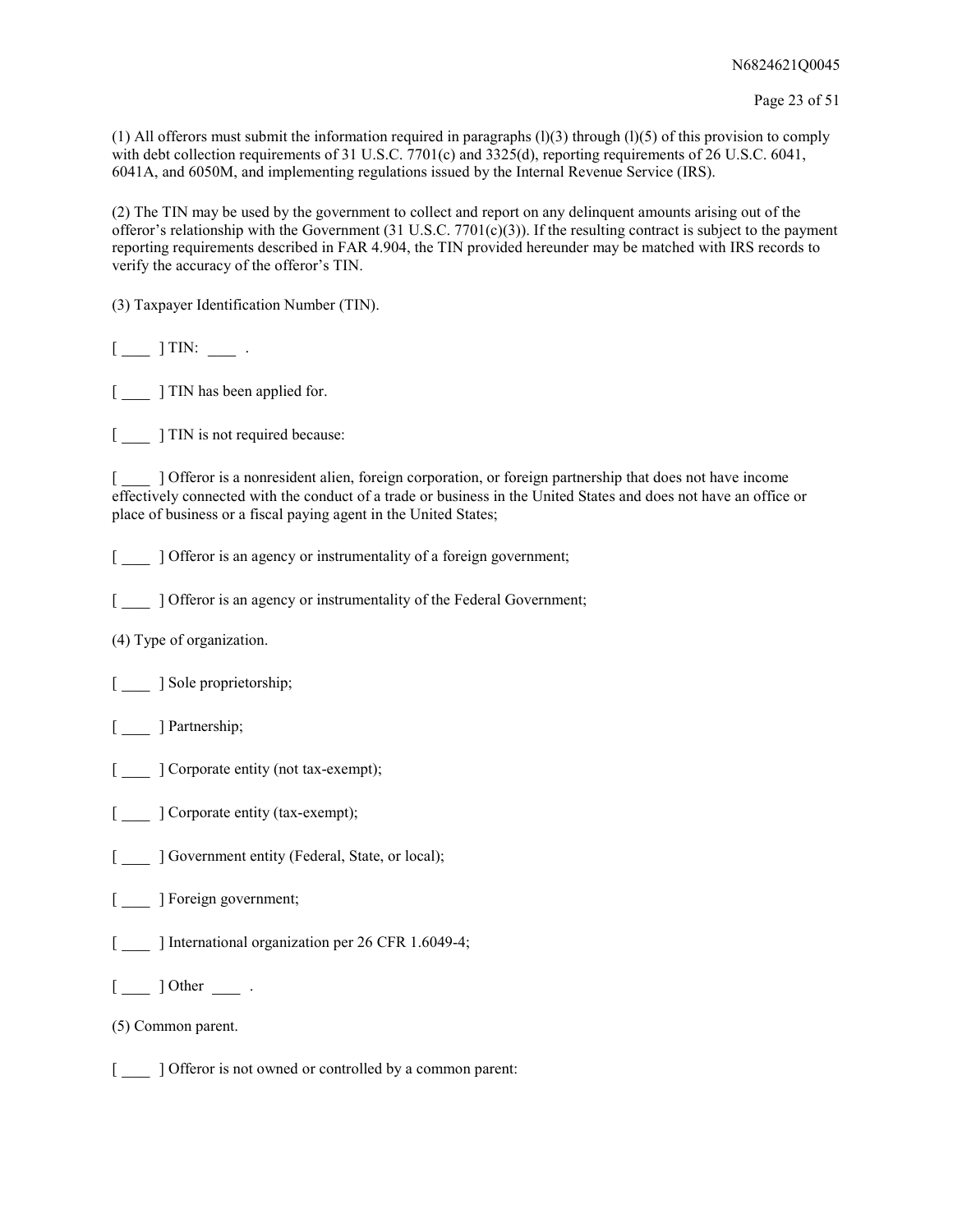(1) All offerors must submit the information required in paragraphs  $(1)(3)$  through  $(1)(5)$  of this provision to comply with debt collection requirements of 31 U.S.C. 7701(c) and 3325(d), reporting requirements of 26 U.S.C. 6041, 6041A, and 6050M, and implementing regulations issued by the Internal Revenue Service (IRS).

(2) The TIN may be used by the government to collect and report on any delinquent amounts arising out of the offeror's relationship with the Government (31 U.S.C. 7701(c)(3)). If the resulting contract is subject to the payment reporting requirements described in FAR 4.904, the TIN provided hereunder may be matched with IRS records to verify the accuracy of the offeror's TIN.

(3) Taxpayer Identification Number (TIN).

 $[$   $\Box$  ] TIN:  $\Box$ .

[  $\Box$  ] TIN has been applied for.

[ \_\_\_ ] TIN is not required because:

[  $\Box$  ] Offeror is a nonresident alien, foreign corporation, or foreign partnership that does not have income effectively connected with the conduct of a trade or business in the United States and does not have an office or place of business or a fiscal paying agent in the United States;

[  $\Box$  ] Offeror is an agency or instrumentality of a foreign government;

[  $\Box$  ] Offeror is an agency or instrumentality of the Federal Government;

- (4) Type of organization.
- [ \_\_\_ ] Sole proprietorship;
- [ \_\_\_ ] Partnership;
- [ \_\_\_ ] Corporate entity (not tax-exempt);
- [ \_\_\_ ] Corporate entity (tax-exempt);
- [  $\Box$  ] Government entity (Federal, State, or local);
- [  $\blacksquare$  ] Foreign government;
- [ \_\_\_ ] International organization per 26 CFR 1.6049-4;
- $[\underline{\hspace{1cm}}]$  Other  $\phantom{\hspace{1cm}}$ .

(5) Common parent.

[  $\Box$  ] Offeror is not owned or controlled by a common parent: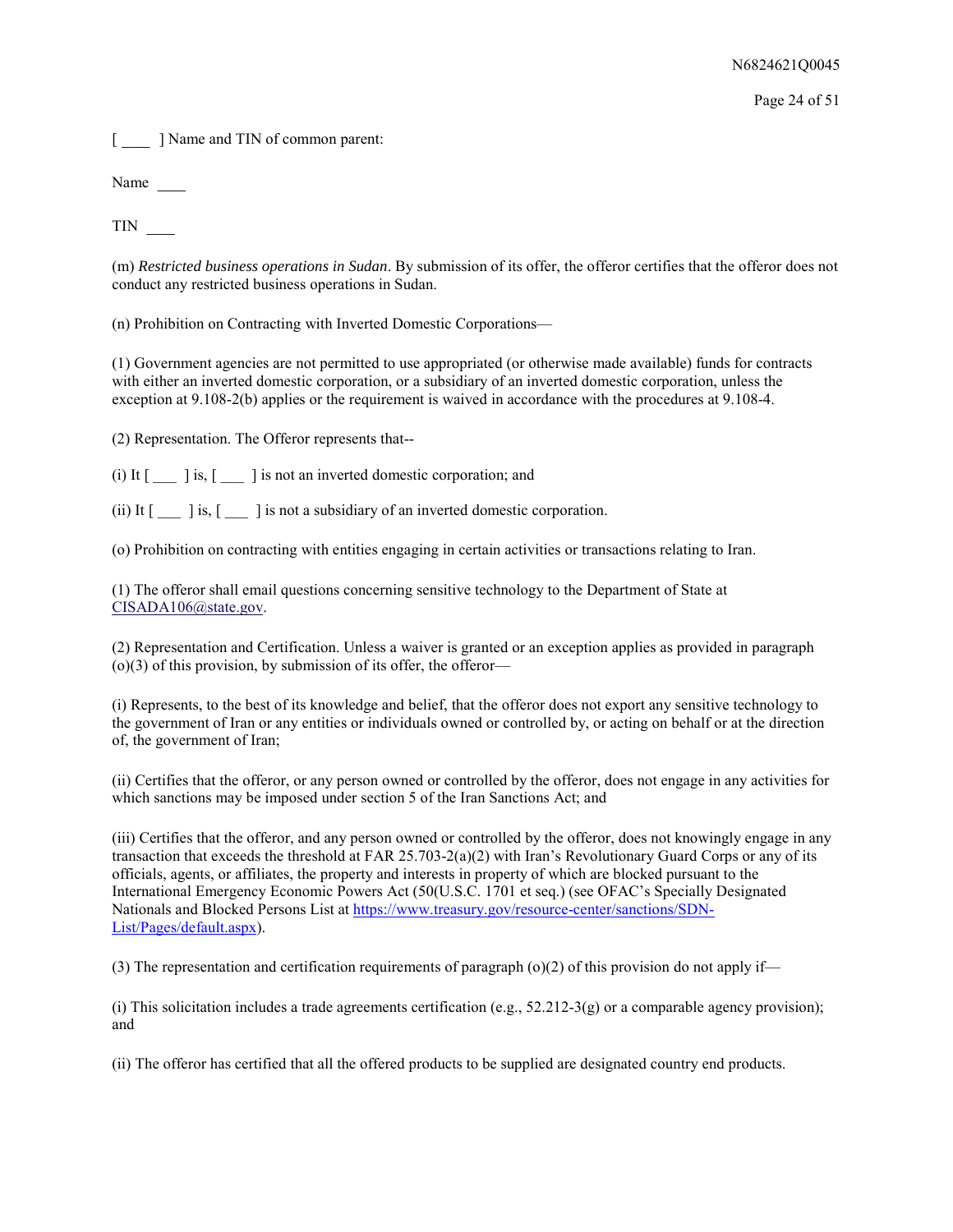Page 24 of 51

[  $\Box$  ] Name and TIN of common parent:

Name

TIN \_\_\_

(m) *Restricted business operations in Sudan*. By submission of its offer, the offeror certifies that the offeror does not conduct any restricted business operations in Sudan.

(n) Prohibition on Contracting with Inverted Domestic Corporations—

(1) Government agencies are not permitted to use appropriated (or otherwise made available) funds for contracts with either an inverted domestic corporation, or a subsidiary of an inverted domestic corporation, unless the exception at 9.108-2(b) applies or the requirement is waived in accordance with the procedures at 9.108-4.

(2) Representation. The Offeror represents that--

(i) It  $\begin{bmatrix} \cdot & \cdot & \cdot \\ \cdot & \cdot & \cdot \\ \cdot & \cdot & \cdot \end{bmatrix}$  is not an inverted domestic corporation; and

(ii) It [ \_\_\_ ] is, [ \_\_\_ ] is not a subsidiary of an inverted domestic corporation.

(o) Prohibition on contracting with entities engaging in certain activities or transactions relating to Iran.

(1) The offeror shall email questions concerning sensitive technology to the Department of State at CISADA106@state.gov.

(2) Representation and Certification. Unless a waiver is granted or an exception applies as provided in paragraph (o)(3) of this provision, by submission of its offer, the offeror—

(i) Represents, to the best of its knowledge and belief, that the offeror does not export any sensitive technology to the government of Iran or any entities or individuals owned or controlled by, or acting on behalf or at the direction of, the government of Iran;

(ii) Certifies that the offeror, or any person owned or controlled by the offeror, does not engage in any activities for which sanctions may be imposed under section 5 of the Iran Sanctions Act; and

(iii) Certifies that the offeror, and any person owned or controlled by the offeror, does not knowingly engage in any transaction that exceeds the threshold at FAR 25.703-2(a)(2) with Iran's Revolutionary Guard Corps or any of its officials, agents, or affiliates, the property and interests in property of which are blocked pursuant to the International Emergency Economic Powers Act (50(U.S.C. 1701 et seq.) (see OFAC's Specially Designated Nationals and Blocked Persons List at https://www.treasury.gov/resource-center/sanctions/SDN-List/Pages/default.aspx).

(3) The representation and certification requirements of paragraph ( $o(2)$ ) of this provision do not apply if—

(i) This solicitation includes a trade agreements certification (e.g.,  $52.212-3(g)$  or a comparable agency provision); and

(ii) The offeror has certified that all the offered products to be supplied are designated country end products.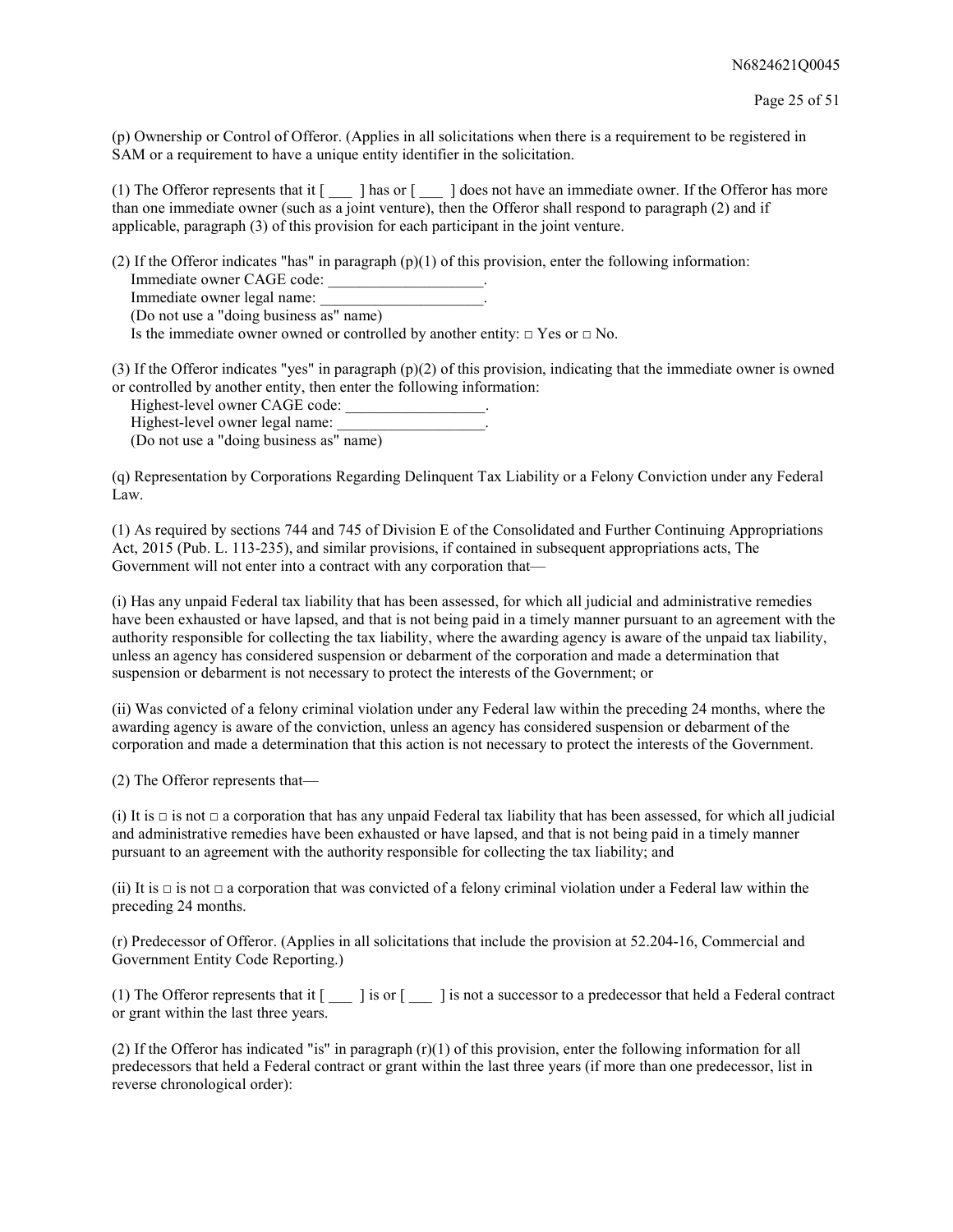(p) Ownership or Control of Offeror. (Applies in all solicitations when there is a requirement to be registered in SAM or a requirement to have a unique entity identifier in the solicitation.

(1) The Offeror represents that it [ \_\_\_ ] has or [ \_\_\_ ] does not have an immediate owner. If the Offeror has more than one immediate owner (such as a joint venture), then the Offeror shall respond to paragraph (2) and if applicable, paragraph (3) of this provision for each participant in the joint venture.

(2) If the Offeror indicates "has" in paragraph  $(p)(1)$  of this provision, enter the following information:

Immediate owner CAGE code:

Immediate owner legal name:

(Do not use a "doing business as" name) Is the immediate owner owned or controlled by another entity:  $\Box$  Yes or  $\Box$  No.

(3) If the Offeror indicates "yes" in paragraph  $(p)(2)$  of this provision, indicating that the immediate owner is owned

or controlled by another entity, then enter the following information:

Highest-level owner CAGE code:

Highest-level owner legal name:

(Do not use a "doing business as" name)

(q) Representation by Corporations Regarding Delinquent Tax Liability or a Felony Conviction under any Federal Law.

(1) As required by sections 744 and 745 of Division E of the Consolidated and Further Continuing Appropriations Act, 2015 (Pub. L. 113-235), and similar provisions, if contained in subsequent appropriations acts, The Government will not enter into a contract with any corporation that—

(i) Has any unpaid Federal tax liability that has been assessed, for which all judicial and administrative remedies have been exhausted or have lapsed, and that is not being paid in a timely manner pursuant to an agreement with the authority responsible for collecting the tax liability, where the awarding agency is aware of the unpaid tax liability, unless an agency has considered suspension or debarment of the corporation and made a determination that suspension or debarment is not necessary to protect the interests of the Government; or

(ii) Was convicted of a felony criminal violation under any Federal law within the preceding 24 months, where the awarding agency is aware of the conviction, unless an agency has considered suspension or debarment of the corporation and made a determination that this action is not necessary to protect the interests of the Government.

(2) The Offeror represents that—

(i) It is  $\Box$  is not  $\Box$  a corporation that has any unpaid Federal tax liability that has been assessed, for which all judicial and administrative remedies have been exhausted or have lapsed, and that is not being paid in a timely manner pursuant to an agreement with the authority responsible for collecting the tax liability; and

(ii) It is  $\Box$  is not  $\Box$  a corporation that was convicted of a felony criminal violation under a Federal law within the preceding 24 months.

(r) Predecessor of Offeror. (Applies in all solicitations that include the provision at 52.204-16, Commercial and Government Entity Code Reporting.)

(1) The Offeror represents that it [ \_\_\_ ] is or [ \_\_\_ ] is not a successor to a predecessor that held a Federal contract or grant within the last three years.

(2) If the Offeror has indicated "is" in paragraph (r)(1) of this provision, enter the following information for all predecessors that held a Federal contract or grant within the last three years (if more than one predecessor, list in reverse chronological order):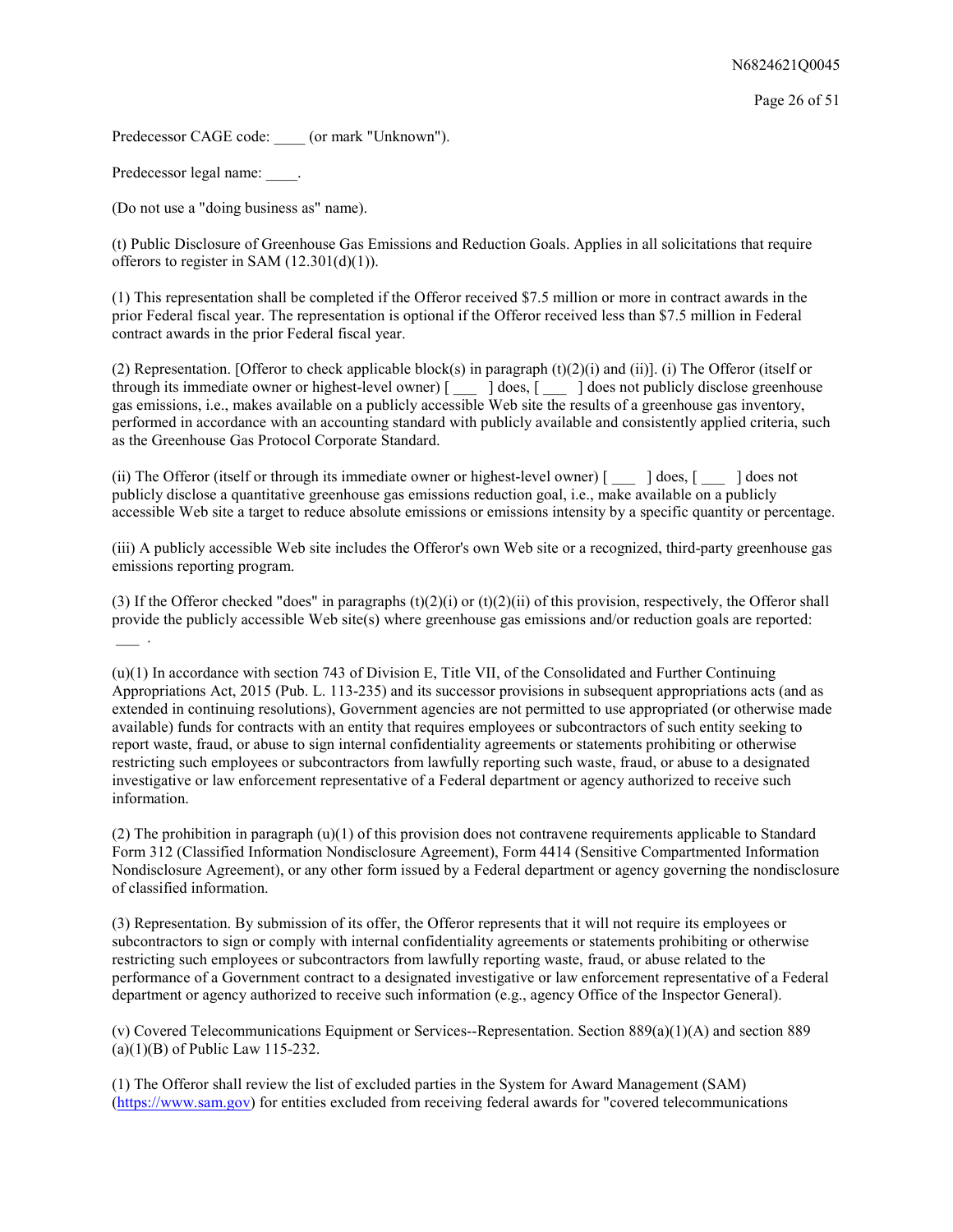Predecessor CAGE code: (or mark "Unknown").

Predecessor legal name:  $\qquad \qquad$ .

(Do not use a "doing business as" name).

(t) Public Disclosure of Greenhouse Gas Emissions and Reduction Goals. Applies in all solicitations that require offerors to register in SAM (12.301(d)(1)).

(1) This representation shall be completed if the Offeror received \$7.5 million or more in contract awards in the prior Federal fiscal year. The representation is optional if the Offeror received less than \$7.5 million in Federal contract awards in the prior Federal fiscal year.

(2) Representation. [Offeror to check applicable block(s) in paragraph  $(t)(2)(i)$  and  $(ii)$ ]. (i) The Offeror (itself or through its immediate owner or highest-level owner) [ \_\_\_ ] does, [ \_\_\_ ] does not publicly disclose greenhouse gas emissions, i.e., makes available on a publicly accessible Web site the results of a greenhouse gas inventory, performed in accordance with an accounting standard with publicly available and consistently applied criteria, such as the Greenhouse Gas Protocol Corporate Standard.

(ii) The Offeror (itself or through its immediate owner or highest-level owner) [ \_\_\_ ] does, [ \_\_\_ ] does not publicly disclose a quantitative greenhouse gas emissions reduction goal, i.e., make available on a publicly accessible Web site a target to reduce absolute emissions or emissions intensity by a specific quantity or percentage.

(iii) A publicly accessible Web site includes the Offeror's own Web site or a recognized, third-party greenhouse gas emissions reporting program.

(3) If the Offeror checked "does" in paragraphs  $(t)(2)(i)$  or  $(t)(2)(ii)$  of this provision, respectively, the Offeror shall provide the publicly accessible Web site(s) where greenhouse gas emissions and/or reduction goals are reported:  $\frac{1}{2}$ 

(u)(1) In accordance with section 743 of Division E, Title VII, of the Consolidated and Further Continuing Appropriations Act, 2015 (Pub. L. 113-235) and its successor provisions in subsequent appropriations acts (and as extended in continuing resolutions), Government agencies are not permitted to use appropriated (or otherwise made available) funds for contracts with an entity that requires employees or subcontractors of such entity seeking to report waste, fraud, or abuse to sign internal confidentiality agreements or statements prohibiting or otherwise restricting such employees or subcontractors from lawfully reporting such waste, fraud, or abuse to a designated investigative or law enforcement representative of a Federal department or agency authorized to receive such information.

(2) The prohibition in paragraph  $(u)(1)$  of this provision does not contravene requirements applicable to Standard Form 312 (Classified Information Nondisclosure Agreement), Form 4414 (Sensitive Compartmented Information Nondisclosure Agreement), or any other form issued by a Federal department or agency governing the nondisclosure of classified information.

(3) Representation. By submission of its offer, the Offeror represents that it will not require its employees or subcontractors to sign or comply with internal confidentiality agreements or statements prohibiting or otherwise restricting such employees or subcontractors from lawfully reporting waste, fraud, or abuse related to the performance of a Government contract to a designated investigative or law enforcement representative of a Federal department or agency authorized to receive such information (e.g., agency Office of the Inspector General).

(v) Covered Telecommunications Equipment or Services--Representation. Section 889(a)(1)(A) and section 889 (a)(1)(B) of Public Law 115-232.

(1) The Offeror shall review the list of excluded parties in the System for Award Management (SAM) (https://www.sam.gov) for entities excluded from receiving federal awards for "covered telecommunications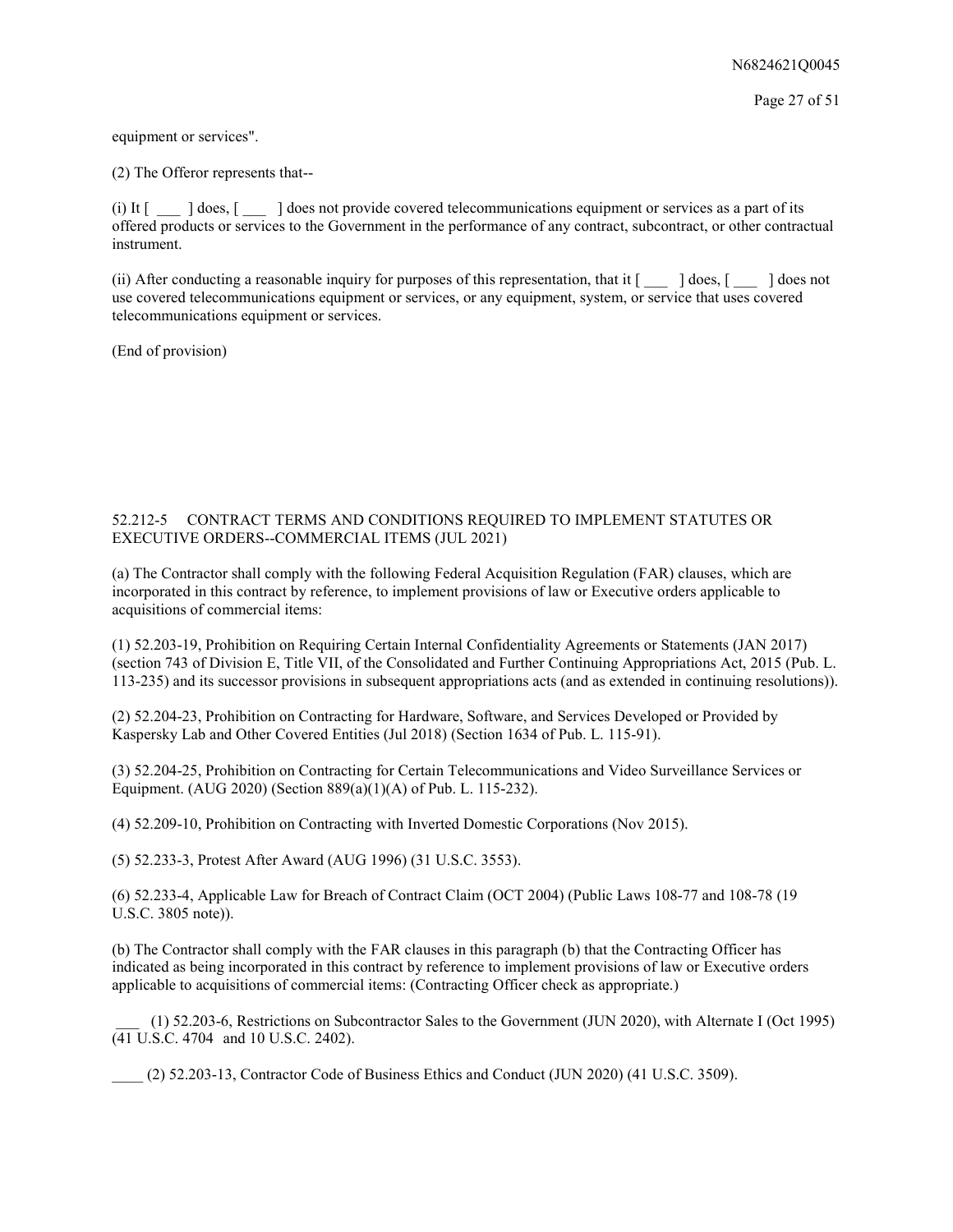Page 27 of 51

equipment or services".

(2) The Offeror represents that--

(i) It [ \_\_\_ ] does, [ \_\_\_ ] does not provide covered telecommunications equipment or services as a part of its offered products or services to the Government in the performance of any contract, subcontract, or other contractual instrument.

(ii) After conducting a reasonable inquiry for purposes of this representation, that it [ \_\_\_ ] does, [ \_\_\_ ] does not use covered telecommunications equipment or services, or any equipment, system, or service that uses covered telecommunications equipment or services.

(End of provision)

### 52.212-5 CONTRACT TERMS AND CONDITIONS REQUIRED TO IMPLEMENT STATUTES OR EXECUTIVE ORDERS--COMMERCIAL ITEMS (JUL 2021)

(a) The Contractor shall comply with the following Federal Acquisition Regulation (FAR) clauses, which are incorporated in this contract by reference, to implement provisions of law or Executive orders applicable to acquisitions of commercial items:

(1) 52.203-19, Prohibition on Requiring Certain Internal Confidentiality Agreements or Statements (JAN 2017) (section 743 of Division E, Title VII, of the Consolidated and Further Continuing Appropriations Act, 2015 (Pub. L. 113-235) and its successor provisions in subsequent appropriations acts (and as extended in continuing resolutions)).

(2) 52.204-23, Prohibition on Contracting for Hardware, Software, and Services Developed or Provided by Kaspersky Lab and Other Covered Entities (Jul 2018) (Section 1634 of Pub. L. 115-91).

(3) 52.204-25, Prohibition on Contracting for Certain Telecommunications and Video Surveillance Services or Equipment. (AUG 2020) (Section 889(a)(1)(A) of Pub. L. 115-232).

(4) 52.209-10, Prohibition on Contracting with Inverted Domestic Corporations (Nov 2015).

(5) 52.233-3, Protest After Award (AUG 1996) (31 U.S.C. 3553).

(6) 52.233-4, Applicable Law for Breach of Contract Claim (OCT 2004) (Public Laws 108-77 and 108-78 (19 U.S.C. 3805 note)).

(b) The Contractor shall comply with the FAR clauses in this paragraph (b) that the Contracting Officer has indicated as being incorporated in this contract by reference to implement provisions of law or Executive orders applicable to acquisitions of commercial items: (Contracting Officer check as appropriate.)

 \_\_\_ (1) 52.203-6, Restrictions on Subcontractor Sales to the Government (JUN 2020), with Alternate I (Oct 1995) (41 U.S.C. 4704 and 10 U.S.C. 2402).

\_\_\_\_ (2) 52.203-13, Contractor Code of Business Ethics and Conduct (JUN 2020) (41 U.S.C. 3509).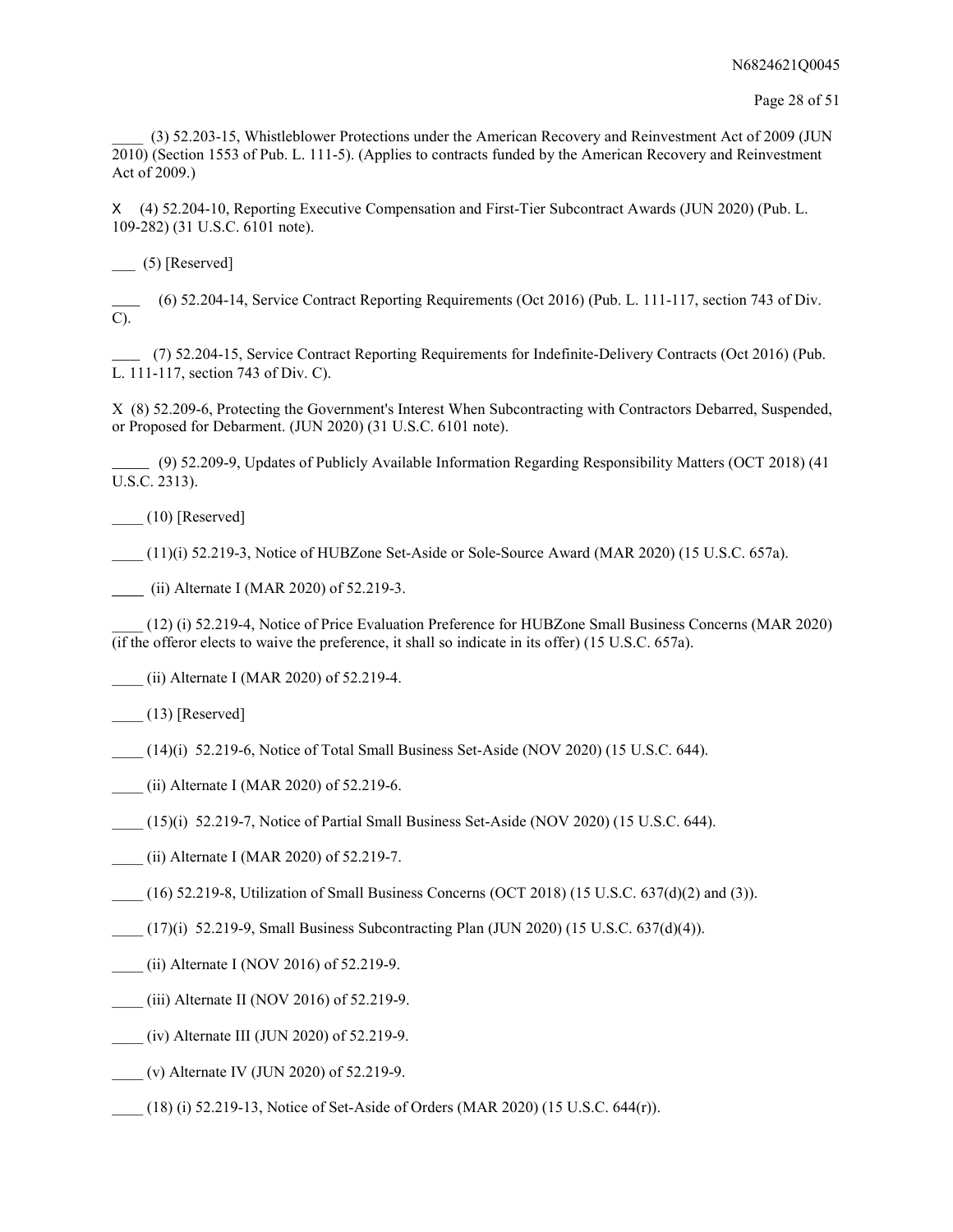\_\_\_\_ (3) 52.203-15, Whistleblower Protections under the American Recovery and Reinvestment Act of 2009 (JUN 2010) (Section 1553 of Pub. L. 111-5). (Applies to contracts funded by the American Recovery and Reinvestment Act of 2009.)

X (4) 52.204-10, Reporting Executive Compensation and First-Tier Subcontract Awards (JUN 2020) (Pub. L. 109-282) (31 U.S.C. 6101 note).

 $\qquad$  (5) [Reserved]

\_\_\_ (6) 52.204-14, Service Contract Reporting Requirements (Oct 2016) (Pub. L. 111-117, section 743 of Div.  $C$ ).

\_\_\_ (7) 52.204-15, Service Contract Reporting Requirements for Indefinite-Delivery Contracts (Oct 2016) (Pub. L. 111-117, section 743 of Div. C).

X (8) 52.209-6, Protecting the Government's Interest When Subcontracting with Contractors Debarred, Suspended, or Proposed for Debarment. (JUN 2020) (31 U.S.C. 6101 note).

\_\_\_\_ (9) 52.209-9, Updates of Publicly Available Information Regarding Responsibility Matters (OCT 2018) (41 U.S.C. 2313).

\_\_\_\_ (10) [Reserved]

 $(11)(i)$  52.219-3, Notice of HUBZone Set-Aside or Sole-Source Award (MAR 2020) (15 U.S.C. 657a).

\_\_\_\_ (ii) Alternate I (MAR 2020) of 52.219-3.

\_\_\_\_ (12) (i) 52.219-4, Notice of Price Evaluation Preference for HUBZone Small Business Concerns (MAR 2020) (if the offeror elects to waive the preference, it shall so indicate in its offer) (15 U.S.C. 657a).

\_\_\_\_ (ii) Alternate I (MAR 2020) of 52.219-4.

- \_\_\_\_ (14)(i) 52.219-6, Notice of Total Small Business Set-Aside (NOV 2020) (15 U.S.C. 644).
- \_\_\_\_ (ii) Alternate I (MAR 2020) of 52.219-6.
- \_\_\_\_ (15)(i) 52.219-7, Notice of Partial Small Business Set-Aside (NOV 2020) (15 U.S.C. 644).
- \_\_\_\_ (ii) Alternate I (MAR 2020) of 52.219-7.
- \_\_\_\_ (16) 52.219-8, Utilization of Small Business Concerns (OCT 2018) (15 U.S.C. 637(d)(2) and (3)).
- \_\_\_\_ (17)(i) 52.219-9, Small Business Subcontracting Plan (JUN 2020) (15 U.S.C. 637(d)(4)).
- \_\_\_\_ (ii) Alternate I (NOV 2016) of 52.219-9.
- \_\_\_\_ (iii) Alternate II (NOV 2016) of 52.219-9.
- \_\_\_\_ (iv) Alternate III (JUN 2020) of 52.219-9.
- \_\_\_\_ (v) Alternate IV (JUN 2020) of 52.219-9.
- \_\_\_\_ (18) (i) 52.219-13, Notice of Set-Aside of Orders (MAR 2020) (15 U.S.C. 644(r)).

 $(13)$  [Reserved]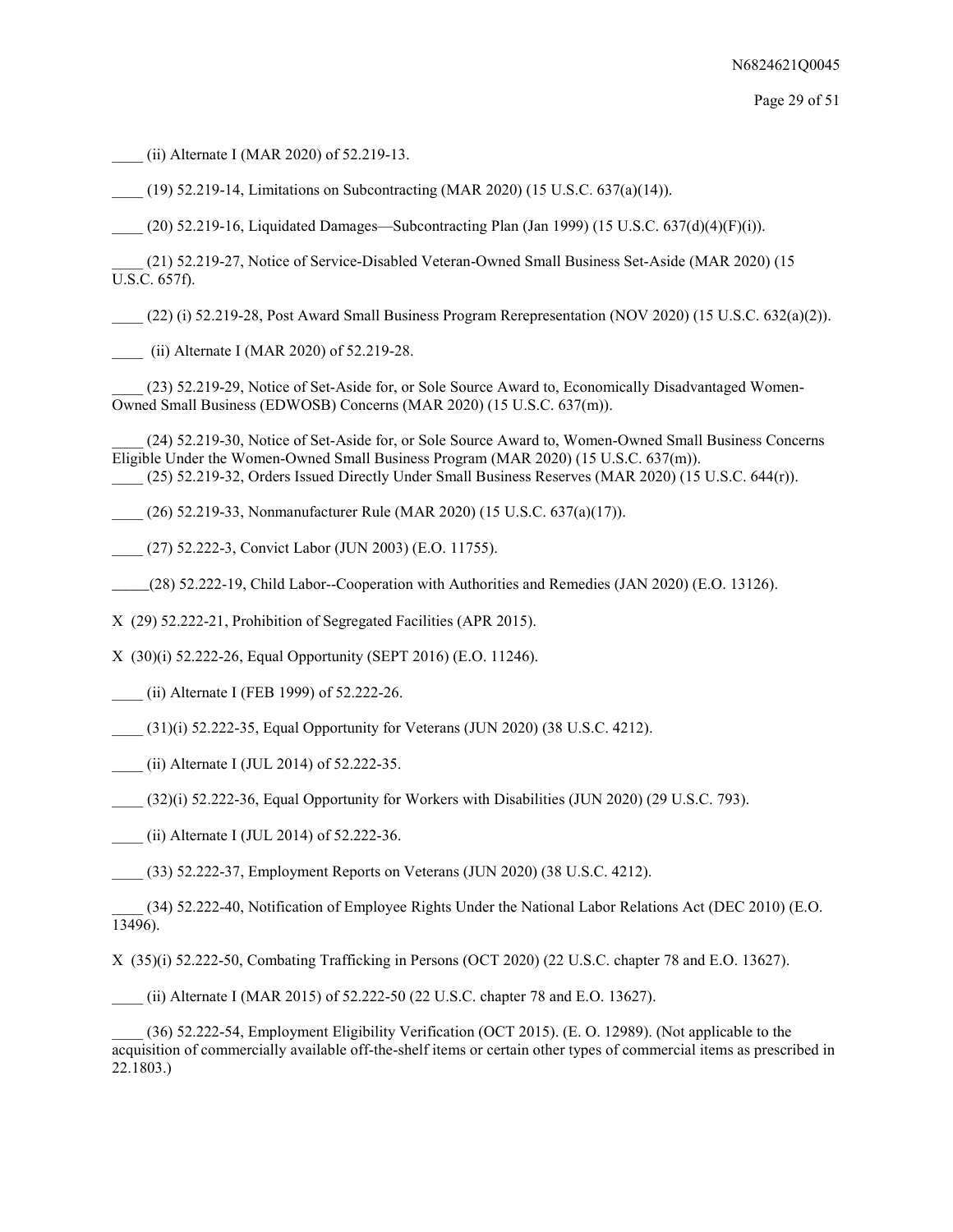# Page 29 of 51

\_\_\_\_ (ii) Alternate I (MAR 2020) of 52.219-13.

\_\_\_\_ (19) 52.219-14, Limitations on Subcontracting (MAR 2020) (15 U.S.C. 637(a)(14)).

 $(20)$  52.219-16, Liquidated Damages—Subcontracting Plan (Jan 1999) (15 U.S.C. 637(d)(4)(F)(i)).

\_\_\_\_ (21) 52.219-27, Notice of Service-Disabled Veteran-Owned Small Business Set-Aside (MAR 2020) (15 U.S.C. 657f).

\_\_\_\_ (22) (i) 52.219-28, Post Award Small Business Program Rerepresentation (NOV 2020) (15 U.S.C. 632(a)(2)).

\_\_\_\_ (ii) Alternate I (MAR 2020) of 52.219-28.

\_\_\_\_ (23) 52.219-29, Notice of Set-Aside for, or Sole Source Award to, Economically Disadvantaged Women-Owned Small Business (EDWOSB) Concerns (MAR 2020) (15 U.S.C. 637(m)).

\_\_\_\_ (24) 52.219-30, Notice of Set-Aside for, or Sole Source Award to, Women-Owned Small Business Concerns Eligible Under the Women-Owned Small Business Program (MAR 2020) (15 U.S.C. 637(m)).  $(25)$  52.219-32, Orders Issued Directly Under Small Business Reserves (MAR 2020) (15 U.S.C. 644(r)).

\_\_\_\_ (26) 52.219-33, Nonmanufacturer Rule (MAR 2020) (15 U.S.C. 637(a)(17)).

\_\_\_\_ (27) 52.222-3, Convict Labor (JUN 2003) (E.O. 11755).

\_\_\_\_(28) 52.222-19, Child Labor--Cooperation with Authorities and Remedies (JAN 2020) (E.O. 13126).

X (29) 52.222-21, Prohibition of Segregated Facilities (APR 2015).

X (30)(i) 52.222-26, Equal Opportunity (SEPT 2016) (E.O. 11246).

\_\_\_\_ (ii) Alternate I (FEB 1999) of 52.222-26.

\_\_\_\_ (31)(i) 52.222-35, Equal Opportunity for Veterans (JUN 2020) (38 U.S.C. 4212).

\_\_\_\_ (ii) Alternate I (JUL 2014) of 52.222-35.

 $(32)(i)$  52.222-36, Equal Opportunity for Workers with Disabilities (JUN 2020) (29 U.S.C. 793).

\_\_\_\_ (ii) Alternate I (JUL 2014) of 52.222-36.

\_\_\_\_ (33) 52.222-37, Employment Reports on Veterans (JUN 2020) (38 U.S.C. 4212).

\_\_\_\_ (34) 52.222-40, Notification of Employee Rights Under the National Labor Relations Act (DEC 2010) (E.O. 13496).

X (35)(i) 52.222-50, Combating Trafficking in Persons (OCT 2020) (22 U.S.C. chapter 78 and E.O. 13627).

\_\_\_\_ (ii) Alternate I (MAR 2015) of 52.222-50 (22 U.S.C. chapter 78 and E.O. 13627).

\_\_\_\_ (36) 52.222-54, Employment Eligibility Verification (OCT 2015). (E. O. 12989). (Not applicable to the acquisition of commercially available off-the-shelf items or certain other types of commercial items as prescribed in 22.1803.)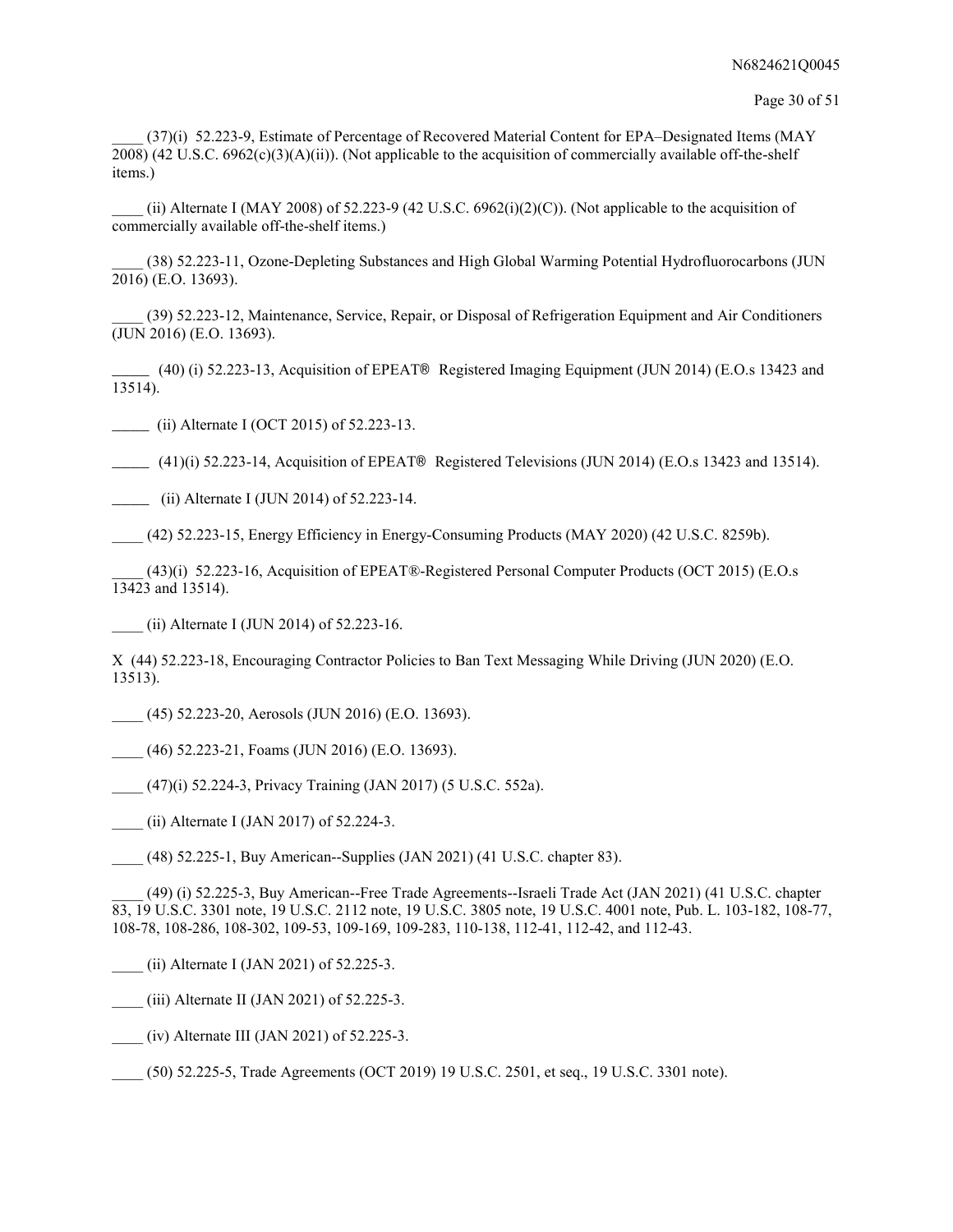\_\_\_\_ (37)(i) 52.223-9, Estimate of Percentage of Recovered Material Content for EPA–Designated Items (MAY 2008) (42 U.S.C. 6962(c)(3)(A)(ii)). (Not applicable to the acquisition of commercially available off-the-shelf items.)

(ii) Alternate I (MAY 2008) of 52.223-9 (42 U.S.C. 6962(i)(2)(C)). (Not applicable to the acquisition of commercially available off-the-shelf items.)

\_\_\_\_ (38) 52.223-11, Ozone-Depleting Substances and High Global Warming Potential Hydrofluorocarbons (JUN 2016) (E.O. 13693).

\_\_\_\_ (39) 52.223-12, Maintenance, Service, Repair, or Disposal of Refrigeration Equipment and Air Conditioners (JUN 2016) (E.O. 13693).

\_\_\_\_ (40) (i) 52.223-13, Acquisition of EPEAT® Registered Imaging Equipment (JUN 2014) (E.O.s 13423 and 13514).

\_\_\_\_ (ii) Alternate I (OCT 2015) of 52.223-13.

 $\mu$  (41)(i) 52.223-14, Acquisition of EPEAT® Registered Televisions (JUN 2014) (E.O.s 13423 and 13514).

\_\_\_\_ (ii) Alternate I (JUN 2014) of 52.223-14.

\_\_\_\_ (42) 52.223-15, Energy Efficiency in Energy-Consuming Products (MAY 2020) (42 U.S.C. 8259b).

\_\_\_\_ (43)(i) 52.223-16, Acquisition of EPEAT®-Registered Personal Computer Products (OCT 2015) (E.O.s 13423 and 13514).

\_\_\_\_ (ii) Alternate I (JUN 2014) of 52.223-16.

X (44) 52.223-18, Encouraging Contractor Policies to Ban Text Messaging While Driving (JUN 2020) (E.O. 13513).

- \_\_\_\_ (45) 52.223-20, Aerosols (JUN 2016) (E.O. 13693).
- \_\_\_\_ (46) 52.223-21, Foams (JUN 2016) (E.O. 13693).
- \_\_\_\_ (47)(i) 52.224-3, Privacy Training (JAN 2017) (5 U.S.C. 552a).
- \_\_\_\_ (ii) Alternate I (JAN 2017) of 52.224-3.

\_\_\_\_ (48) 52.225-1, Buy American--Supplies (JAN 2021) (41 U.S.C. chapter 83).

\_\_\_\_ (49) (i) 52.225-3, Buy American--Free Trade Agreements--Israeli Trade Act (JAN 2021) (41 U.S.C. chapter 83, 19 U.S.C. 3301 note, 19 U.S.C. 2112 note, 19 U.S.C. 3805 note, 19 U.S.C. 4001 note, Pub. L. 103-182, 108-77, 108-78, 108-286, 108-302, 109-53, 109-169, 109-283, 110-138, 112-41, 112-42, and 112-43.

- \_\_\_\_ (ii) Alternate I (JAN 2021) of 52.225-3.
- \_\_\_\_ (iii) Alternate II (JAN 2021) of 52.225-3.
- $(iv)$  Alternate III (JAN 2021) of 52.225-3.
- \_\_\_\_ (50) 52.225-5, Trade Agreements (OCT 2019) 19 U.S.C. 2501, et seq., 19 U.S.C. 3301 note).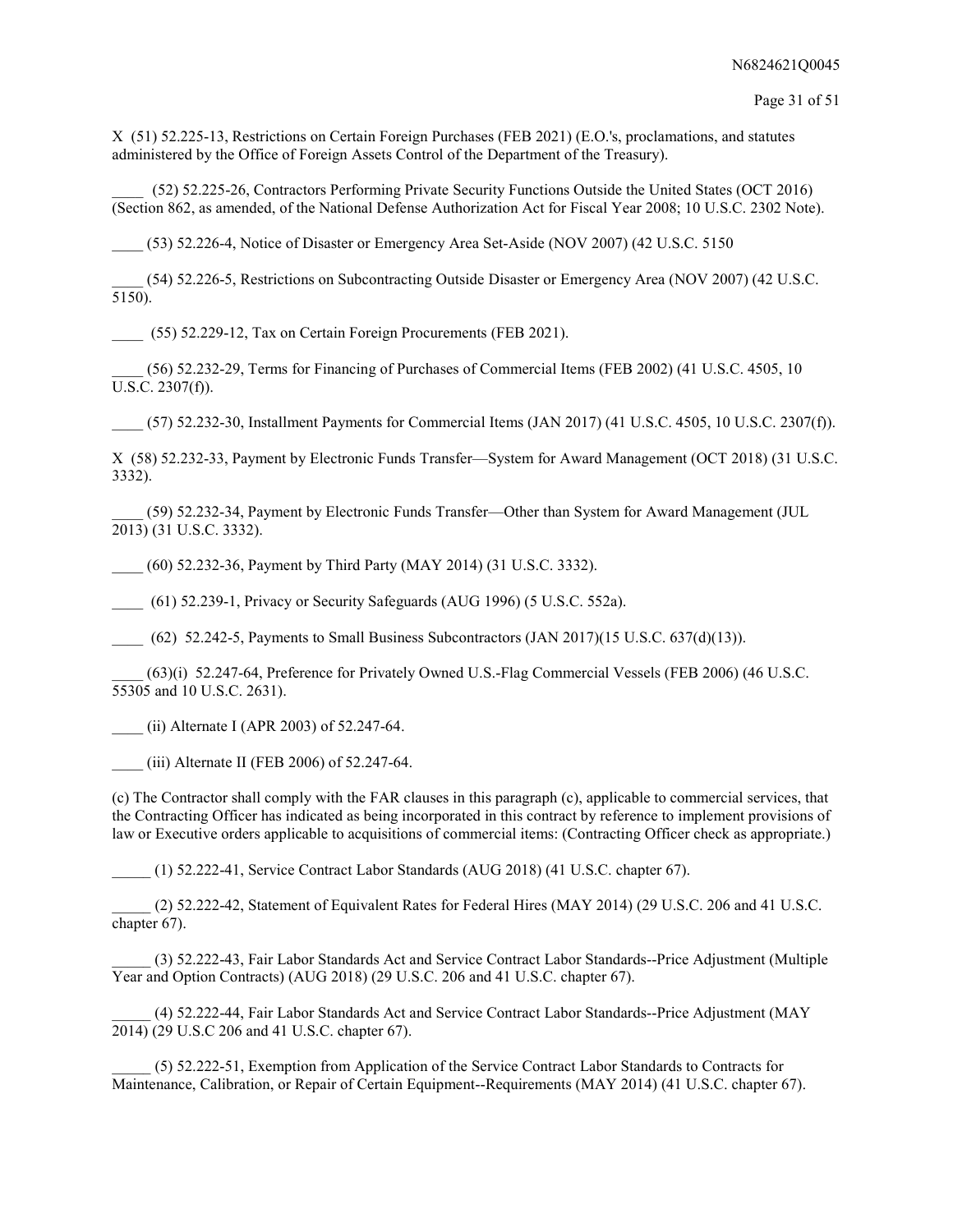X (51) 52.225-13, Restrictions on Certain Foreign Purchases (FEB 2021) (E.O.'s, proclamations, and statutes administered by the Office of Foreign Assets Control of the Department of the Treasury).

\_\_\_\_ (52) 52.225-26, Contractors Performing Private Security Functions Outside the United States (OCT 2016) (Section 862, as amended, of the National Defense Authorization Act for Fiscal Year 2008; 10 U.S.C. 2302 Note).

\_\_\_\_ (53) 52.226-4, Notice of Disaster or Emergency Area Set-Aside (NOV 2007) (42 U.S.C. 5150

\_\_\_\_ (54) 52.226-5, Restrictions on Subcontracting Outside Disaster or Emergency Area (NOV 2007) (42 U.S.C. 5150).

\_\_\_\_ (55) 52.229-12, Tax on Certain Foreign Procurements (FEB 2021).

\_\_\_\_ (56) 52.232-29, Terms for Financing of Purchases of Commercial Items (FEB 2002) (41 U.S.C. 4505, 10 U.S.C. 2307(f)).

\_\_\_\_ (57) 52.232-30, Installment Payments for Commercial Items (JAN 2017) (41 U.S.C. 4505, 10 U.S.C. 2307(f)).

X (58) 52.232-33, Payment by Electronic Funds Transfer—System for Award Management (OCT 2018) (31 U.S.C. 3332).

\_\_\_\_ (59) 52.232-34, Payment by Electronic Funds Transfer—Other than System for Award Management (JUL 2013) (31 U.S.C. 3332).

\_\_\_\_ (60) 52.232-36, Payment by Third Party (MAY 2014) (31 U.S.C. 3332).

\_\_\_\_ (61) 52.239-1, Privacy or Security Safeguards (AUG 1996) (5 U.S.C. 552a).

 $\qquad$  (62) 52.242-5, Payments to Small Business Subcontractors (JAN 2017)(15 U.S.C. 637(d)(13)).

\_\_\_\_ (63)(i) 52.247-64, Preference for Privately Owned U.S.-Flag Commercial Vessels (FEB 2006) (46 U.S.C. 55305 and 10 U.S.C. 2631).

\_\_\_\_ (ii) Alternate I (APR 2003) of 52.247-64.

\_\_\_\_ (iii) Alternate II (FEB 2006) of 52.247-64.

(c) The Contractor shall comply with the FAR clauses in this paragraph (c), applicable to commercial services, that the Contracting Officer has indicated as being incorporated in this contract by reference to implement provisions of law or Executive orders applicable to acquisitions of commercial items: (Contracting Officer check as appropriate.)

\_\_\_\_\_ (1) 52.222-41, Service Contract Labor Standards (AUG 2018) (41 U.S.C. chapter 67).

\_\_\_\_\_ (2) 52.222-42, Statement of Equivalent Rates for Federal Hires (MAY 2014) (29 U.S.C. 206 and 41 U.S.C. chapter 67).

\_\_\_\_\_ (3) 52.222-43, Fair Labor Standards Act and Service Contract Labor Standards--Price Adjustment (Multiple Year and Option Contracts) (AUG 2018) (29 U.S.C. 206 and 41 U.S.C. chapter 67).

\_\_\_\_\_ (4) 52.222-44, Fair Labor Standards Act and Service Contract Labor Standards--Price Adjustment (MAY 2014) (29 U.S.C 206 and 41 U.S.C. chapter 67).

\_\_\_\_\_ (5) 52.222-51, Exemption from Application of the Service Contract Labor Standards to Contracts for Maintenance, Calibration, or Repair of Certain Equipment--Requirements (MAY 2014) (41 U.S.C. chapter 67).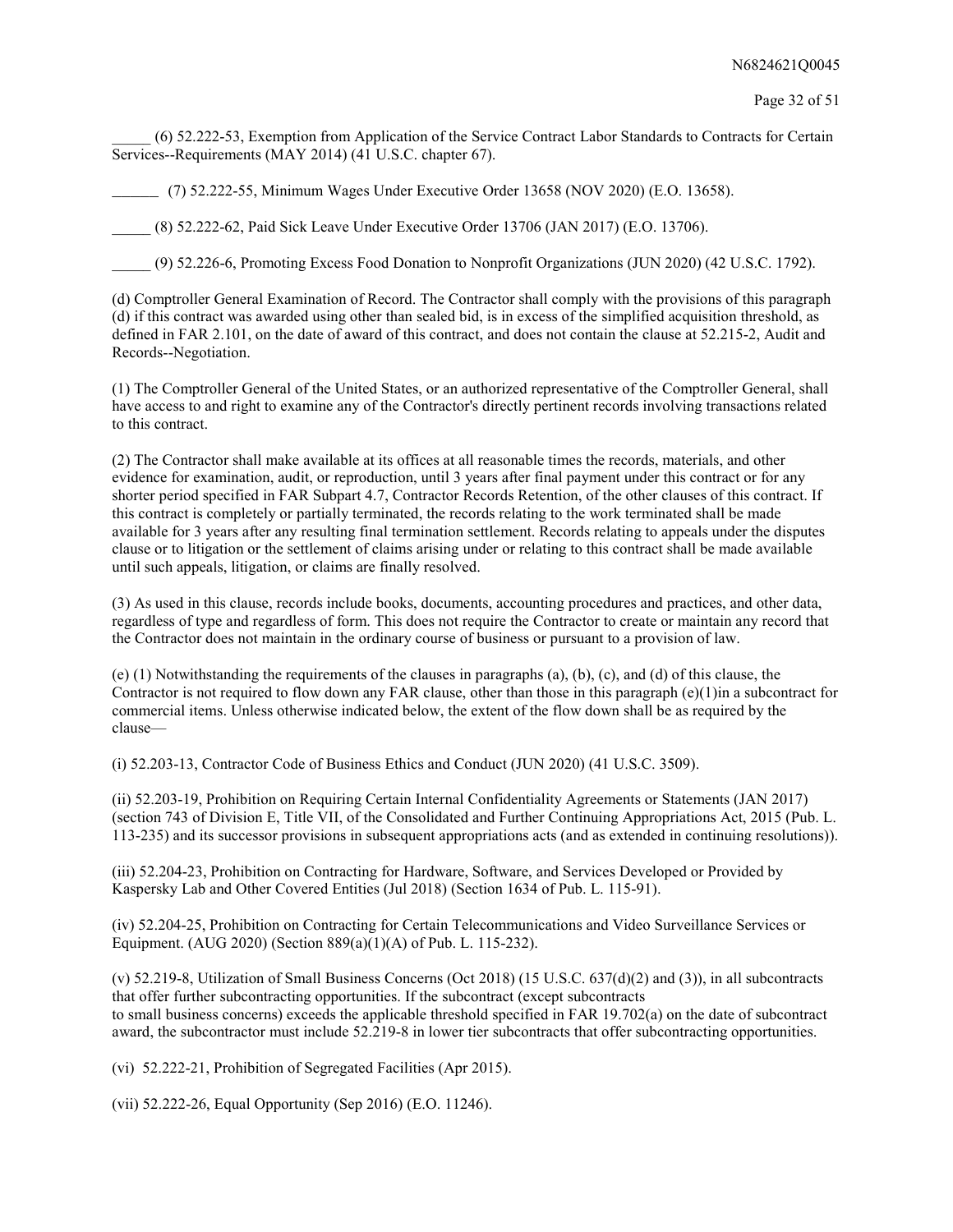Page 32 of 51

\_\_\_\_\_ (6) 52.222-53, Exemption from Application of the Service Contract Labor Standards to Contracts for Certain Services--Requirements (MAY 2014) (41 U.S.C. chapter 67).

\_\_\_\_\_ (7) 52.222-55, Minimum Wages Under Executive Order 13658 (NOV 2020) (E.O. 13658).

\_\_\_\_\_ (8) 52.222-62, Paid Sick Leave Under Executive Order 13706 (JAN 2017) (E.O. 13706).

\_\_\_\_\_ (9) 52.226-6, Promoting Excess Food Donation to Nonprofit Organizations (JUN 2020) (42 U.S.C. 1792).

(d) Comptroller General Examination of Record. The Contractor shall comply with the provisions of this paragraph (d) if this contract was awarded using other than sealed bid, is in excess of the simplified acquisition threshold, as defined in FAR 2.101, on the date of award of this contract, and does not contain the clause at 52.215-2, Audit and Records--Negotiation.

(1) The Comptroller General of the United States, or an authorized representative of the Comptroller General, shall have access to and right to examine any of the Contractor's directly pertinent records involving transactions related to this contract.

(2) The Contractor shall make available at its offices at all reasonable times the records, materials, and other evidence for examination, audit, or reproduction, until 3 years after final payment under this contract or for any shorter period specified in FAR Subpart 4.7, Contractor Records Retention, of the other clauses of this contract. If this contract is completely or partially terminated, the records relating to the work terminated shall be made available for 3 years after any resulting final termination settlement. Records relating to appeals under the disputes clause or to litigation or the settlement of claims arising under or relating to this contract shall be made available until such appeals, litigation, or claims are finally resolved.

(3) As used in this clause, records include books, documents, accounting procedures and practices, and other data, regardless of type and regardless of form. This does not require the Contractor to create or maintain any record that the Contractor does not maintain in the ordinary course of business or pursuant to a provision of law.

(e) (1) Notwithstanding the requirements of the clauses in paragraphs (a), (b), (c), and (d) of this clause, the Contractor is not required to flow down any FAR clause, other than those in this paragraph  $(e)(1)$ in a subcontract for commercial items. Unless otherwise indicated below, the extent of the flow down shall be as required by the clause—

(i) 52.203-13, Contractor Code of Business Ethics and Conduct (JUN 2020) (41 U.S.C. 3509).

(ii) 52.203-19, Prohibition on Requiring Certain Internal Confidentiality Agreements or Statements (JAN 2017) (section 743 of Division E, Title VII, of the Consolidated and Further Continuing Appropriations Act, 2015 (Pub. L. 113-235) and its successor provisions in subsequent appropriations acts (and as extended in continuing resolutions)).

(iii) 52.204-23, Prohibition on Contracting for Hardware, Software, and Services Developed or Provided by Kaspersky Lab and Other Covered Entities (Jul 2018) (Section 1634 of Pub. L. 115-91).

(iv) 52.204-25, Prohibition on Contracting for Certain Telecommunications and Video Surveillance Services or Equipment. (AUG 2020) (Section 889(a)(1)(A) of Pub. L. 115-232).

(v) 52.219-8, Utilization of Small Business Concerns (Oct 2018) (15 U.S.C. 637(d)(2) and (3)), in all subcontracts that offer further subcontracting opportunities. If the subcontract (except subcontracts to small business concerns) exceeds the applicable threshold specified in FAR 19.702(a) on the date of subcontract award, the subcontractor must include 52.219-8 in lower tier subcontracts that offer subcontracting opportunities.

(vi) 52.222-21, Prohibition of Segregated Facilities (Apr 2015).

(vii) 52.222-26, Equal Opportunity (Sep 2016) (E.O. 11246).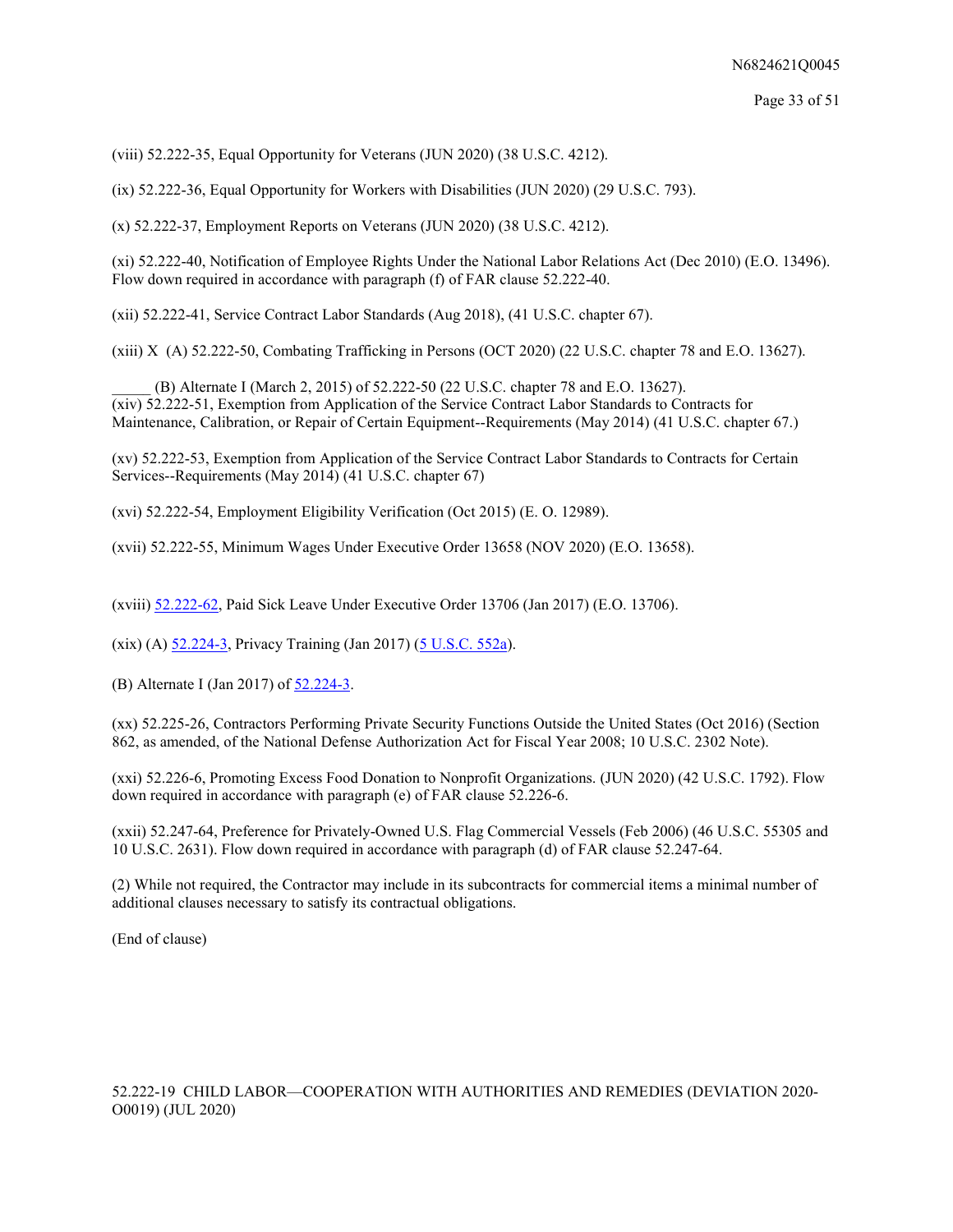Page 33 of 51

(viii) 52.222-35, Equal Opportunity for Veterans (JUN 2020) (38 U.S.C. 4212).

(ix) 52.222-36, Equal Opportunity for Workers with Disabilities (JUN 2020) (29 U.S.C. 793).

(x) 52.222-37, Employment Reports on Veterans (JUN 2020) (38 U.S.C. 4212).

(xi) 52.222-40, Notification of Employee Rights Under the National Labor Relations Act (Dec 2010) (E.O. 13496). Flow down required in accordance with paragraph (f) of FAR clause 52.222-40.

(xii) 52.222-41, Service Contract Labor Standards (Aug 2018), (41 U.S.C. chapter 67).

(xiii) X (A) 52.222-50, Combating Trafficking in Persons (OCT 2020) (22 U.S.C. chapter 78 and E.O. 13627).

(B) Alternate I (March 2, 2015) of 52.222-50 (22 U.S.C. chapter 78 and E.O. 13627). (xiv) 52.222-51, Exemption from Application of the Service Contract Labor Standards to Contracts for Maintenance, Calibration, or Repair of Certain Equipment--Requirements (May 2014) (41 U.S.C. chapter 67.)

(xv) 52.222-53, Exemption from Application of the Service Contract Labor Standards to Contracts for Certain Services--Requirements (May 2014) (41 U.S.C. chapter 67)

(xvi) 52.222-54, Employment Eligibility Verification (Oct 2015) (E. O. 12989).

(xvii) 52.222-55, Minimum Wages Under Executive Order 13658 (NOV 2020) (E.O. 13658).

(xviii) 52.222-62, Paid Sick Leave Under Executive Order 13706 (Jan 2017) (E.O. 13706).

(xix) (A) 52.224-3, Privacy Training (Jan 2017) (5 U.S.C. 552a).

(B) Alternate I (Jan 2017) of  $\frac{52.224-3}{52.224-3}$ .

(xx) 52.225-26, Contractors Performing Private Security Functions Outside the United States (Oct 2016) (Section 862, as amended, of the National Defense Authorization Act for Fiscal Year 2008; 10 U.S.C. 2302 Note).

(xxi) 52.226-6, Promoting Excess Food Donation to Nonprofit Organizations. (JUN 2020) (42 U.S.C. 1792). Flow down required in accordance with paragraph (e) of FAR clause 52.226-6.

(xxii) 52.247-64, Preference for Privately-Owned U.S. Flag Commercial Vessels (Feb 2006) (46 U.S.C. 55305 and 10 U.S.C. 2631). Flow down required in accordance with paragraph (d) of FAR clause 52.247-64.

(2) While not required, the Contractor may include in its subcontracts for commercial items a minimal number of additional clauses necessary to satisfy its contractual obligations.

(End of clause)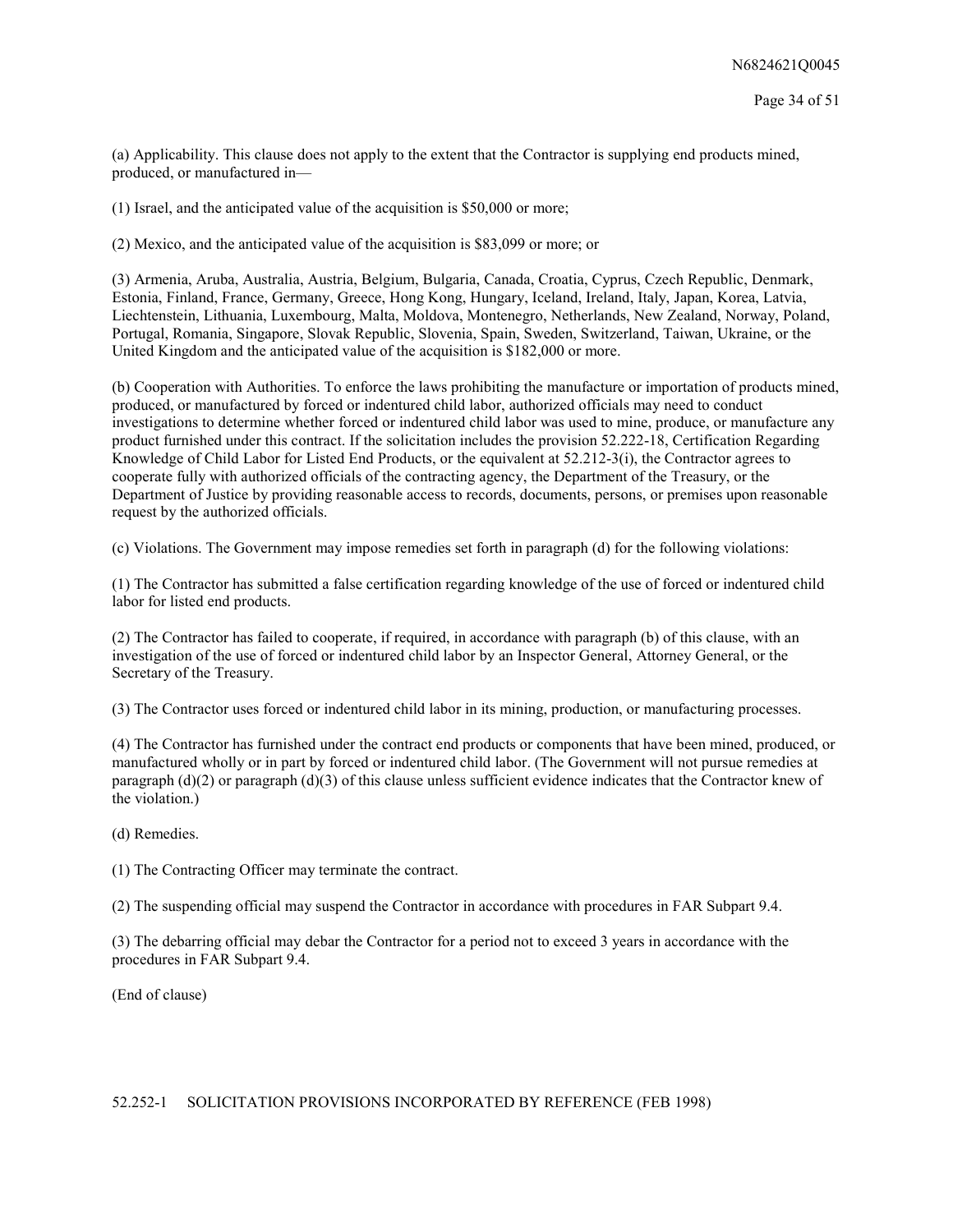(a) Applicability. This clause does not apply to the extent that the Contractor is supplying end products mined, produced, or manufactured in—

(1) Israel, and the anticipated value of the acquisition is \$50,000 or more;

(2) Mexico, and the anticipated value of the acquisition is \$83,099 or more; or

(3) Armenia, Aruba, Australia, Austria, Belgium, Bulgaria, Canada, Croatia, Cyprus, Czech Republic, Denmark, Estonia, Finland, France, Germany, Greece, Hong Kong, Hungary, Iceland, Ireland, Italy, Japan, Korea, Latvia, Liechtenstein, Lithuania, Luxembourg, Malta, Moldova, Montenegro, Netherlands, New Zealand, Norway, Poland, Portugal, Romania, Singapore, Slovak Republic, Slovenia, Spain, Sweden, Switzerland, Taiwan, Ukraine, or the United Kingdom and the anticipated value of the acquisition is \$182,000 or more.

(b) Cooperation with Authorities. To enforce the laws prohibiting the manufacture or importation of products mined, produced, or manufactured by forced or indentured child labor, authorized officials may need to conduct investigations to determine whether forced or indentured child labor was used to mine, produce, or manufacture any product furnished under this contract. If the solicitation includes the provision 52.222-18, Certification Regarding Knowledge of Child Labor for Listed End Products, or the equivalent at 52.212-3(i), the Contractor agrees to cooperate fully with authorized officials of the contracting agency, the Department of the Treasury, or the Department of Justice by providing reasonable access to records, documents, persons, or premises upon reasonable request by the authorized officials.

(c) Violations. The Government may impose remedies set forth in paragraph (d) for the following violations:

(1) The Contractor has submitted a false certification regarding knowledge of the use of forced or indentured child labor for listed end products.

(2) The Contractor has failed to cooperate, if required, in accordance with paragraph (b) of this clause, with an investigation of the use of forced or indentured child labor by an Inspector General, Attorney General, or the Secretary of the Treasury.

(3) The Contractor uses forced or indentured child labor in its mining, production, or manufacturing processes.

(4) The Contractor has furnished under the contract end products or components that have been mined, produced, or manufactured wholly or in part by forced or indentured child labor. (The Government will not pursue remedies at paragraph (d)(2) or paragraph (d)(3) of this clause unless sufficient evidence indicates that the Contractor knew of the violation.)

(d) Remedies.

(1) The Contracting Officer may terminate the contract.

(2) The suspending official may suspend the Contractor in accordance with procedures in FAR Subpart 9.4.

(3) The debarring official may debar the Contractor for a period not to exceed 3 years in accordance with the procedures in FAR Subpart 9.4.

(End of clause)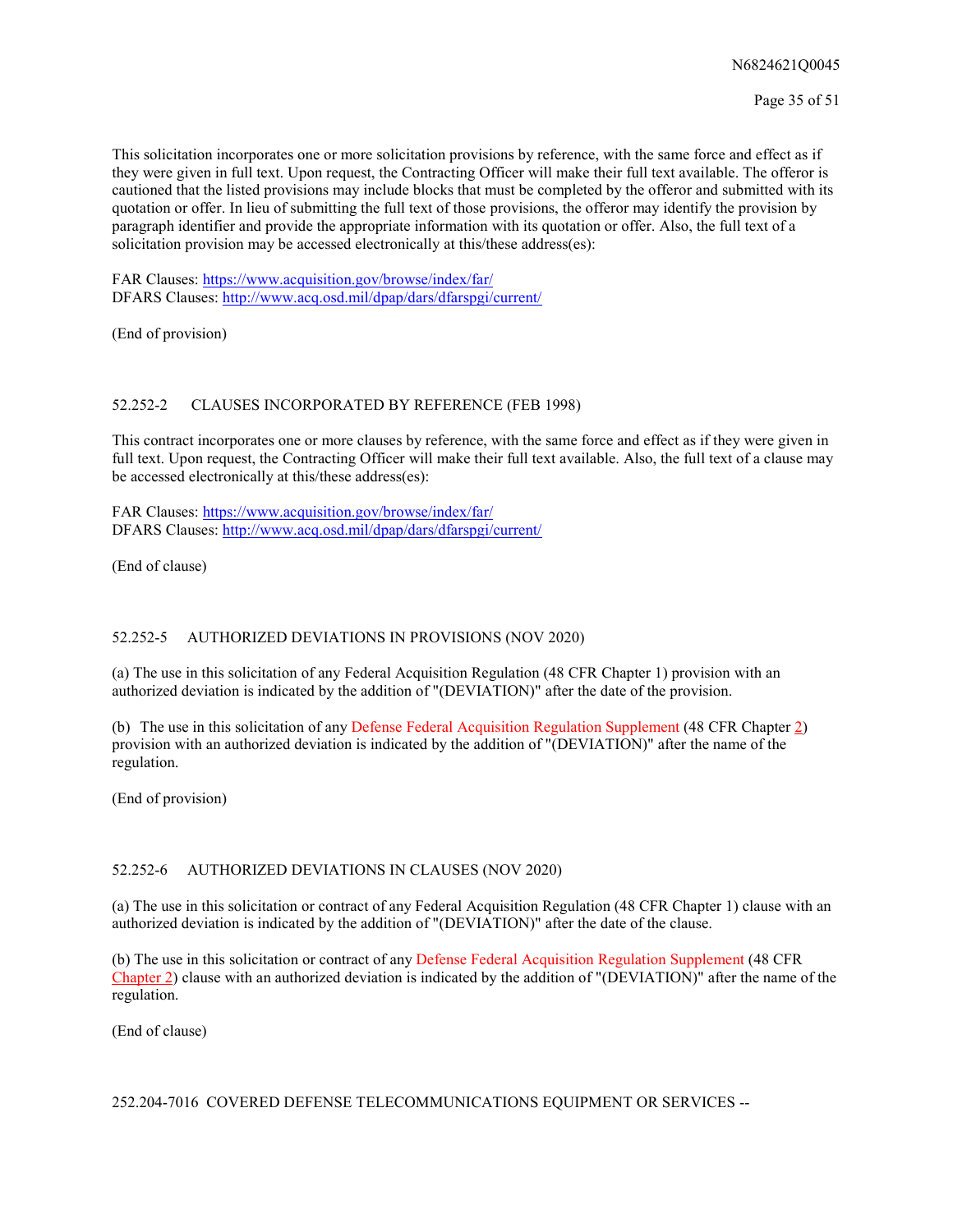This solicitation incorporates one or more solicitation provisions by reference, with the same force and effect as if they were given in full text. Upon request, the Contracting Officer will make their full text available. The offeror is cautioned that the listed provisions may include blocks that must be completed by the offeror and submitted with its quotation or offer. In lieu of submitting the full text of those provisions, the offeror may identify the provision by paragraph identifier and provide the appropriate information with its quotation or offer. Also, the full text of a solicitation provision may be accessed electronically at this/these address(es):

FAR Clauses: https://www.acquisition.gov/browse/index/far/ DFARS Clauses: http://www.acq.osd.mil/dpap/dars/dfarspgi/current/

(End of provision)

# 52.252-2 CLAUSES INCORPORATED BY REFERENCE (FEB 1998)

This contract incorporates one or more clauses by reference, with the same force and effect as if they were given in full text. Upon request, the Contracting Officer will make their full text available. Also, the full text of a clause may be accessed electronically at this/these address(es):

FAR Clauses: https://www.acquisition.gov/browse/index/far/ DFARS Clauses: http://www.acq.osd.mil/dpap/dars/dfarspgi/current/

(End of clause)

# 52.252-5 AUTHORIZED DEVIATIONS IN PROVISIONS (NOV 2020)

(a) The use in this solicitation of any Federal Acquisition Regulation (48 CFR Chapter 1) provision with an authorized deviation is indicated by the addition of "(DEVIATION)" after the date of the provision.

(b) The use in this solicitation of any Defense Federal Acquisition Regulation Supplement (48 CFR Chapter 2) provision with an authorized deviation is indicated by the addition of "(DEVIATION)" after the name of the regulation.

(End of provision)

# 52.252-6 AUTHORIZED DEVIATIONS IN CLAUSES (NOV 2020)

(a) The use in this solicitation or contract of any Federal Acquisition Regulation (48 CFR Chapter 1) clause with an authorized deviation is indicated by the addition of "(DEVIATION)" after the date of the clause.

(b) The use in this solicitation or contract of any Defense Federal Acquisition Regulation Supplement (48 CFR Chapter 2) clause with an authorized deviation is indicated by the addition of "(DEVIATION)" after the name of the regulation.

(End of clause)

### 252.204-7016 COVERED DEFENSE TELECOMMUNICATIONS EQUIPMENT OR SERVICES --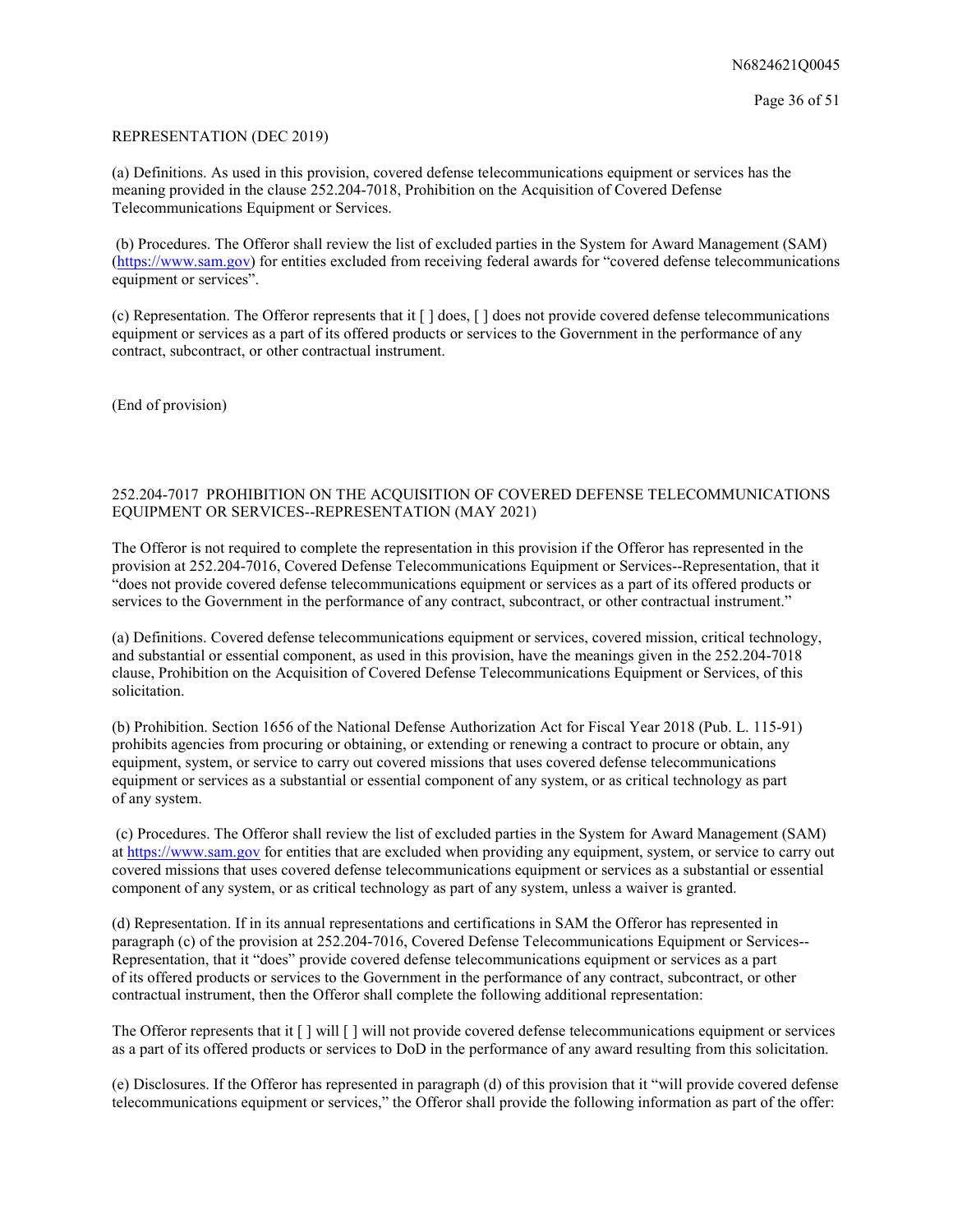#### REPRESENTATION (DEC 2019)

(a) Definitions. As used in this provision, covered defense telecommunications equipment or services has the meaning provided in the clause 252.204-7018, Prohibition on the Acquisition of Covered Defense Telecommunications Equipment or Services.

 (b) Procedures. The Offeror shall review the list of excluded parties in the System for Award Management (SAM) (https://www.sam.gov) for entities excluded from receiving federal awards for "covered defense telecommunications equipment or services".

(c) Representation. The Offeror represents that it [ ] does, [ ] does not provide covered defense telecommunications equipment or services as a part of its offered products or services to the Government in the performance of any contract, subcontract, or other contractual instrument.

(End of provision)

### 252.204-7017 PROHIBITION ON THE ACQUISITION OF COVERED DEFENSE TELECOMMUNICATIONS EQUIPMENT OR SERVICES--REPRESENTATION (MAY 2021)

The Offeror is not required to complete the representation in this provision if the Offeror has represented in the provision at 252.204-7016, Covered Defense Telecommunications Equipment or Services--Representation, that it "does not provide covered defense telecommunications equipment or services as a part of its offered products or services to the Government in the performance of any contract, subcontract, or other contractual instrument."

(a) Definitions. Covered defense telecommunications equipment or services, covered mission, critical technology, and substantial or essential component, as used in this provision, have the meanings given in the 252.204-7018 clause, Prohibition on the Acquisition of Covered Defense Telecommunications Equipment or Services, of this solicitation.

(b) Prohibition. Section 1656 of the National Defense Authorization Act for Fiscal Year 2018 (Pub. L. 115-91) prohibits agencies from procuring or obtaining, or extending or renewing a contract to procure or obtain, any equipment, system, or service to carry out covered missions that uses covered defense telecommunications equipment or services as a substantial or essential component of any system, or as critical technology as part of any system.

 (c) Procedures. The Offeror shall review the list of excluded parties in the System for Award Management (SAM) at https://www.sam.gov for entities that are excluded when providing any equipment, system, or service to carry out covered missions that uses covered defense telecommunications equipment or services as a substantial or essential component of any system, or as critical technology as part of any system, unless a waiver is granted.

(d) Representation. If in its annual representations and certifications in SAM the Offeror has represented in paragraph (c) of the provision at 252.204-7016, Covered Defense Telecommunications Equipment or Services-- Representation, that it "does" provide covered defense telecommunications equipment or services as a part of its offered products or services to the Government in the performance of any contract, subcontract, or other contractual instrument, then the Offeror shall complete the following additional representation:

The Offeror represents that it [] will [] will not provide covered defense telecommunications equipment or services as a part of its offered products or services to DoD in the performance of any award resulting from this solicitation.

(e) Disclosures. If the Offeror has represented in paragraph (d) of this provision that it "will provide covered defense telecommunications equipment or services," the Offeror shall provide the following information as part of the offer: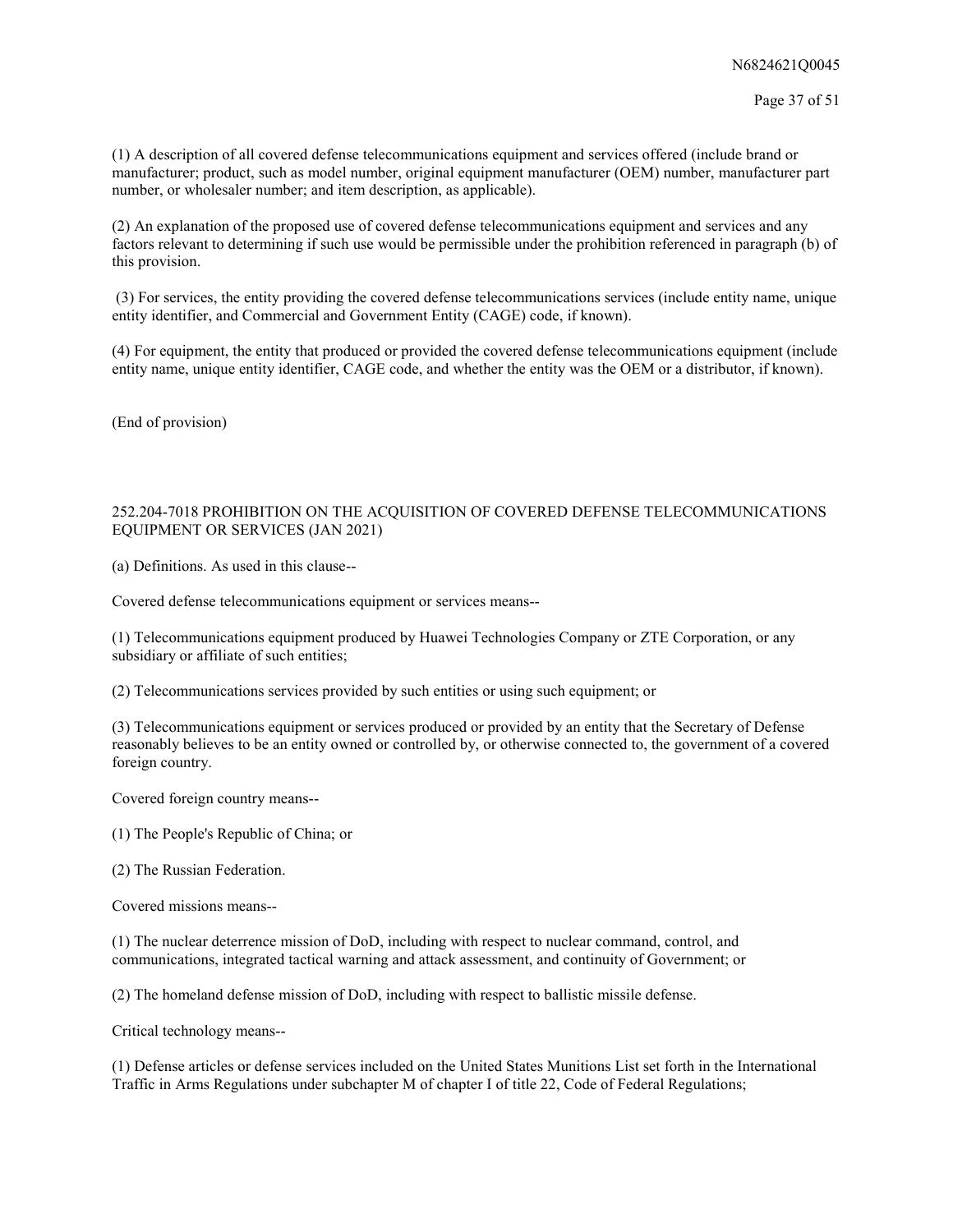(1) A description of all covered defense telecommunications equipment and services offered (include brand or manufacturer; product, such as model number, original equipment manufacturer (OEM) number, manufacturer part number, or wholesaler number; and item description, as applicable).

(2) An explanation of the proposed use of covered defense telecommunications equipment and services and any factors relevant to determining if such use would be permissible under the prohibition referenced in paragraph (b) of this provision.

 (3) For services, the entity providing the covered defense telecommunications services (include entity name, unique entity identifier, and Commercial and Government Entity (CAGE) code, if known).

(4) For equipment, the entity that produced or provided the covered defense telecommunications equipment (include entity name, unique entity identifier, CAGE code, and whether the entity was the OEM or a distributor, if known).

(End of provision)

# 252.204-7018 PROHIBITION ON THE ACQUISITION OF COVERED DEFENSE TELECOMMUNICATIONS EQUIPMENT OR SERVICES (JAN 2021)

(a) Definitions. As used in this clause--

Covered defense telecommunications equipment or services means--

(1) Telecommunications equipment produced by Huawei Technologies Company or ZTE Corporation, or any subsidiary or affiliate of such entities;

(2) Telecommunications services provided by such entities or using such equipment; or

(3) Telecommunications equipment or services produced or provided by an entity that the Secretary of Defense reasonably believes to be an entity owned or controlled by, or otherwise connected to, the government of a covered foreign country.

Covered foreign country means--

(1) The People's Republic of China; or

(2) The Russian Federation.

Covered missions means--

(1) The nuclear deterrence mission of DoD, including with respect to nuclear command, control, and communications, integrated tactical warning and attack assessment, and continuity of Government; or

(2) The homeland defense mission of DoD, including with respect to ballistic missile defense.

Critical technology means--

(1) Defense articles or defense services included on the United States Munitions List set forth in the International Traffic in Arms Regulations under subchapter M of chapter I of title 22, Code of Federal Regulations;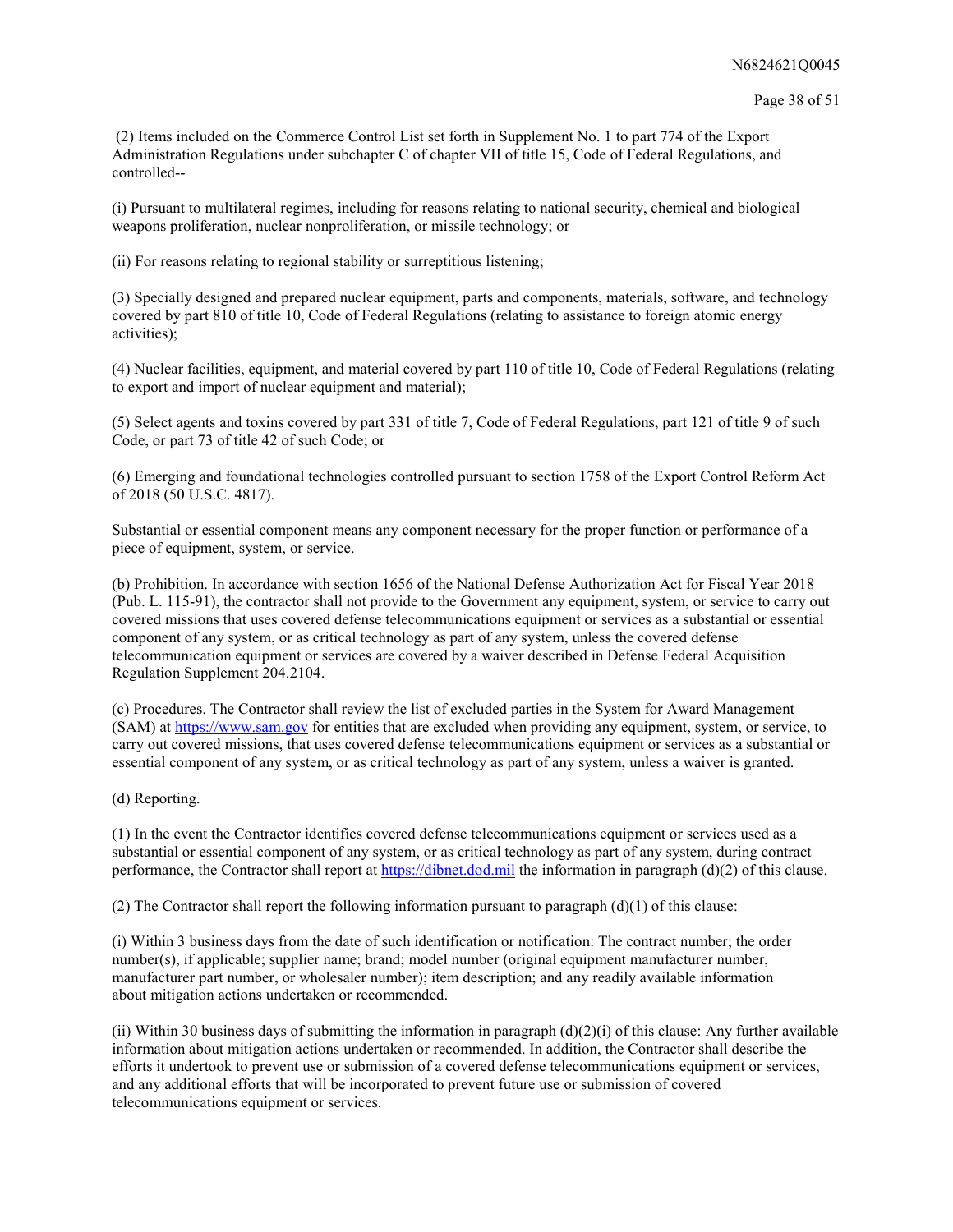(2) Items included on the Commerce Control List set forth in Supplement No. 1 to part 774 of the Export Administration Regulations under subchapter C of chapter VII of title 15, Code of Federal Regulations, and controlled--

(i) Pursuant to multilateral regimes, including for reasons relating to national security, chemical and biological weapons proliferation, nuclear nonproliferation, or missile technology; or

(ii) For reasons relating to regional stability or surreptitious listening;

(3) Specially designed and prepared nuclear equipment, parts and components, materials, software, and technology covered by part 810 of title 10, Code of Federal Regulations (relating to assistance to foreign atomic energy activities);

(4) Nuclear facilities, equipment, and material covered by part 110 of title 10, Code of Federal Regulations (relating to export and import of nuclear equipment and material);

(5) Select agents and toxins covered by part 331 of title 7, Code of Federal Regulations, part 121 of title 9 of such Code, or part 73 of title 42 of such Code; or

(6) Emerging and foundational technologies controlled pursuant to section 1758 of the Export Control Reform Act of 2018 (50 U.S.C. 4817).

Substantial or essential component means any component necessary for the proper function or performance of a piece of equipment, system, or service.

(b) Prohibition. In accordance with section 1656 of the National Defense Authorization Act for Fiscal Year 2018 (Pub. L. 115-91), the contractor shall not provide to the Government any equipment, system, or service to carry out covered missions that uses covered defense telecommunications equipment or services as a substantial or essential component of any system, or as critical technology as part of any system, unless the covered defense telecommunication equipment or services are covered by a waiver described in Defense Federal Acquisition Regulation Supplement 204.2104.

(c) Procedures. The Contractor shall review the list of excluded parties in the System for Award Management (SAM) at https://www.sam.gov for entities that are excluded when providing any equipment, system, or service, to carry out covered missions, that uses covered defense telecommunications equipment or services as a substantial or essential component of any system, or as critical technology as part of any system, unless a waiver is granted.

(d) Reporting.

(1) In the event the Contractor identifies covered defense telecommunications equipment or services used as a substantial or essential component of any system, or as critical technology as part of any system, during contract performance, the Contractor shall report at https://dibnet.dod.mil the information in paragraph (d)(2) of this clause.

(2) The Contractor shall report the following information pursuant to paragraph  $(d)(1)$  of this clause:

(i) Within 3 business days from the date of such identification or notification: The contract number; the order number(s), if applicable; supplier name; brand; model number (original equipment manufacturer number, manufacturer part number, or wholesaler number); item description; and any readily available information about mitigation actions undertaken or recommended.

(ii) Within 30 business days of submitting the information in paragraph  $(d)(2)(i)$  of this clause: Any further available information about mitigation actions undertaken or recommended. In addition, the Contractor shall describe the efforts it undertook to prevent use or submission of a covered defense telecommunications equipment or services, and any additional efforts that will be incorporated to prevent future use or submission of covered telecommunications equipment or services.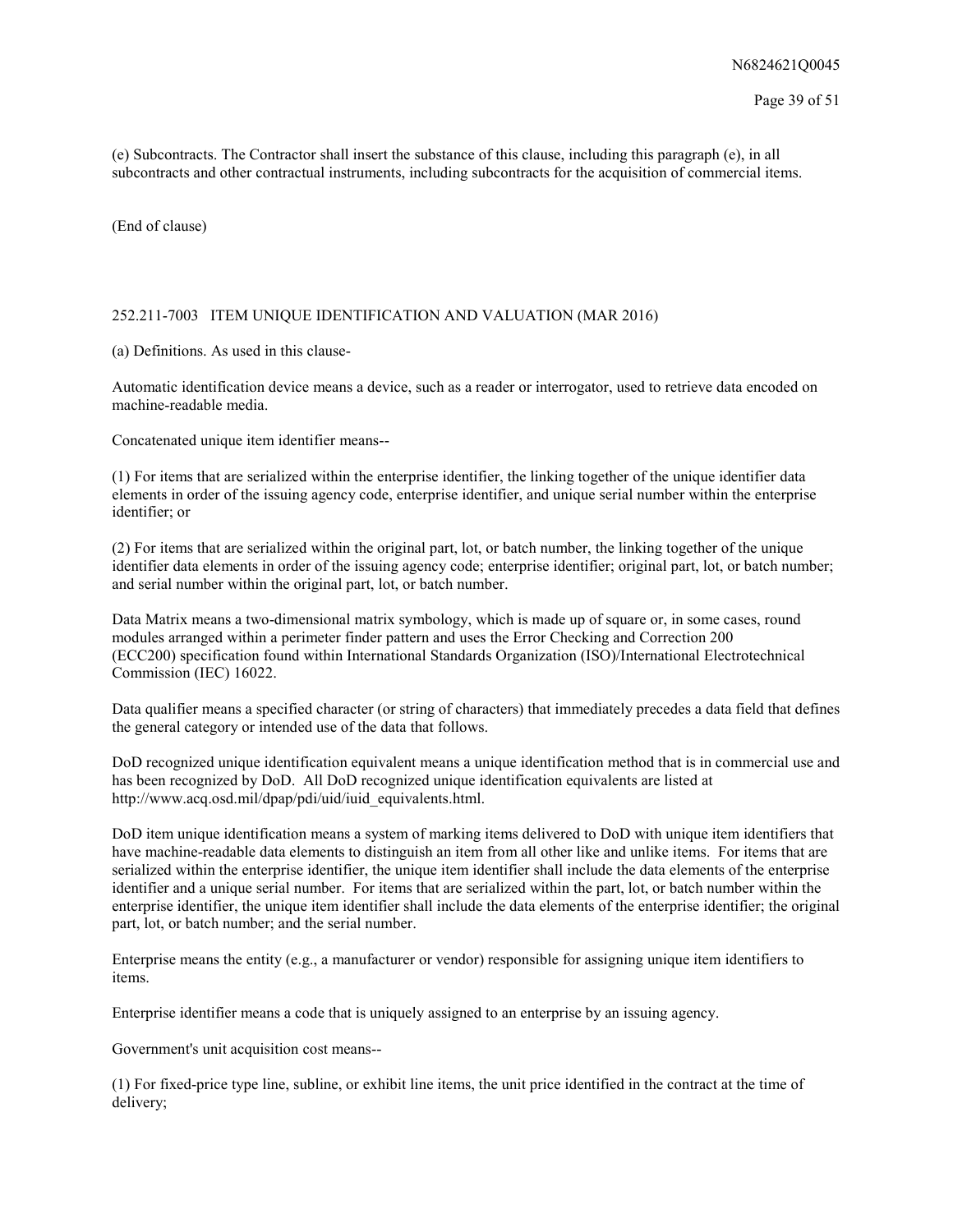(e) Subcontracts. The Contractor shall insert the substance of this clause, including this paragraph (e), in all subcontracts and other contractual instruments, including subcontracts for the acquisition of commercial items.

(End of clause)

### 252.211-7003 ITEM UNIQUE IDENTIFICATION AND VALUATION (MAR 2016)

(a) Definitions. As used in this clause-

Automatic identification device means a device, such as a reader or interrogator, used to retrieve data encoded on machine-readable media.

Concatenated unique item identifier means--

(1) For items that are serialized within the enterprise identifier, the linking together of the unique identifier data elements in order of the issuing agency code, enterprise identifier, and unique serial number within the enterprise identifier; or

(2) For items that are serialized within the original part, lot, or batch number, the linking together of the unique identifier data elements in order of the issuing agency code; enterprise identifier; original part, lot, or batch number; and serial number within the original part, lot, or batch number.

Data Matrix means a two-dimensional matrix symbology, which is made up of square or, in some cases, round modules arranged within a perimeter finder pattern and uses the Error Checking and Correction 200 (ECC200) specification found within International Standards Organization (ISO)/International Electrotechnical Commission (IEC) 16022.

Data qualifier means a specified character (or string of characters) that immediately precedes a data field that defines the general category or intended use of the data that follows.

DoD recognized unique identification equivalent means a unique identification method that is in commercial use and has been recognized by DoD. All DoD recognized unique identification equivalents are listed at http://www.acq.osd.mil/dpap/pdi/uid/iuid\_equivalents.html.

DoD item unique identification means a system of marking items delivered to DoD with unique item identifiers that have machine-readable data elements to distinguish an item from all other like and unlike items. For items that are serialized within the enterprise identifier, the unique item identifier shall include the data elements of the enterprise identifier and a unique serial number. For items that are serialized within the part, lot, or batch number within the enterprise identifier, the unique item identifier shall include the data elements of the enterprise identifier; the original part, lot, or batch number; and the serial number.

Enterprise means the entity (e.g., a manufacturer or vendor) responsible for assigning unique item identifiers to items.

Enterprise identifier means a code that is uniquely assigned to an enterprise by an issuing agency.

Government's unit acquisition cost means--

(1) For fixed-price type line, subline, or exhibit line items, the unit price identified in the contract at the time of delivery;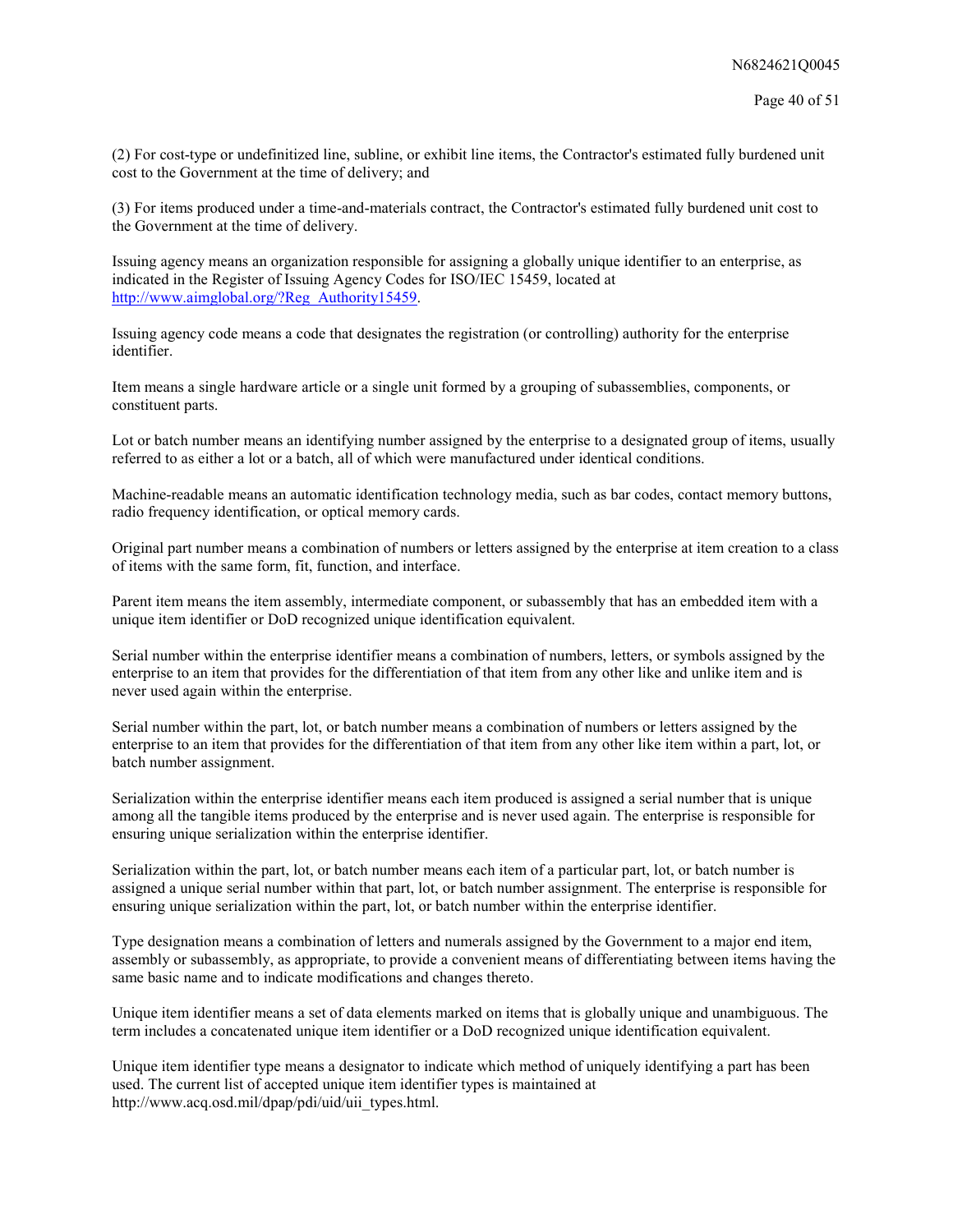(2) For cost-type or undefinitized line, subline, or exhibit line items, the Contractor's estimated fully burdened unit cost to the Government at the time of delivery; and

(3) For items produced under a time-and-materials contract, the Contractor's estimated fully burdened unit cost to the Government at the time of delivery.

Issuing agency means an organization responsible for assigning a globally unique identifier to an enterprise, as indicated in the Register of Issuing Agency Codes for ISO/IEC 15459, located at http://www.aimglobal.org/?Reg\_Authority15459.

Issuing agency code means a code that designates the registration (or controlling) authority for the enterprise identifier.

Item means a single hardware article or a single unit formed by a grouping of subassemblies, components, or constituent parts.

Lot or batch number means an identifying number assigned by the enterprise to a designated group of items, usually referred to as either a lot or a batch, all of which were manufactured under identical conditions.

Machine-readable means an automatic identification technology media, such as bar codes, contact memory buttons, radio frequency identification, or optical memory cards.

Original part number means a combination of numbers or letters assigned by the enterprise at item creation to a class of items with the same form, fit, function, and interface.

Parent item means the item assembly, intermediate component, or subassembly that has an embedded item with a unique item identifier or DoD recognized unique identification equivalent.

Serial number within the enterprise identifier means a combination of numbers, letters, or symbols assigned by the enterprise to an item that provides for the differentiation of that item from any other like and unlike item and is never used again within the enterprise.

Serial number within the part, lot, or batch number means a combination of numbers or letters assigned by the enterprise to an item that provides for the differentiation of that item from any other like item within a part, lot, or batch number assignment.

Serialization within the enterprise identifier means each item produced is assigned a serial number that is unique among all the tangible items produced by the enterprise and is never used again. The enterprise is responsible for ensuring unique serialization within the enterprise identifier.

Serialization within the part, lot, or batch number means each item of a particular part, lot, or batch number is assigned a unique serial number within that part, lot, or batch number assignment. The enterprise is responsible for ensuring unique serialization within the part, lot, or batch number within the enterprise identifier.

Type designation means a combination of letters and numerals assigned by the Government to a major end item, assembly or subassembly, as appropriate, to provide a convenient means of differentiating between items having the same basic name and to indicate modifications and changes thereto.

Unique item identifier means a set of data elements marked on items that is globally unique and unambiguous. The term includes a concatenated unique item identifier or a DoD recognized unique identification equivalent.

Unique item identifier type means a designator to indicate which method of uniquely identifying a part has been used. The current list of accepted unique item identifier types is maintained at http://www.acq.osd.mil/dpap/pdi/uid/uii\_types.html.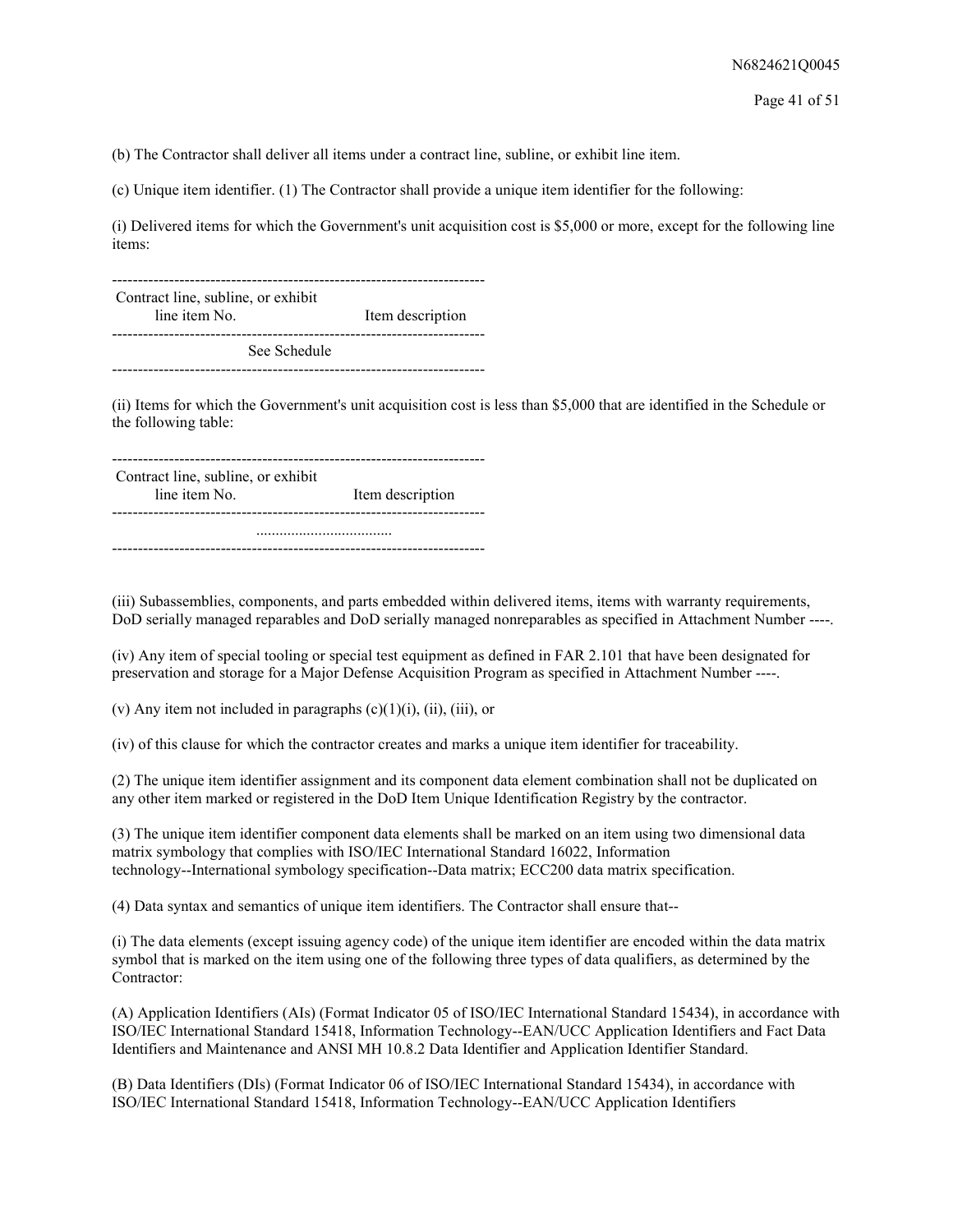(b) The Contractor shall deliver all items under a contract line, subline, or exhibit line item.

(c) Unique item identifier. (1) The Contractor shall provide a unique item identifier for the following:

(i) Delivered items for which the Government's unit acquisition cost is \$5,000 or more, except for the following line items:

------------------------------------------------------------------------ Contract line, subline, or exhibit line item No. Item description ------------------------------------------------------------------------ See Schedule ------------------------------------------------------------------------

(ii) Items for which the Government's unit acquisition cost is less than \$5,000 that are identified in the Schedule or the following table:

------------------------------------------------------------------------ Contract line, subline, or exhibit line item No. Item description ------------------------------------------------------------------------ ................................... ------------------------------------------------------------------------

(iii) Subassemblies, components, and parts embedded within delivered items, items with warranty requirements, DoD serially managed reparables and DoD serially managed nonreparables as specified in Attachment Number ----.

(iv) Any item of special tooling or special test equipment as defined in FAR 2.101 that have been designated for preservation and storage for a Major Defense Acquisition Program as specified in Attachment Number ----.

(v) Any item not included in paragraphs  $(c)(1)(i)$ ,  $(ii)$ ,  $(iii)$ , or

(iv) of this clause for which the contractor creates and marks a unique item identifier for traceability.

(2) The unique item identifier assignment and its component data element combination shall not be duplicated on any other item marked or registered in the DoD Item Unique Identification Registry by the contractor.

(3) The unique item identifier component data elements shall be marked on an item using two dimensional data matrix symbology that complies with ISO/IEC International Standard 16022, Information technology--International symbology specification--Data matrix; ECC200 data matrix specification.

(4) Data syntax and semantics of unique item identifiers. The Contractor shall ensure that--

(i) The data elements (except issuing agency code) of the unique item identifier are encoded within the data matrix symbol that is marked on the item using one of the following three types of data qualifiers, as determined by the Contractor:

(A) Application Identifiers (AIs) (Format Indicator 05 of ISO/IEC International Standard 15434), in accordance with ISO/IEC International Standard 15418, Information Technology--EAN/UCC Application Identifiers and Fact Data Identifiers and Maintenance and ANSI MH 10.8.2 Data Identifier and Application Identifier Standard.

(B) Data Identifiers (DIs) (Format Indicator 06 of ISO/IEC International Standard 15434), in accordance with ISO/IEC International Standard 15418, Information Technology--EAN/UCC Application Identifiers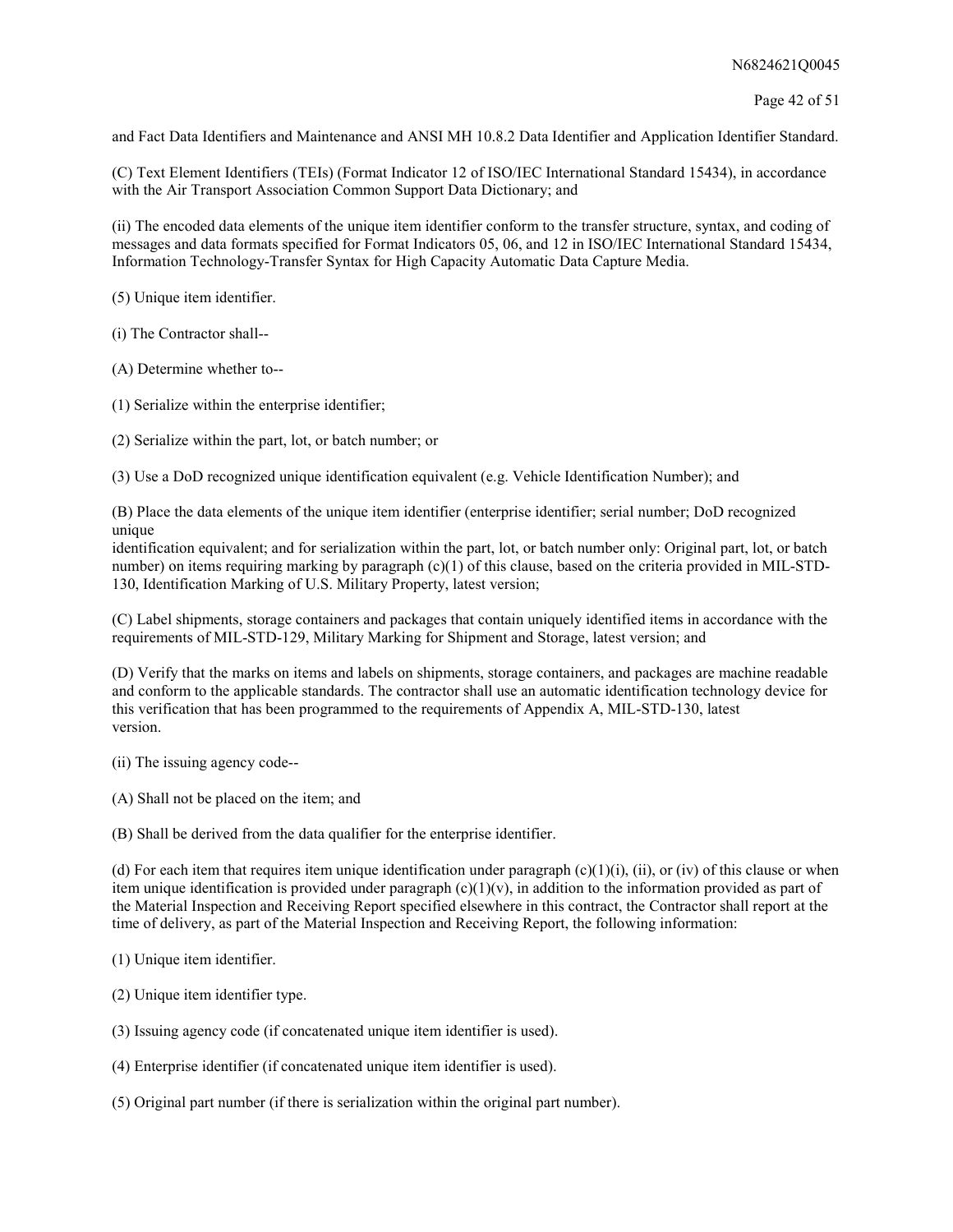and Fact Data Identifiers and Maintenance and ANSI MH 10.8.2 Data Identifier and Application Identifier Standard.

(C) Text Element Identifiers (TEIs) (Format Indicator 12 of ISO/IEC International Standard 15434), in accordance with the Air Transport Association Common Support Data Dictionary; and

(ii) The encoded data elements of the unique item identifier conform to the transfer structure, syntax, and coding of messages and data formats specified for Format Indicators 05, 06, and 12 in ISO/IEC International Standard 15434, Information Technology-Transfer Syntax for High Capacity Automatic Data Capture Media.

(5) Unique item identifier.

(i) The Contractor shall--

(A) Determine whether to--

(1) Serialize within the enterprise identifier;

(2) Serialize within the part, lot, or batch number; or

(3) Use a DoD recognized unique identification equivalent (e.g. Vehicle Identification Number); and

(B) Place the data elements of the unique item identifier (enterprise identifier; serial number; DoD recognized unique

identification equivalent; and for serialization within the part, lot, or batch number only: Original part, lot, or batch number) on items requiring marking by paragraph (c)(1) of this clause, based on the criteria provided in MIL-STD-130, Identification Marking of U.S. Military Property, latest version;

(C) Label shipments, storage containers and packages that contain uniquely identified items in accordance with the requirements of MIL-STD-129, Military Marking for Shipment and Storage, latest version; and

(D) Verify that the marks on items and labels on shipments, storage containers, and packages are machine readable and conform to the applicable standards. The contractor shall use an automatic identification technology device for this verification that has been programmed to the requirements of Appendix A, MIL-STD-130, latest version.

(ii) The issuing agency code--

(A) Shall not be placed on the item; and

(B) Shall be derived from the data qualifier for the enterprise identifier.

(d) For each item that requires item unique identification under paragraph  $(c)(1)(i)$ , (ii), or (iv) of this clause or when item unique identification is provided under paragraph  $(c)(1)(v)$ , in addition to the information provided as part of the Material Inspection and Receiving Report specified elsewhere in this contract, the Contractor shall report at the time of delivery, as part of the Material Inspection and Receiving Report, the following information:

(1) Unique item identifier.

(2) Unique item identifier type.

(3) Issuing agency code (if concatenated unique item identifier is used).

(4) Enterprise identifier (if concatenated unique item identifier is used).

(5) Original part number (if there is serialization within the original part number).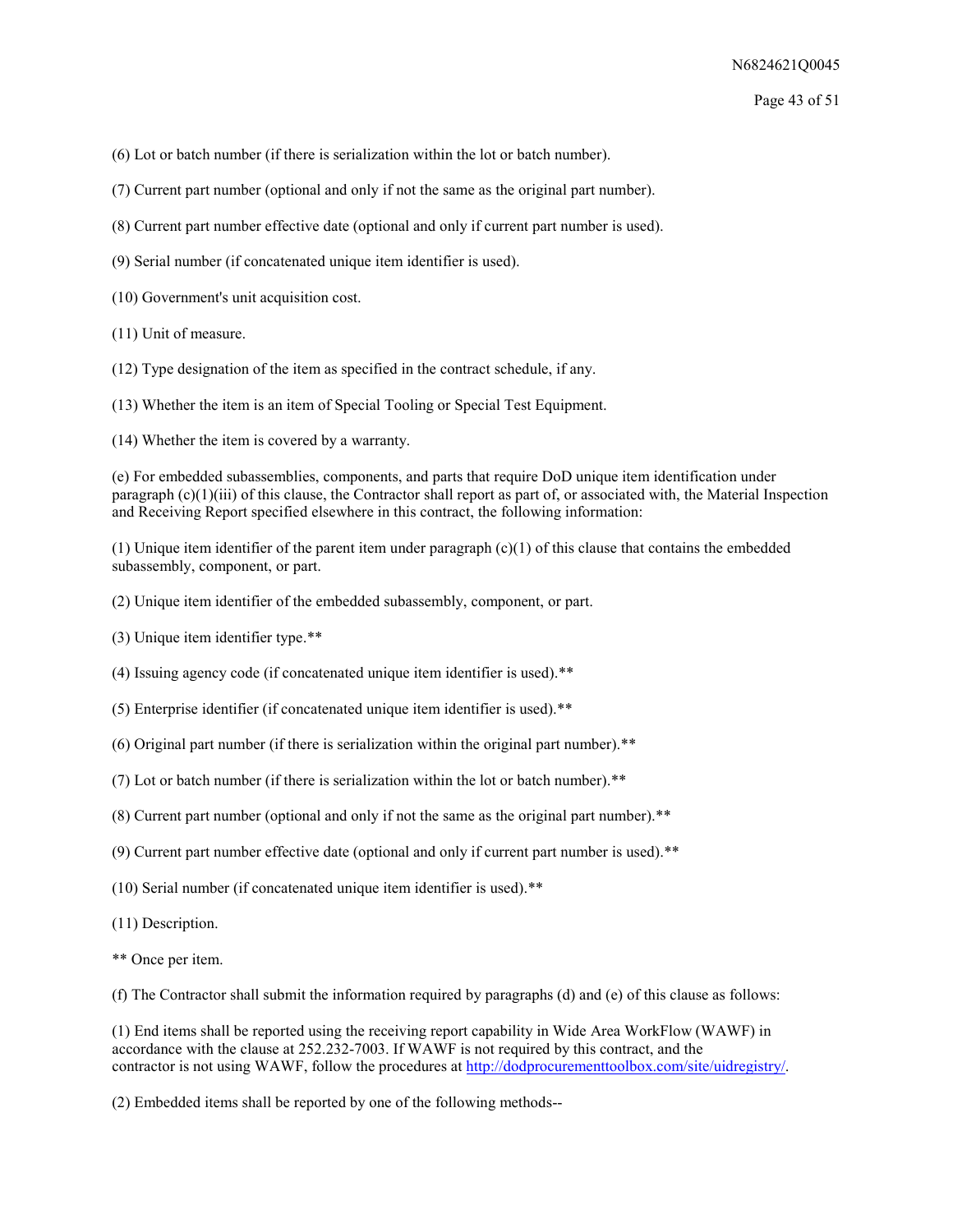#### Page 43 of 51

- (6) Lot or batch number (if there is serialization within the lot or batch number).
- (7) Current part number (optional and only if not the same as the original part number).
- (8) Current part number effective date (optional and only if current part number is used).
- (9) Serial number (if concatenated unique item identifier is used).
- (10) Government's unit acquisition cost.
- (11) Unit of measure.
- (12) Type designation of the item as specified in the contract schedule, if any.
- (13) Whether the item is an item of Special Tooling or Special Test Equipment.
- (14) Whether the item is covered by a warranty.

(e) For embedded subassemblies, components, and parts that require DoD unique item identification under paragraph (c)(1)(iii) of this clause, the Contractor shall report as part of, or associated with, the Material Inspection and Receiving Report specified elsewhere in this contract, the following information:

(1) Unique item identifier of the parent item under paragraph (c)(1) of this clause that contains the embedded subassembly, component, or part.

- (2) Unique item identifier of the embedded subassembly, component, or part.
- (3) Unique item identifier type.\*\*
- (4) Issuing agency code (if concatenated unique item identifier is used).\*\*
- (5) Enterprise identifier (if concatenated unique item identifier is used).\*\*
- (6) Original part number (if there is serialization within the original part number).\*\*
- (7) Lot or batch number (if there is serialization within the lot or batch number).\*\*
- (8) Current part number (optional and only if not the same as the original part number).\*\*
- (9) Current part number effective date (optional and only if current part number is used).\*\*
- (10) Serial number (if concatenated unique item identifier is used).\*\*
- (11) Description.
- \*\* Once per item.

(f) The Contractor shall submit the information required by paragraphs (d) and (e) of this clause as follows:

(1) End items shall be reported using the receiving report capability in Wide Area WorkFlow (WAWF) in accordance with the clause at 252.232-7003. If WAWF is not required by this contract, and the contractor is not using WAWF, follow the procedures at http://dodprocurementtoolbox.com/site/uidregistry/.

(2) Embedded items shall be reported by one of the following methods--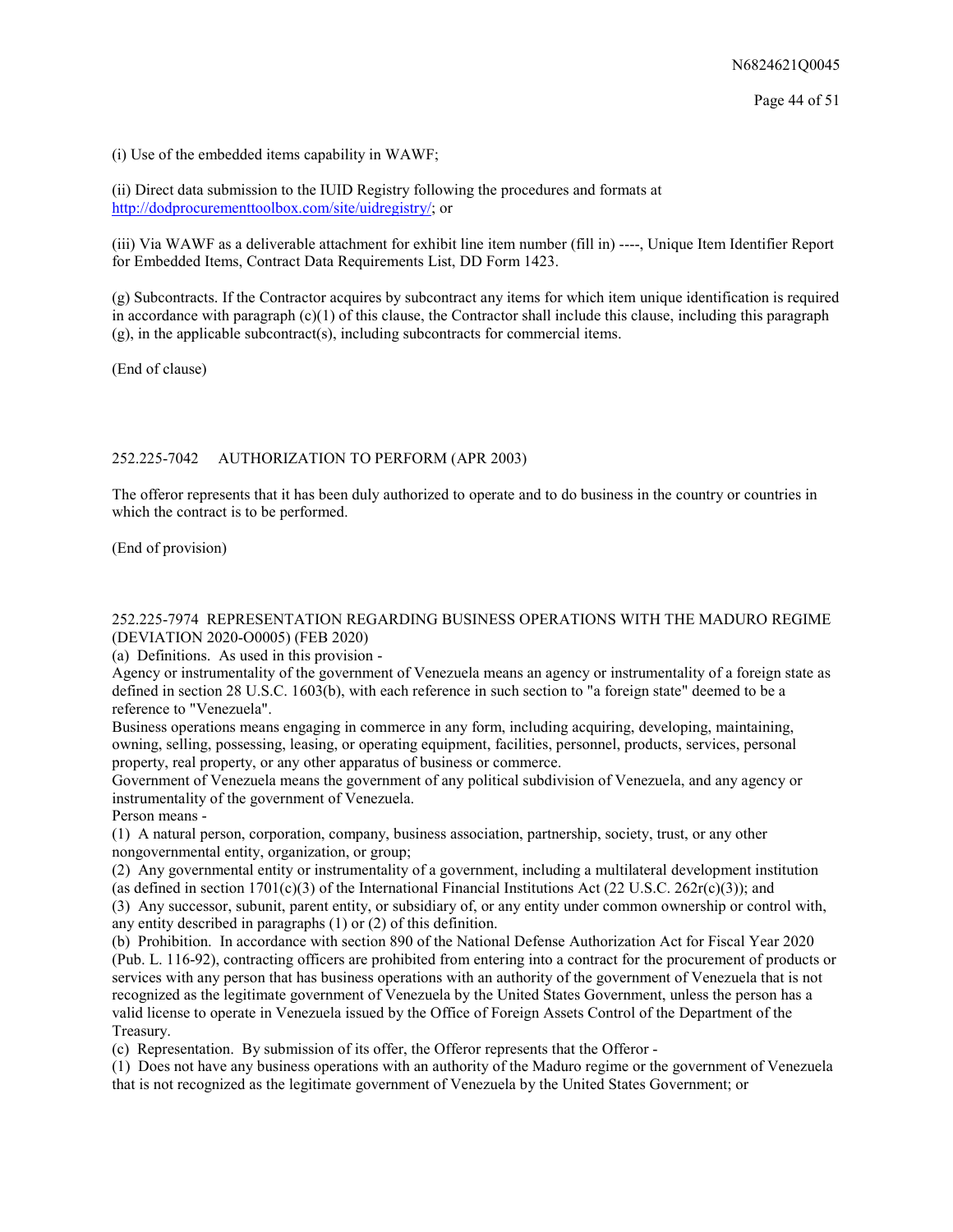Page 44 of 51

(i) Use of the embedded items capability in WAWF;

(ii) Direct data submission to the IUID Registry following the procedures and formats at http://dodprocurementtoolbox.com/site/uidregistry/; or

(iii) Via WAWF as a deliverable attachment for exhibit line item number (fill in) ----, Unique Item Identifier Report for Embedded Items, Contract Data Requirements List, DD Form 1423.

(g) Subcontracts. If the Contractor acquires by subcontract any items for which item unique identification is required in accordance with paragraph  $(c)(1)$  of this clause, the Contractor shall include this clause, including this paragraph (g), in the applicable subcontract(s), including subcontracts for commercial items.

(End of clause)

# 252.225-7042 AUTHORIZATION TO PERFORM (APR 2003)

The offeror represents that it has been duly authorized to operate and to do business in the country or countries in which the contract is to be performed.

(End of provision)

### 252.225-7974 REPRESENTATION REGARDING BUSINESS OPERATIONS WITH THE MADURO REGIME (DEVIATION 2020-O0005) (FEB 2020)

(a) Definitions. As used in this provision -

Agency or instrumentality of the government of Venezuela means an agency or instrumentality of a foreign state as defined in section 28 U.S.C. 1603(b), with each reference in such section to "a foreign state" deemed to be a reference to "Venezuela".

Business operations means engaging in commerce in any form, including acquiring, developing, maintaining, owning, selling, possessing, leasing, or operating equipment, facilities, personnel, products, services, personal property, real property, or any other apparatus of business or commerce.

Government of Venezuela means the government of any political subdivision of Venezuela, and any agency or instrumentality of the government of Venezuela.

Person means -

(1) A natural person, corporation, company, business association, partnership, society, trust, or any other nongovernmental entity, organization, or group;

(2) Any governmental entity or instrumentality of a government, including a multilateral development institution (as defined in section 1701(c)(3) of the International Financial Institutions Act (22 U.S.C. 262r(c)(3)); and

(3) Any successor, subunit, parent entity, or subsidiary of, or any entity under common ownership or control with, any entity described in paragraphs (1) or (2) of this definition.

(b) Prohibition. In accordance with section 890 of the National Defense Authorization Act for Fiscal Year 2020 (Pub. L. 116-92), contracting officers are prohibited from entering into a contract for the procurement of products or services with any person that has business operations with an authority of the government of Venezuela that is not recognized as the legitimate government of Venezuela by the United States Government, unless the person has a valid license to operate in Venezuela issued by the Office of Foreign Assets Control of the Department of the Treasury.

(c) Representation. By submission of its offer, the Offeror represents that the Offeror -

(1) Does not have any business operations with an authority of the Maduro regime or the government of Venezuela that is not recognized as the legitimate government of Venezuela by the United States Government; or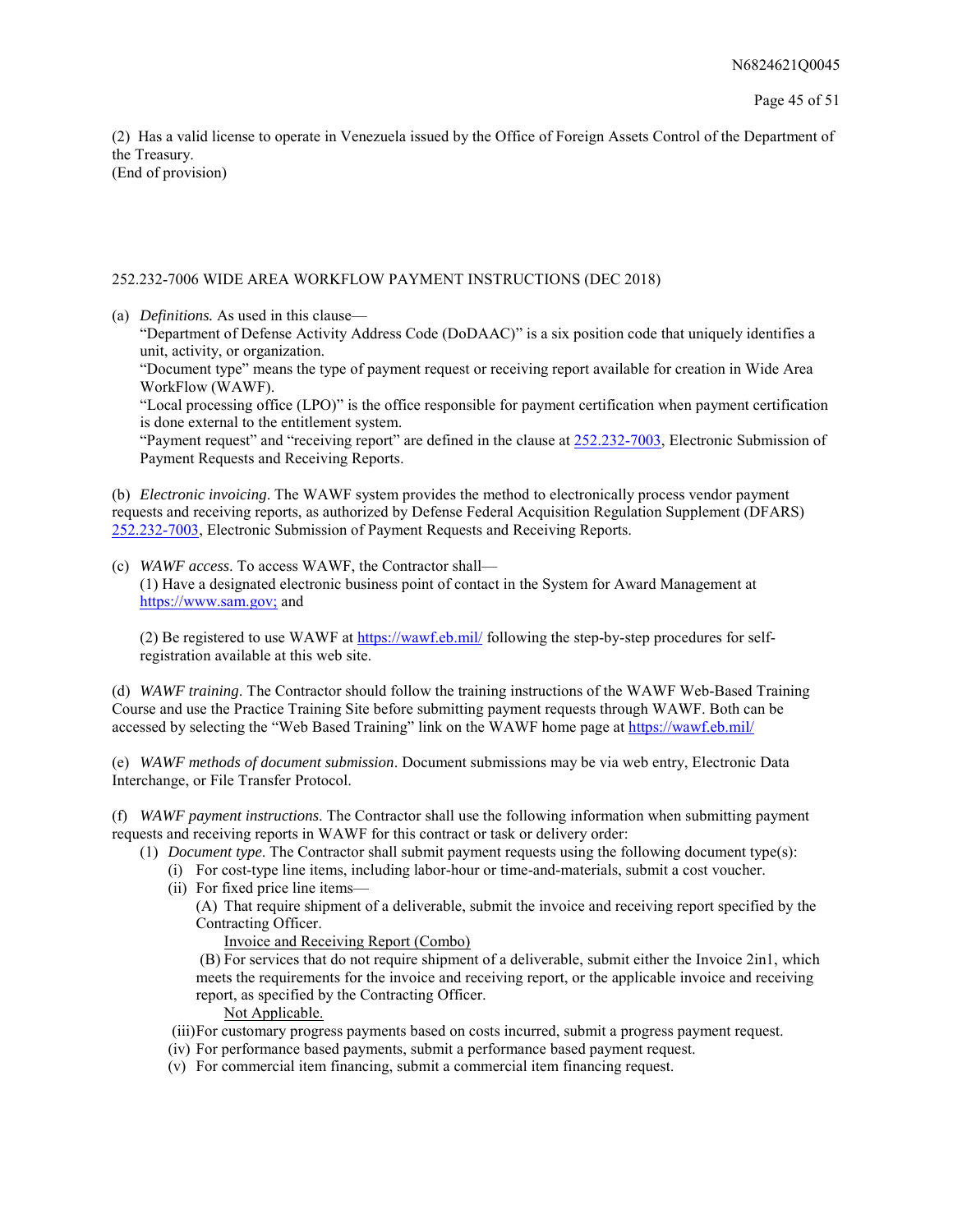(2) Has a valid license to operate in Venezuela issued by the Office of Foreign Assets Control of the Department of the Treasury. (End of provision)

# 252.232-7006 WIDE AREA WORKFLOW PAYMENT INSTRUCTIONS (DEC 2018)

(a) *Definitions.* As used in this clause—

"Department of Defense Activity Address Code (DoDAAC)" is a six position code that uniquely identifies a unit, activity, or organization.

"Document type" means the type of payment request or receiving report available for creation in Wide Area WorkFlow (WAWF).

"Local processing office (LPO)" is the office responsible for payment certification when payment certification is done external to the entitlement system.

"Payment request" and "receiving report" are defined in the clause at 252.232-7003, Electronic Submission of Payment Requests and Receiving Reports.

(b) *Electronic invoicing*. The WAWF system provides the method to electronically process vendor payment requests and receiving reports, as authorized by Defense Federal Acquisition Regulation Supplement (DFARS) 252.232-7003, Electronic Submission of Payment Requests and Receiving Reports.

(c) *WAWF access*. To access WAWF, the Contractor shall— (1) Have a designated electronic business point of contact in the System for Award Management at https://www.sam.gov; and

(2) Be registered to use WAWF at https://wawf.eb.mil/ following the step-by-step procedures for selfregistration available at this web site.

(d) *WAWF training*. The Contractor should follow the training instructions of the WAWF Web-Based Training Course and use the Practice Training Site before submitting payment requests through WAWF. Both can be accessed by selecting the "Web Based Training" link on the WAWF home page at https://wawf.eb.mil/

(e) *WAWF methods of document submission*. Document submissions may be via web entry, Electronic Data Interchange, or File Transfer Protocol.

(f) *WAWF payment instructions*. The Contractor shall use the following information when submitting payment requests and receiving reports in WAWF for this contract or task or delivery order:

- (1) *Document type*. The Contractor shall submit payment requests using the following document type(s):
	- (i) For cost-type line items, including labor-hour or time-and-materials, submit a cost voucher.
	- (ii) For fixed price line items—

(A) That require shipment of a deliverable, submit the invoice and receiving report specified by the Contracting Officer.

Invoice and Receiving Report (Combo)

 (B) For services that do not require shipment of a deliverable, submit either the Invoice 2in1, which meets the requirements for the invoice and receiving report, or the applicable invoice and receiving report, as specified by the Contracting Officer.

- Not Applicable.
- (iii) For customary progress payments based on costs incurred, submit a progress payment request.
- (iv) For performance based payments, submit a performance based payment request.
- (v) For commercial item financing, submit a commercial item financing request.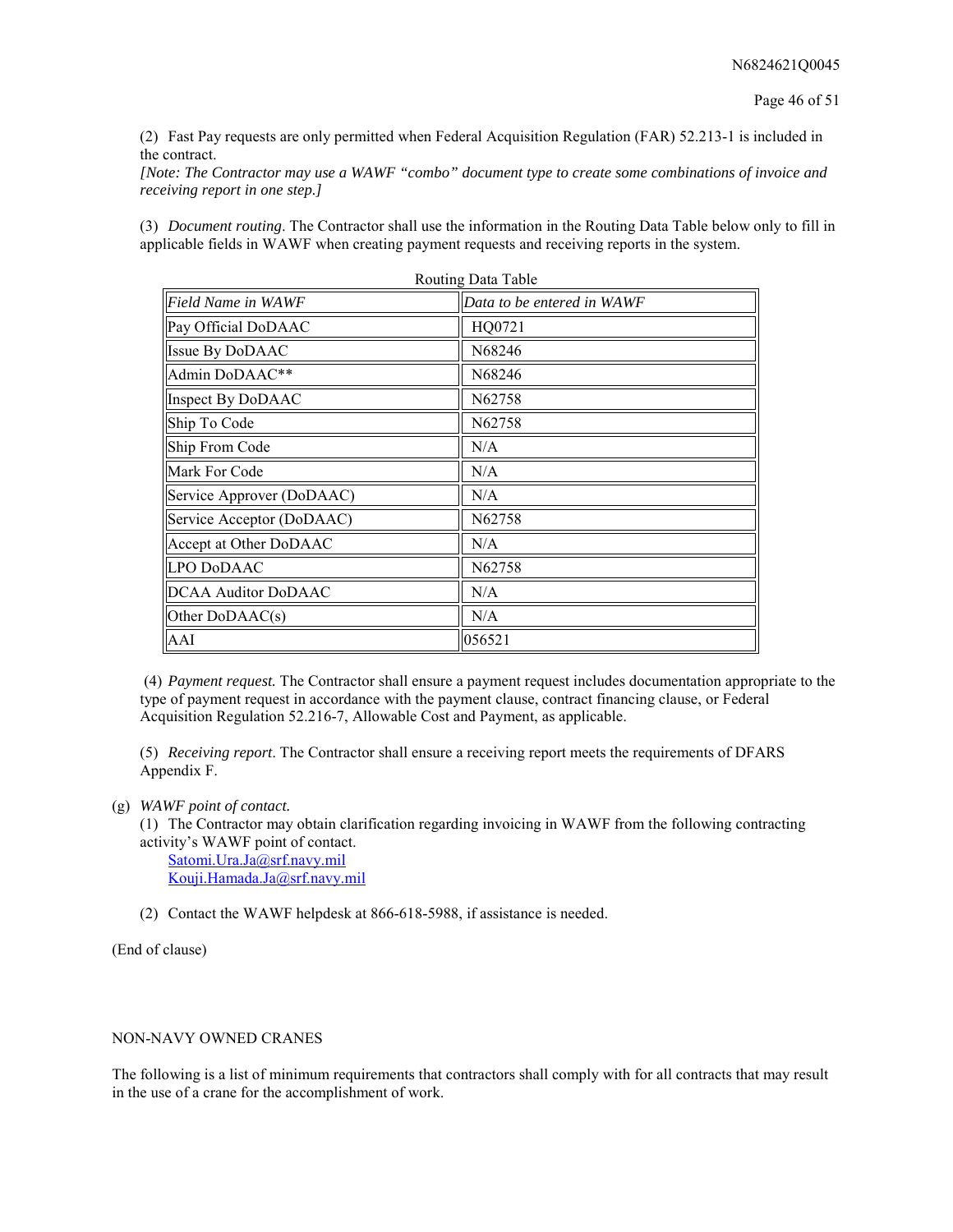(2) Fast Pay requests are only permitted when Federal Acquisition Regulation (FAR) 52.213-1 is included in the contract.

*[Note: The Contractor may use a WAWF "combo" document type to create some combinations of invoice and receiving report in one step.]*

(3) *Document routing*. The Contractor shall use the information in the Routing Data Table below only to fill in applicable fields in WAWF when creating payment requests and receiving reports in the system.

Routing Data Table

| Routing Data Table        |                            |
|---------------------------|----------------------------|
| Field Name in WAWF        | Data to be entered in WAWF |
| Pay Official DoDAAC       | HQ0721                     |
| Issue By DoDAAC           | N68246                     |
| Admin DoDAAC**            | N68246                     |
| Inspect By DoDAAC         | N62758                     |
| Ship To Code              | N62758                     |
| Ship From Code            | N/A                        |
| Mark For Code             | N/A                        |
| Service Approver (DoDAAC) | N/A                        |
| Service Acceptor (DoDAAC) | N62758                     |
| Accept at Other DoDAAC    | N/A                        |
| <b>LPO DoDAAC</b>         | N62758                     |
| DCAA Auditor DoDAAC       | N/A                        |
| Other $DoDAAC(s)$         | N/A                        |
| AAI                       | 056521                     |
|                           |                            |

 (4) *Payment request.* The Contractor shall ensure a payment request includes documentation appropriate to the type of payment request in accordance with the payment clause, contract financing clause, or Federal Acquisition Regulation 52.216-7, Allowable Cost and Payment, as applicable.

(5) *Receiving report*. The Contractor shall ensure a receiving report meets the requirements of DFARS Appendix F.

# (g) *WAWF point of contact.*

- (1) The Contractor may obtain clarification regarding invoicing in WAWF from the following contracting activity's WAWF point of contact. Satomi.Ura.Ja@srf.navy.mil Kouji.Hamada.Ja@srf.navy.mil
- (2) Contact the WAWF helpdesk at 866-618-5988, if assistance is needed.

(End of clause)

#### NON-NAVY OWNED CRANES

The following is a list of minimum requirements that contractors shall comply with for all contracts that may result in the use of a crane for the accomplishment of work.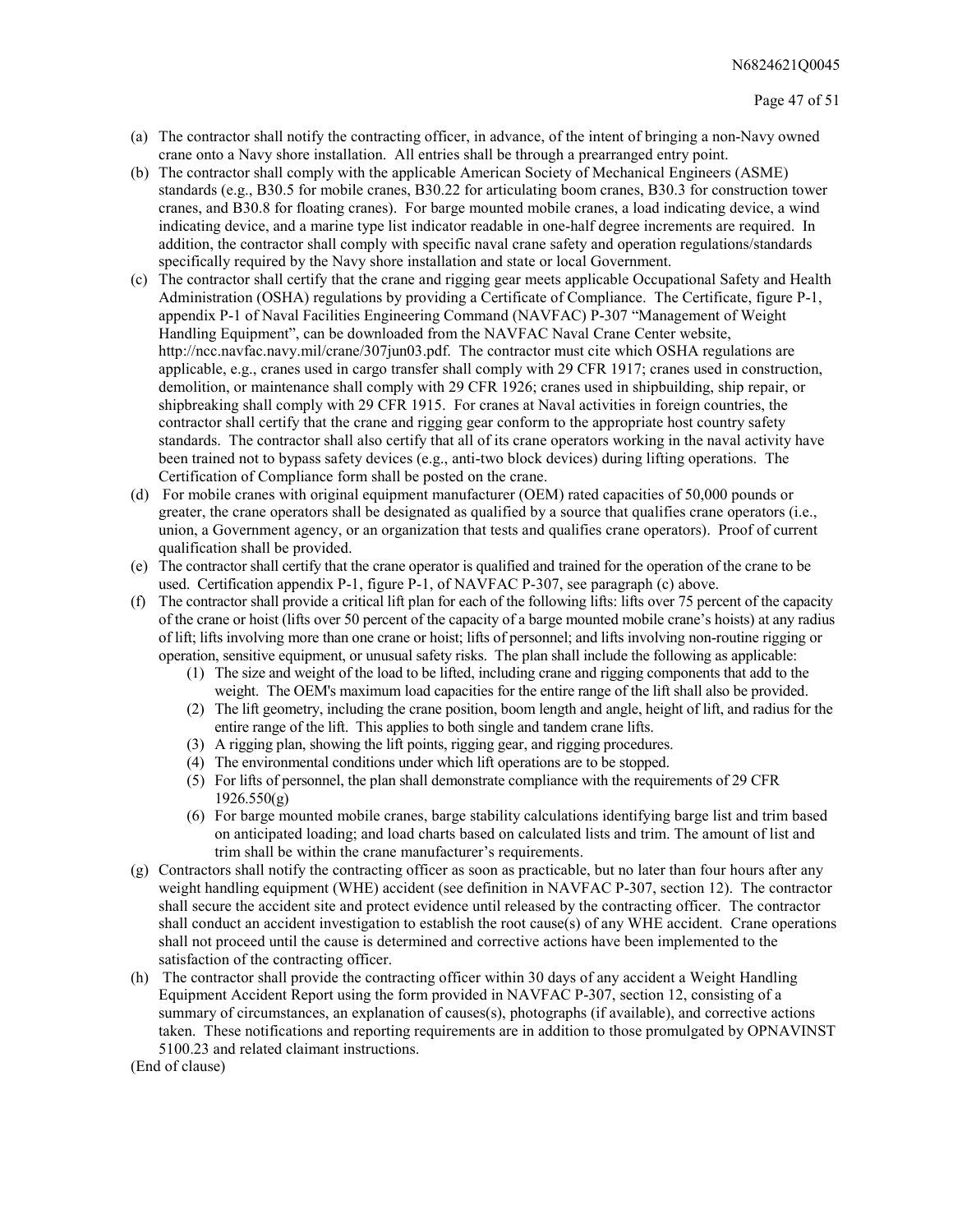- (a) The contractor shall notify the contracting officer, in advance, of the intent of bringing a non-Navy owned crane onto a Navy shore installation. All entries shall be through a prearranged entry point.
- (b) The contractor shall comply with the applicable American Society of Mechanical Engineers (ASME) standards (e.g., B30.5 for mobile cranes, B30.22 for articulating boom cranes, B30.3 for construction tower cranes, and B30.8 for floating cranes). For barge mounted mobile cranes, a load indicating device, a wind indicating device, and a marine type list indicator readable in one-half degree increments are required. In addition, the contractor shall comply with specific naval crane safety and operation regulations/standards specifically required by the Navy shore installation and state or local Government.
- (c) The contractor shall certify that the crane and rigging gear meets applicable Occupational Safety and Health Administration (OSHA) regulations by providing a Certificate of Compliance. The Certificate, figure P-1, appendix P-1 of Naval Facilities Engineering Command (NAVFAC) P-307 "Management of Weight Handling Equipment", can be downloaded from the NAVFAC Naval Crane Center website, http://ncc.navfac.navy.mil/crane/307jun03.pdf. The contractor must cite which OSHA regulations are applicable, e.g., cranes used in cargo transfer shall comply with 29 CFR 1917; cranes used in construction, demolition, or maintenance shall comply with 29 CFR 1926; cranes used in shipbuilding, ship repair, or shipbreaking shall comply with 29 CFR 1915. For cranes at Naval activities in foreign countries, the contractor shall certify that the crane and rigging gear conform to the appropriate host country safety standards. The contractor shall also certify that all of its crane operators working in the naval activity have been trained not to bypass safety devices (e.g., anti-two block devices) during lifting operations. The Certification of Compliance form shall be posted on the crane.
- (d) For mobile cranes with original equipment manufacturer (OEM) rated capacities of 50,000 pounds or greater, the crane operators shall be designated as qualified by a source that qualifies crane operators (i.e., union, a Government agency, or an organization that tests and qualifies crane operators). Proof of current qualification shall be provided.
- (e) The contractor shall certify that the crane operator is qualified and trained for the operation of the crane to be used. Certification appendix P-1, figure P-1, of NAVFAC P-307, see paragraph (c) above.
- (f) The contractor shall provide a critical lift plan for each of the following lifts: lifts over 75 percent of the capacity of the crane or hoist (lifts over 50 percent of the capacity of a barge mounted mobile crane's hoists) at any radius of lift; lifts involving more than one crane or hoist; lifts of personnel; and lifts involving non-routine rigging or operation, sensitive equipment, or unusual safety risks. The plan shall include the following as applicable:
	- (1) The size and weight of the load to be lifted, including crane and rigging components that add to the weight. The OEM's maximum load capacities for the entire range of the lift shall also be provided.
	- (2) The lift geometry, including the crane position, boom length and angle, height of lift, and radius for the entire range of the lift. This applies to both single and tandem crane lifts.
	- (3) A rigging plan, showing the lift points, rigging gear, and rigging procedures.
	- (4) The environmental conditions under which lift operations are to be stopped.
	- (5) For lifts of personnel, the plan shall demonstrate compliance with the requirements of 29 CFR  $1926.550(g)$
	- (6) For barge mounted mobile cranes, barge stability calculations identifying barge list and trim based on anticipated loading; and load charts based on calculated lists and trim. The amount of list and trim shall be within the crane manufacturer's requirements.
- (g) Contractors shall notify the contracting officer as soon as practicable, but no later than four hours after any weight handling equipment (WHE) accident (see definition in NAVFAC P-307, section 12). The contractor shall secure the accident site and protect evidence until released by the contracting officer. The contractor shall conduct an accident investigation to establish the root cause(s) of any WHE accident. Crane operations shall not proceed until the cause is determined and corrective actions have been implemented to the satisfaction of the contracting officer.
- (h) The contractor shall provide the contracting officer within 30 days of any accident a Weight Handling Equipment Accident Report using the form provided in NAVFAC P-307, section 12, consisting of a summary of circumstances, an explanation of causes(s), photographs (if available), and corrective actions taken. These notifications and reporting requirements are in addition to those promulgated by OPNAVINST 5100.23 and related claimant instructions.

(End of clause)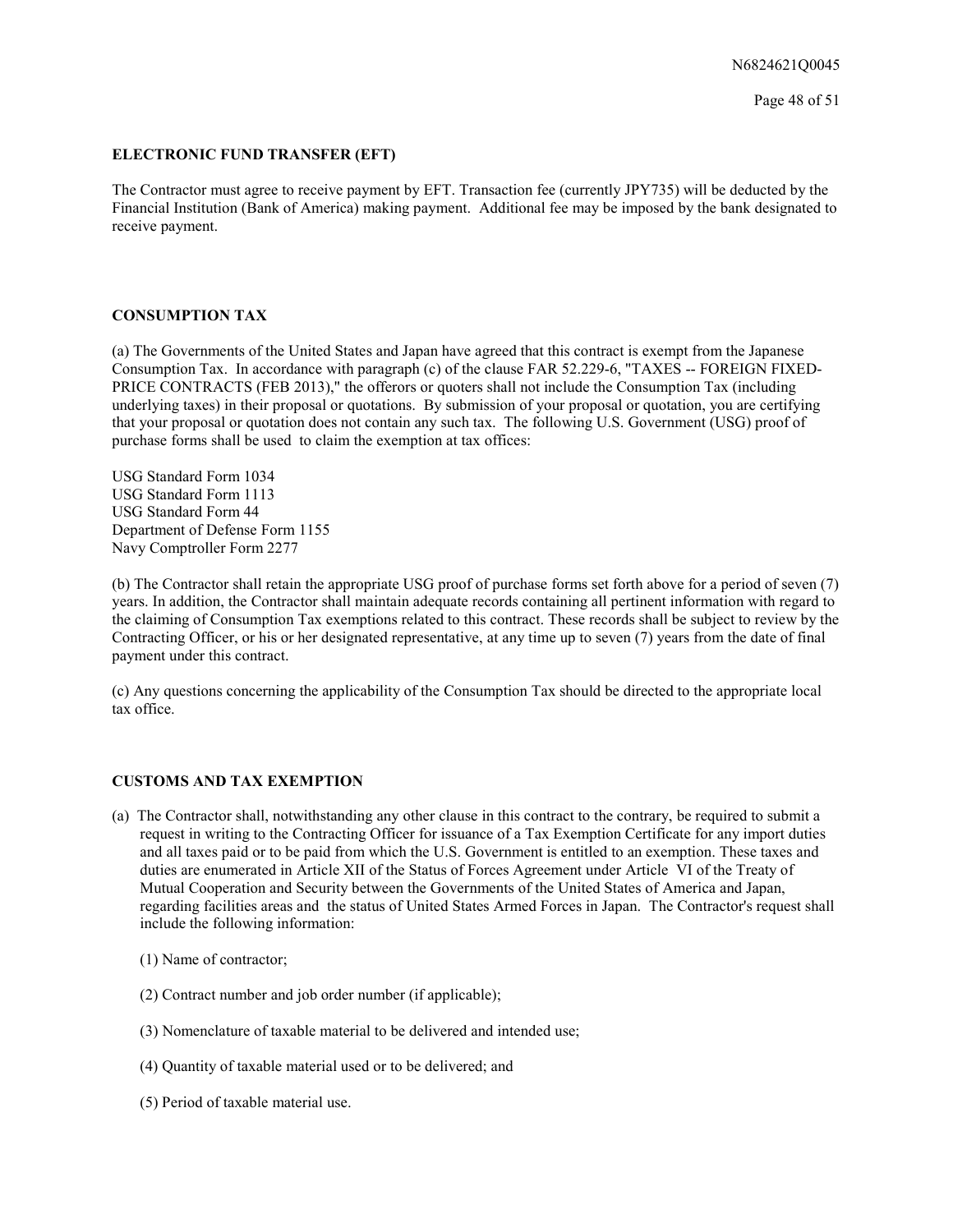### **ELECTRONIC FUND TRANSFER (EFT)**

The Contractor must agree to receive payment by EFT. Transaction fee (currently JPY735) will be deducted by the Financial Institution (Bank of America) making payment. Additional fee may be imposed by the bank designated to receive payment.

### **CONSUMPTION TAX**

(a) The Governments of the United States and Japan have agreed that this contract is exempt from the Japanese Consumption Tax. In accordance with paragraph (c) of the clause FAR 52.229-6, "TAXES -- FOREIGN FIXED-PRICE CONTRACTS (FEB 2013)," the offerors or quoters shall not include the Consumption Tax (including underlying taxes) in their proposal or quotations. By submission of your proposal or quotation, you are certifying that your proposal or quotation does not contain any such tax. The following U.S. Government (USG) proof of purchase forms shall be used to claim the exemption at tax offices:

USG Standard Form 1034 USG Standard Form 1113 USG Standard Form 44 Department of Defense Form 1155 Navy Comptroller Form 2277

(b) The Contractor shall retain the appropriate USG proof of purchase forms set forth above for a period of seven (7) years. In addition, the Contractor shall maintain adequate records containing all pertinent information with regard to the claiming of Consumption Tax exemptions related to this contract. These records shall be subject to review by the Contracting Officer, or his or her designated representative, at any time up to seven (7) years from the date of final payment under this contract.

(c) Any questions concerning the applicability of the Consumption Tax should be directed to the appropriate local tax office.

### **CUSTOMS AND TAX EXEMPTION**

- (a) The Contractor shall, notwithstanding any other clause in this contract to the contrary, be required to submit a request in writing to the Contracting Officer for issuance of a Tax Exemption Certificate for any import duties and all taxes paid or to be paid from which the U.S. Government is entitled to an exemption. These taxes and duties are enumerated in Article XII of the Status of Forces Agreement under Article VI of the Treaty of Mutual Cooperation and Security between the Governments of the United States of America and Japan, regarding facilities areas and the status of United States Armed Forces in Japan. The Contractor's request shall include the following information:
	- (1) Name of contractor;
	- (2) Contract number and job order number (if applicable);
	- (3) Nomenclature of taxable material to be delivered and intended use;
	- (4) Quantity of taxable material used or to be delivered; and
	- (5) Period of taxable material use.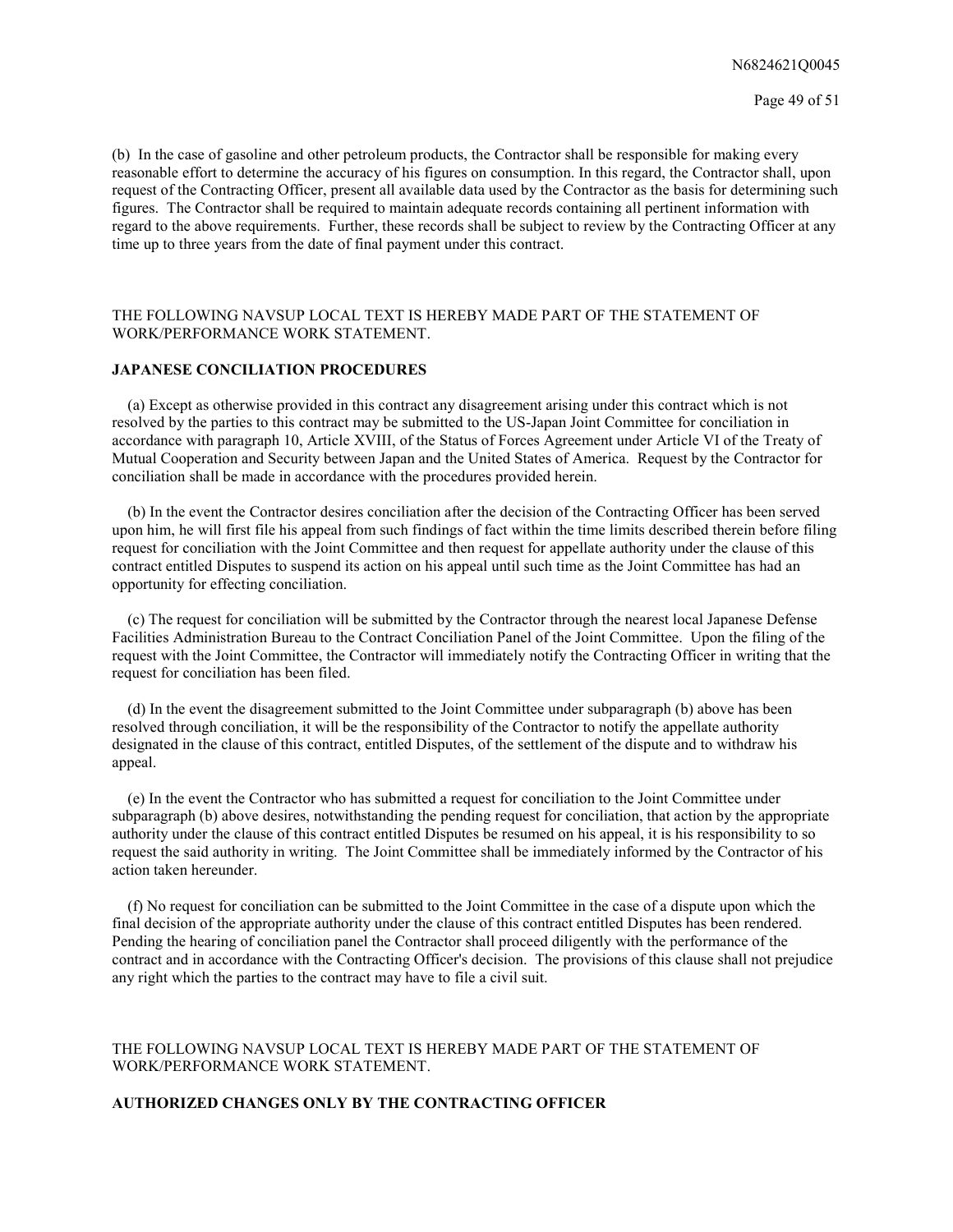(b) In the case of gasoline and other petroleum products, the Contractor shall be responsible for making every reasonable effort to determine the accuracy of his figures on consumption. In this regard, the Contractor shall, upon request of the Contracting Officer, present all available data used by the Contractor as the basis for determining such figures. The Contractor shall be required to maintain adequate records containing all pertinent information with regard to the above requirements. Further, these records shall be subject to review by the Contracting Officer at any time up to three years from the date of final payment under this contract.

### THE FOLLOWING NAVSUP LOCAL TEXT IS HEREBY MADE PART OF THE STATEMENT OF WORK/PERFORMANCE WORK STATEMENT.

#### **JAPANESE CONCILIATION PROCEDURES**

 (a) Except as otherwise provided in this contract any disagreement arising under this contract which is not resolved by the parties to this contract may be submitted to the US-Japan Joint Committee for conciliation in accordance with paragraph 10, Article XVIII, of the Status of Forces Agreement under Article VI of the Treaty of Mutual Cooperation and Security between Japan and the United States of America. Request by the Contractor for conciliation shall be made in accordance with the procedures provided herein.

 (b) In the event the Contractor desires conciliation after the decision of the Contracting Officer has been served upon him, he will first file his appeal from such findings of fact within the time limits described therein before filing request for conciliation with the Joint Committee and then request for appellate authority under the clause of this contract entitled Disputes to suspend its action on his appeal until such time as the Joint Committee has had an opportunity for effecting conciliation.

 (c) The request for conciliation will be submitted by the Contractor through the nearest local Japanese Defense Facilities Administration Bureau to the Contract Conciliation Panel of the Joint Committee. Upon the filing of the request with the Joint Committee, the Contractor will immediately notify the Contracting Officer in writing that the request for conciliation has been filed.

 (d) In the event the disagreement submitted to the Joint Committee under subparagraph (b) above has been resolved through conciliation, it will be the responsibility of the Contractor to notify the appellate authority designated in the clause of this contract, entitled Disputes, of the settlement of the dispute and to withdraw his appeal.

 (e) In the event the Contractor who has submitted a request for conciliation to the Joint Committee under subparagraph (b) above desires, notwithstanding the pending request for conciliation, that action by the appropriate authority under the clause of this contract entitled Disputes be resumed on his appeal, it is his responsibility to so request the said authority in writing. The Joint Committee shall be immediately informed by the Contractor of his action taken hereunder.

 (f) No request for conciliation can be submitted to the Joint Committee in the case of a dispute upon which the final decision of the appropriate authority under the clause of this contract entitled Disputes has been rendered. Pending the hearing of conciliation panel the Contractor shall proceed diligently with the performance of the contract and in accordance with the Contracting Officer's decision. The provisions of this clause shall not prejudice any right which the parties to the contract may have to file a civil suit.

# THE FOLLOWING NAVSUP LOCAL TEXT IS HEREBY MADE PART OF THE STATEMENT OF WORK/PERFORMANCE WORK STATEMENT.

# **AUTHORIZED CHANGES ONLY BY THE CONTRACTING OFFICER**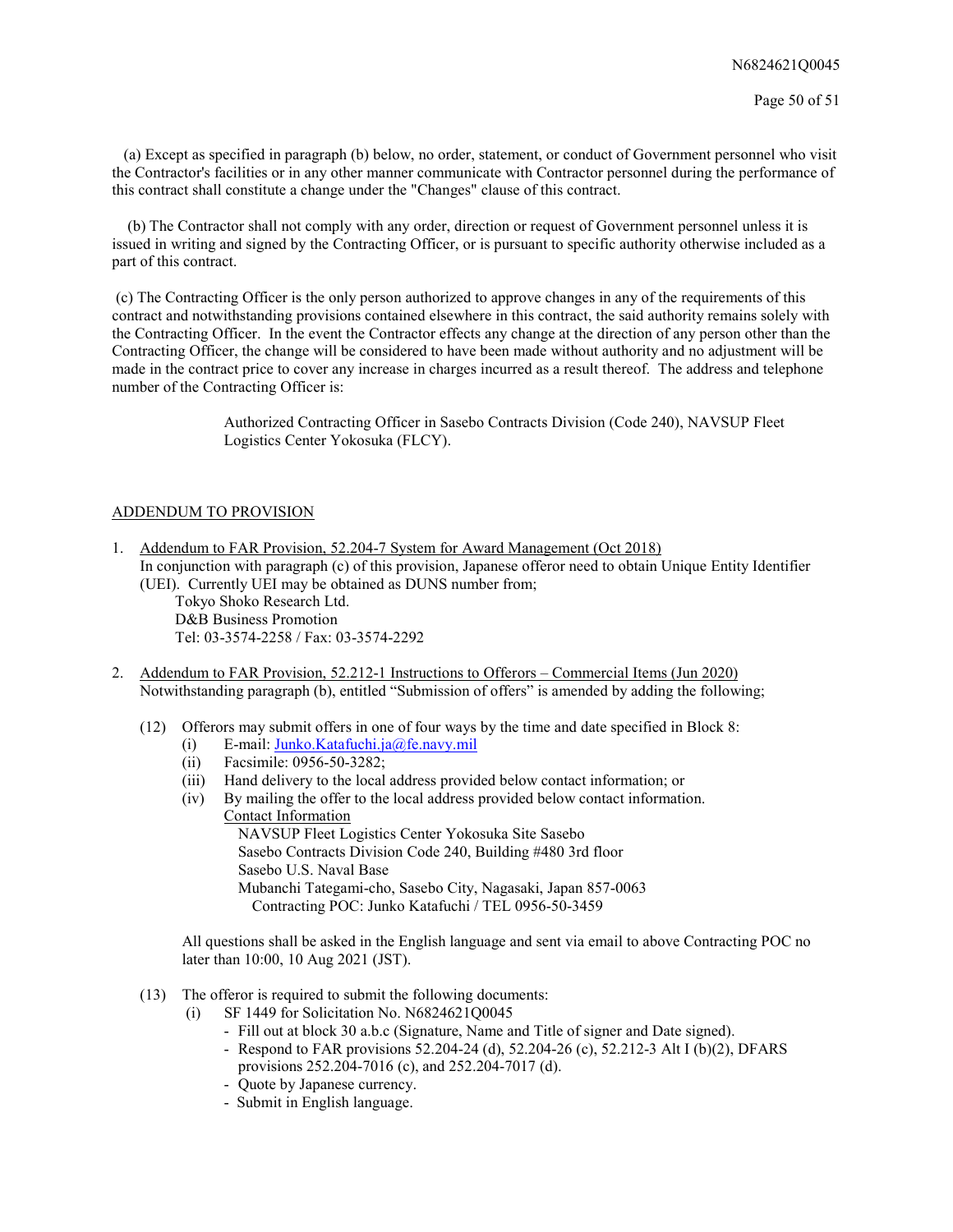(a) Except as specified in paragraph (b) below, no order, statement, or conduct of Government personnel who visit the Contractor's facilities or in any other manner communicate with Contractor personnel during the performance of this contract shall constitute a change under the "Changes" clause of this contract.

 (b) The Contractor shall not comply with any order, direction or request of Government personnel unless it is issued in writing and signed by the Contracting Officer, or is pursuant to specific authority otherwise included as a part of this contract.

 (c) The Contracting Officer is the only person authorized to approve changes in any of the requirements of this contract and notwithstanding provisions contained elsewhere in this contract, the said authority remains solely with the Contracting Officer. In the event the Contractor effects any change at the direction of any person other than the Contracting Officer, the change will be considered to have been made without authority and no adjustment will be made in the contract price to cover any increase in charges incurred as a result thereof. The address and telephone number of the Contracting Officer is:

> Authorized Contracting Officer in Sasebo Contracts Division (Code 240), NAVSUP Fleet Logistics Center Yokosuka (FLCY).

### ADDENDUM TO PROVISION

1. Addendum to FAR Provision, 52.204-7 System for Award Management (Oct 2018) In conjunction with paragraph (c) of this provision, Japanese offeror need to obtain Unique Entity Identifier (UEI). Currently UEI may be obtained as DUNS number from;

Tokyo Shoko Research Ltd. D&B Business Promotion Tel: 03-3574-2258 / Fax: 03-3574-2292

- 2. Addendum to FAR Provision, 52.212-1 Instructions to Offerors Commercial Items (Jun 2020) Notwithstanding paragraph (b), entitled "Submission of offers" is amended by adding the following;
	- (12) Offerors may submit offers in one of four ways by the time and date specified in Block 8:
		- (i) E-mail: Junko.Katafuchi.ja@fe.navy.mil
		- (ii) Facsimile: 0956-50-3282;
		- (iii) Hand delivery to the local address provided below contact information; or
		- (iv) By mailing the offer to the local address provided below contact information. Contact Information NAVSUP Fleet Logistics Center Yokosuka Site Sasebo Sasebo Contracts Division Code 240, Building #480 3rd floor Sasebo U.S. Naval Base Mubanchi Tategami-cho, Sasebo City, Nagasaki, Japan 857-0063 Contracting POC: Junko Katafuchi / TEL 0956-50-3459

All questions shall be asked in the English language and sent via email to above Contracting POC no later than 10:00, 10 Aug 2021 (JST).

- (13) The offeror is required to submit the following documents:
	- SF 1449 for Solicitation No. N6824621Q0045
		- Fill out at block 30 a.b.c (Signature, Name and Title of signer and Date signed).
		- Respond to FAR provisions 52.204-24 (d), 52.204-26 (c), 52.212-3 Alt I (b)(2), DFARS provisions 252.204-7016 (c), and 252.204-7017 (d).
		- Quote by Japanese currency.
		- Submit in English language.